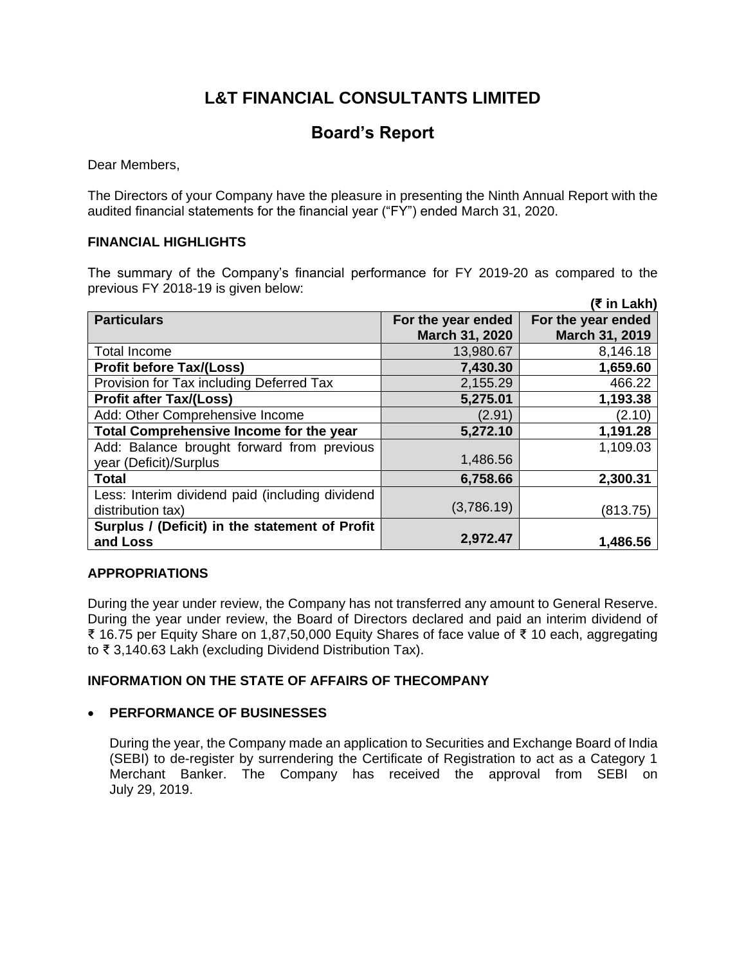## **L&T FINANCIAL CONSULTANTS LIMITED**

## **Board's Report**

Dear Members,

The Directors of your Company have the pleasure in presenting the Ninth Annual Report with the audited financial statements for the financial year ("FY") ended March 31, 2020.

### **FINANCIAL HIGHLIGHTS**

The summary of the Company's financial performance for FY 2019-20 as compared to the previous FY 2018-19 is given below:

|                                                 |                    | (₹ in Lakh)        |
|-------------------------------------------------|--------------------|--------------------|
| <b>Particulars</b>                              | For the year ended | For the year ended |
|                                                 | March 31, 2020     | March 31, 2019     |
| <b>Total Income</b>                             | 13,980.67          | 8,146.18           |
| <b>Profit before Tax/(Loss)</b>                 | 7,430.30           | 1,659.60           |
| Provision for Tax including Deferred Tax        | 2,155.29           | 466.22             |
| <b>Profit after Tax/(Loss)</b>                  | 5,275.01           | 1,193.38           |
| Add: Other Comprehensive Income                 | (2.91)             | (2.10)             |
| Total Comprehensive Income for the year         | 5,272.10           | 1,191.28           |
| Add: Balance brought forward from previous      |                    | 1,109.03           |
| year (Deficit)/Surplus                          | 1,486.56           |                    |
| <b>Total</b>                                    | 6,758.66           | 2,300.31           |
| Less: Interim dividend paid (including dividend |                    |                    |
| distribution tax)                               | (3,786.19)         | (813.75)           |
| Surplus / (Deficit) in the statement of Profit  |                    |                    |
| and Loss                                        | 2,972.47           | 1,486.56           |

### **APPROPRIATIONS**

During the year under review, the Company has not transferred any amount to General Reserve. During the year under review, the Board of Directors declared and paid an interim dividend of ₹ 16.75 per Equity Share on 1,87,50,000 Equity Shares of face value of ₹ 10 each, aggregating to ₹ 3,140.63 Lakh (excluding Dividend Distribution Tax).

### **INFORMATION ON THE STATE OF AFFAIRS OF THECOMPANY**

### **PERFORMANCE OF BUSINESSES**

During the year, the Company made an application to Securities and Exchange Board of India (SEBI) to de-register by surrendering the Certificate of Registration to act as a Category 1 Merchant Banker. The Company has received the approval from SEBI on July 29, 2019.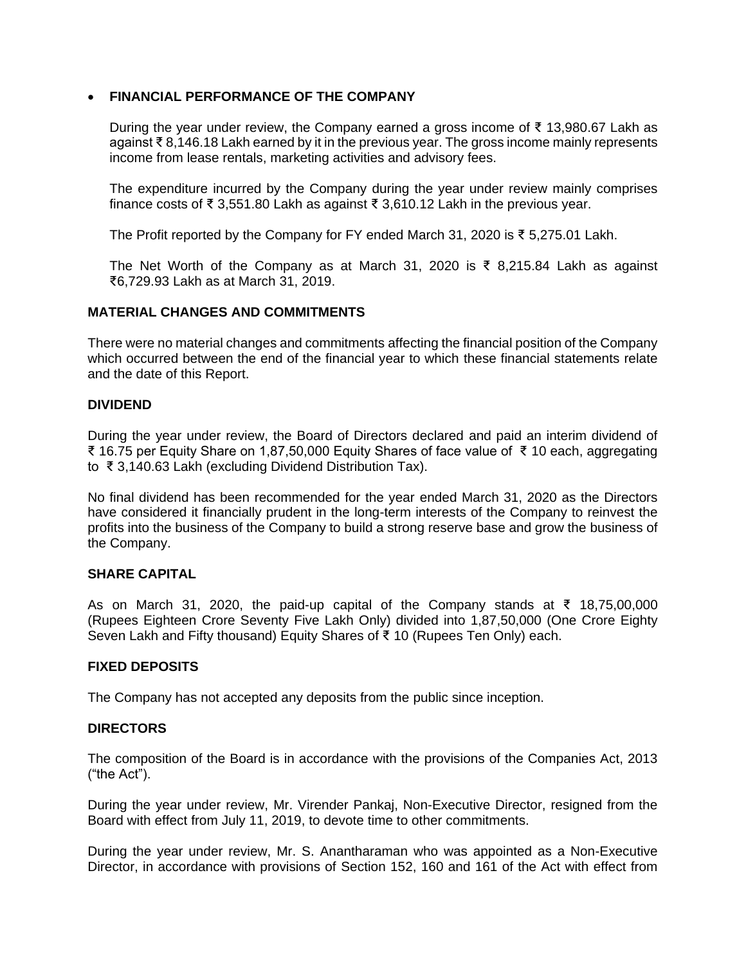### **FINANCIAL PERFORMANCE OF THE COMPANY**

During the year under review, the Company earned a gross income of ₹ 13,980.67 Lakh as against ₹ 8,146.18 Lakh earned by it in the previous year. The gross income mainly represents income from lease rentals, marketing activities and advisory fees.

The expenditure incurred by the Company during the year under review mainly comprises finance costs of ₹ 3,551.80 Lakh as against ₹ 3,610.12 Lakh in the previous year.

The Profit reported by the Company for FY ended March 31, 2020 is ₹ 5,275.01 Lakh.

The Net Worth of the Company as at March 31, 2020 is ₹ 8,215.84 Lakh as against ₹6,729.93 Lakh as at March 31, 2019.

### **MATERIAL CHANGES AND COMMITMENTS**

There were no material changes and commitments affecting the financial position of the Company which occurred between the end of the financial year to which these financial statements relate and the date of this Report.

#### **DIVIDEND**

During the year under review, the Board of Directors declared and paid an interim dividend of ₹ 16.75 per Equity Share on 1,87,50,000 Equity Shares of face value of ₹ 10 each, aggregating to ₹ 3,140.63 Lakh (excluding Dividend Distribution Tax).

No final dividend has been recommended for the year ended March 31, 2020 as the Directors have considered it financially prudent in the long-term interests of the Company to reinvest the profits into the business of the Company to build a strong reserve base and grow the business of the Company.

### **SHARE CAPITAL**

As on March 31, 2020, the paid-up capital of the Company stands at ₹ 18,75,00,000 (Rupees Eighteen Crore Seventy Five Lakh Only) divided into 1,87,50,000 (One Crore Eighty Seven Lakh and Fifty thousand) Equity Shares of ₹ 10 (Rupees Ten Only) each.

#### **FIXED DEPOSITS**

The Company has not accepted any deposits from the public since inception.

#### **DIRECTORS**

The composition of the Board is in accordance with the provisions of the Companies Act, 2013 ("the Act").

During the year under review, Mr. Virender Pankaj, Non-Executive Director, resigned from the Board with effect from July 11, 2019, to devote time to other commitments.

During the year under review, Mr. S. Anantharaman who was appointed as a Non-Executive Director, in accordance with provisions of Section 152, 160 and 161 of the Act with effect from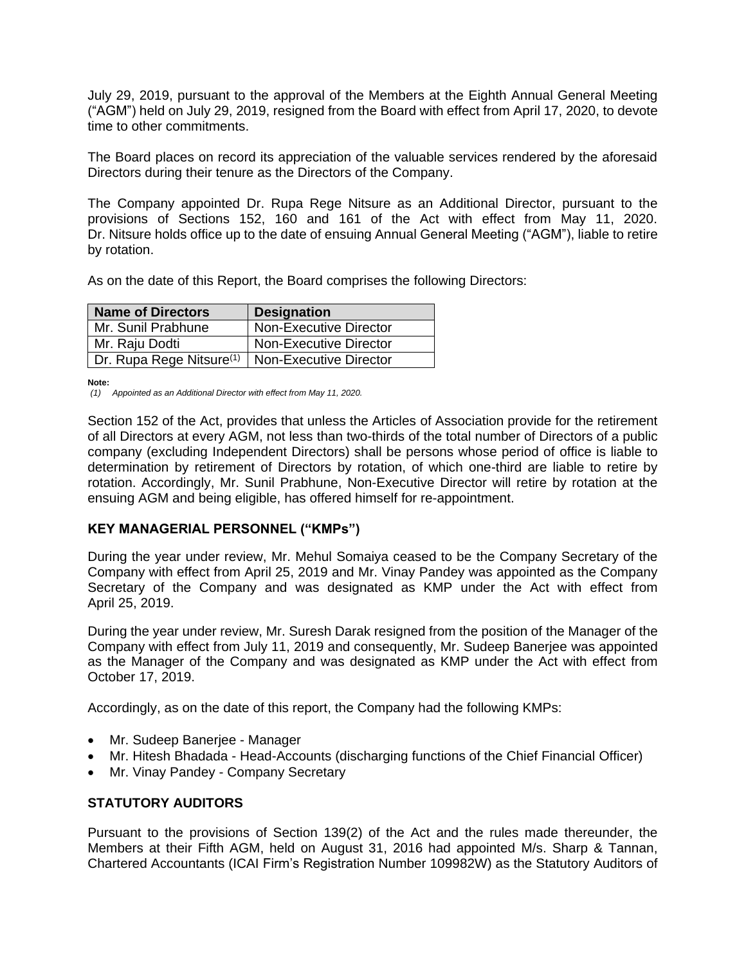July 29, 2019, pursuant to the approval of the Members at the Eighth Annual General Meeting ("AGM") held on July 29, 2019, resigned from the Board with effect from April 17, 2020, to devote time to other commitments.

The Board places on record its appreciation of the valuable services rendered by the aforesaid Directors during their tenure as the Directors of the Company.

The Company appointed Dr. Rupa Rege Nitsure as an Additional Director, pursuant to the provisions of Sections 152, 160 and 161 of the Act with effect from May 11, 2020. Dr. Nitsure holds office up to the date of ensuing Annual General Meeting ("AGM"), liable to retire by rotation.

As on the date of this Report, the Board comprises the following Directors:

| <b>Name of Directors</b>                                      | <b>Designation</b>            |
|---------------------------------------------------------------|-------------------------------|
| Mr. Sunil Prabhune                                            | <b>Non-Executive Director</b> |
| Mr. Raju Dodti                                                | <b>Non-Executive Director</b> |
| Dr. Rupa Rege Nitsure <sup>(1)</sup>   Non-Executive Director |                               |

**Note:**

*(1) Appointed as an Additional Director with effect from May 11, 2020.*

Section 152 of the Act, provides that unless the Articles of Association provide for the retirement of all Directors at every AGM, not less than two-thirds of the total number of Directors of a public company (excluding Independent Directors) shall be persons whose period of office is liable to determination by retirement of Directors by rotation, of which one-third are liable to retire by rotation. Accordingly, Mr. Sunil Prabhune, Non-Executive Director will retire by rotation at the ensuing AGM and being eligible, has offered himself for re-appointment.

#### **KEY MANAGERIAL PERSONNEL ("KMPs")**

During the year under review, Mr. Mehul Somaiya ceased to be the Company Secretary of the Company with effect from April 25, 2019 and Mr. Vinay Pandey was appointed as the Company Secretary of the Company and was designated as KMP under the Act with effect from April 25, 2019.

During the year under review, Mr. Suresh Darak resigned from the position of the Manager of the Company with effect from July 11, 2019 and consequently, Mr. Sudeep Banerjee was appointed as the Manager of the Company and was designated as KMP under the Act with effect from October 17, 2019.

Accordingly, as on the date of this report, the Company had the following KMPs:

- Mr. Sudeep Banerjee Manager
- Mr. Hitesh Bhadada Head-Accounts (discharging functions of the Chief Financial Officer)
- Mr. Vinay Pandey Company Secretary

### **STATUTORY AUDITORS**

Pursuant to the provisions of Section 139(2) of the Act and the rules made thereunder, the Members at their Fifth AGM, held on August 31, 2016 had appointed M/s. Sharp & Tannan, Chartered Accountants (ICAI Firm's Registration Number 109982W) as the Statutory Auditors of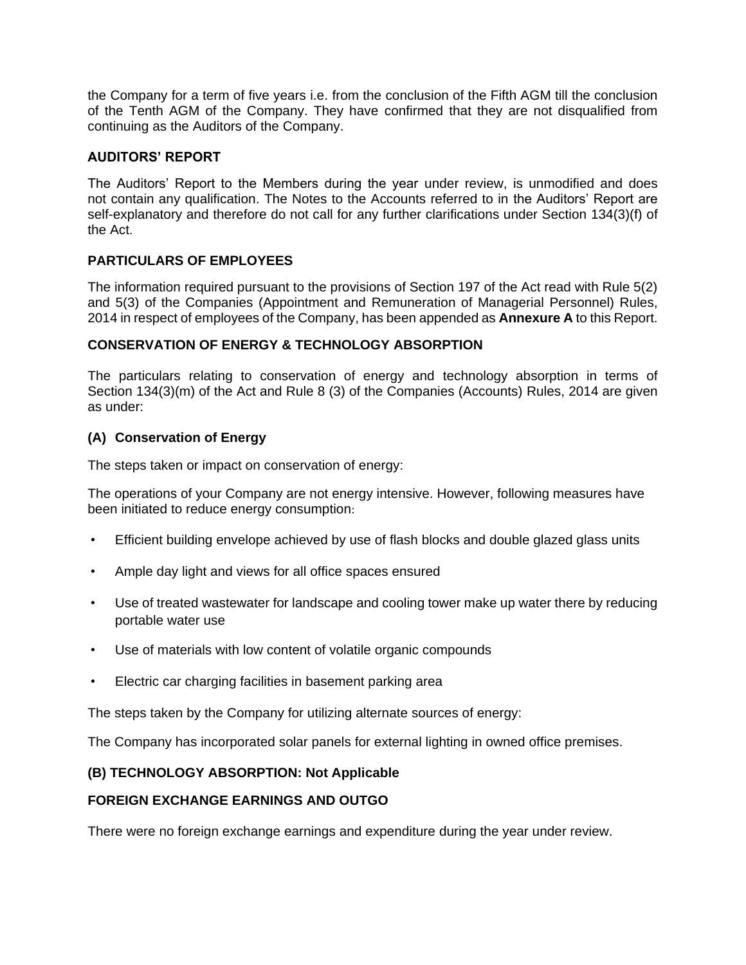the Company for a term of five years i.e. from the conclusion of the Fifth AGM till the conclusion of the Tenth AGM of the Company. They have confirmed that they are not disqualified from continuing as the Auditors of the Company.

### **AUDITORS' REPORT**

The Auditors' Report to the Members during the year under review, is unmodified and does not contain any qualification. The Notes to the Accounts referred to in the Auditors' Report are self-explanatory and therefore do not call for any further clarifications under Section 134(3)(f) of the Act.

#### **PARTICULARS OF EMPLOYEES**

The information required pursuant to the provisions of Section 197 of the Act read with Rule 5(2) and 5(3) of the Companies (Appointment and Remuneration of Managerial Personnel) Rules, 2014 in respect of employees of the Company, has been appended as **Annexure A** to this Report.

#### **CONSERVATION OF ENERGY & TECHNOLOGY ABSORPTION**

The particulars relating to conservation of energy and technology absorption in terms of Section 134(3)(m) of the Act and Rule 8 (3) of the Companies (Accounts) Rules, 2014 are given as under:

#### **(A) Conservation of Energy**

The steps taken or impact on conservation of energy:

The operations of your Company are not energy intensive. However, following measures have been initiated to reduce energy consumption:

- Efficient building envelope achieved by use of flash blocks and double glazed glass units
- Ample day light and views for all office spaces ensured
- Use of treated wastewater for landscape and cooling tower make up water there by reducing portable water use
- Use of materials with low content of volatile organic compounds
- Electric car charging facilities in basement parking area

The steps taken by the Company for utilizing alternate sources of energy:

The Company has incorporated solar panels for external lighting in owned office premises.

### **(B) TECHNOLOGY ABSORPTION: Not Applicable**

### **FOREIGN EXCHANGE EARNINGS AND OUTGO**

There were no foreign exchange earnings and expenditure during the year under review.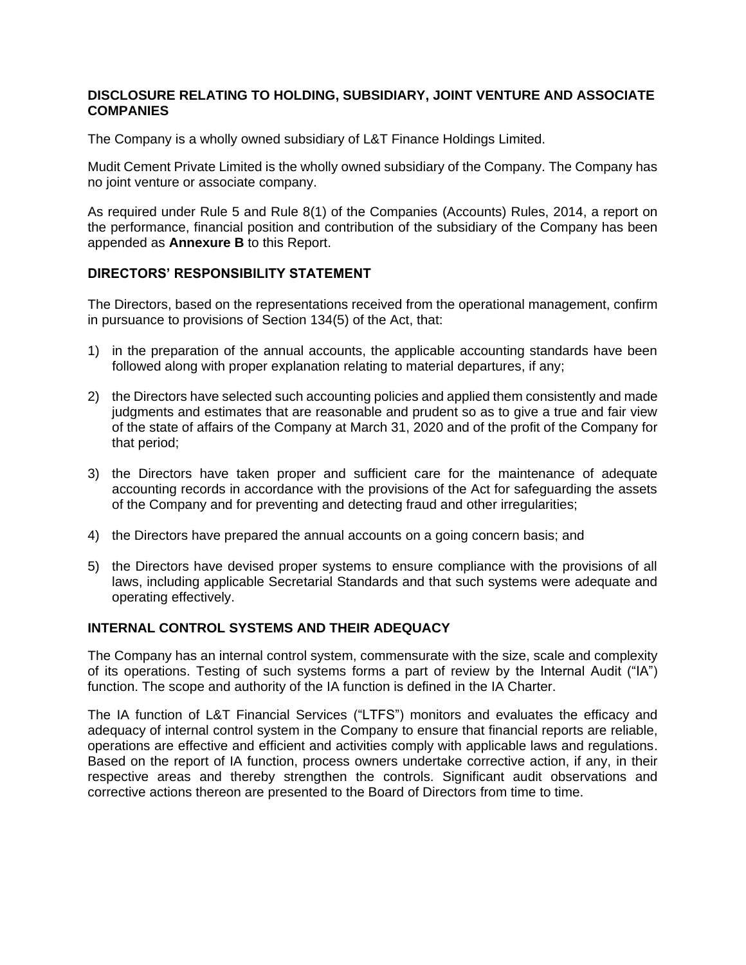#### **DISCLOSURE RELATING TO HOLDING, SUBSIDIARY, JOINT VENTURE AND ASSOCIATE COMPANIES**

The Company is a wholly owned subsidiary of L&T Finance Holdings Limited.

Mudit Cement Private Limited is the wholly owned subsidiary of the Company. The Company has no joint venture or associate company.

As required under Rule 5 and Rule 8(1) of the Companies (Accounts) Rules, 2014, a report on the performance, financial position and contribution of the subsidiary of the Company has been appended as **Annexure B** to this Report.

### **DIRECTORS' RESPONSIBILITY STATEMENT**

The Directors, based on the representations received from the operational management, confirm in pursuance to provisions of Section 134(5) of the Act, that:

- 1) in the preparation of the annual accounts, the applicable accounting standards have been followed along with proper explanation relating to material departures, if any;
- 2) the Directors have selected such accounting policies and applied them consistently and made judgments and estimates that are reasonable and prudent so as to give a true and fair view of the state of affairs of the Company at March 31, 2020 and of the profit of the Company for that period;
- 3) the Directors have taken proper and sufficient care for the maintenance of adequate accounting records in accordance with the provisions of the Act for safeguarding the assets of the Company and for preventing and detecting fraud and other irregularities;
- 4) the Directors have prepared the annual accounts on a going concern basis; and
- 5) the Directors have devised proper systems to ensure compliance with the provisions of all laws, including applicable Secretarial Standards and that such systems were adequate and operating effectively.

### **INTERNAL CONTROL SYSTEMS AND THEIR ADEQUACY**

The Company has an internal control system, commensurate with the size, scale and complexity of its operations. Testing of such systems forms a part of review by the Internal Audit ("IA") function. The scope and authority of the IA function is defined in the IA Charter.

The IA function of L&T Financial Services ("LTFS") monitors and evaluates the efficacy and adequacy of internal control system in the Company to ensure that financial reports are reliable, operations are effective and efficient and activities comply with applicable laws and regulations. Based on the report of IA function, process owners undertake corrective action, if any, in their respective areas and thereby strengthen the controls. Significant audit observations and corrective actions thereon are presented to the Board of Directors from time to time.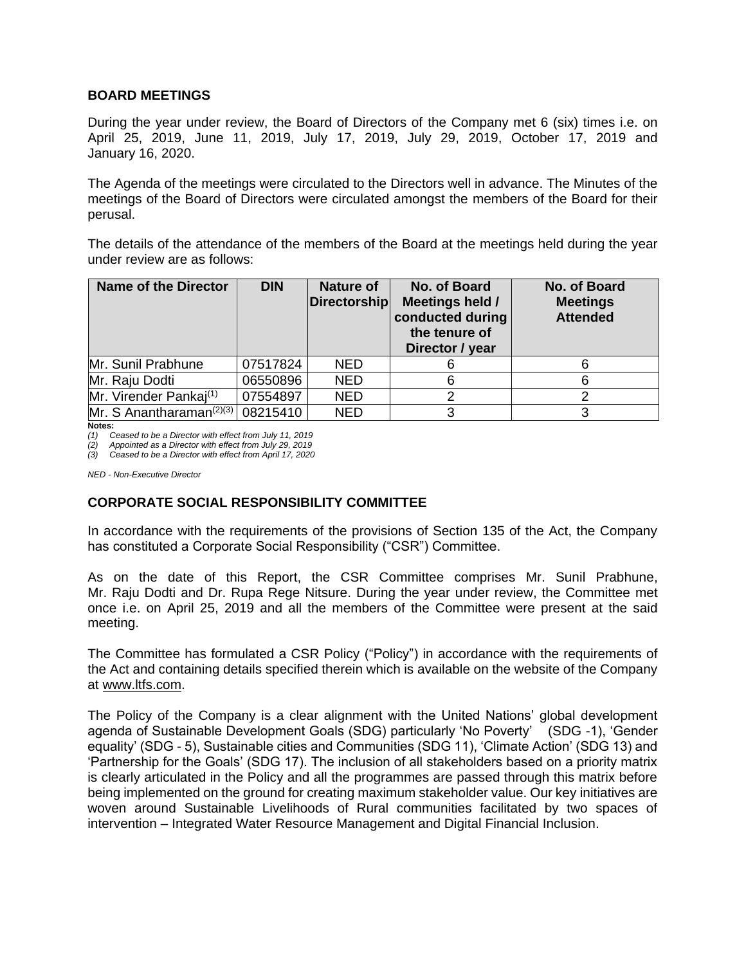#### **BOARD MEETINGS**

During the year under review, the Board of Directors of the Company met 6 (six) times i.e. on April 25, 2019, June 11, 2019, July 17, 2019, July 29, 2019, October 17, 2019 and January 16, 2020.

The Agenda of the meetings were circulated to the Directors well in advance. The Minutes of the meetings of the Board of Directors were circulated amongst the members of the Board for their perusal.

The details of the attendance of the members of the Board at the meetings held during the year under review are as follows:

| <b>Name of the Director</b>        | <b>DIN</b> | <b>Nature of</b><br><b>Directorship</b> | No. of Board<br>Meetings held /<br>conducted during<br>the tenure of<br>Director / year | No. of Board<br><b>Meetings</b><br><b>Attended</b> |
|------------------------------------|------------|-----------------------------------------|-----------------------------------------------------------------------------------------|----------------------------------------------------|
| Mr. Sunil Prabhune                 | 07517824   | <b>NED</b>                              |                                                                                         |                                                    |
| Mr. Raju Dodti                     | 06550896   | <b>NED</b>                              | 6                                                                                       |                                                    |
| Mr. Virender Pankaj <sup>(1)</sup> | 07554897   | <b>NED</b>                              |                                                                                         |                                                    |
| Mr. S Anantharaman(2)(3)           | 08215410   | <b>NED</b>                              |                                                                                         |                                                    |
| Notes:                             |            |                                         |                                                                                         |                                                    |

*(1) Ceased to be a Director with effect from July 11, 2019*

*(2) Appointed as a Director with effect from July 29, 2019*

*(3) Ceased to be a Director with effect from April 17, 2020*

*NED - Non-Executive Director*

### **CORPORATE SOCIAL RESPONSIBILITY COMMITTEE**

In accordance with the requirements of the provisions of Section 135 of the Act, the Company has constituted a Corporate Social Responsibility ("CSR") Committee.

As on the date of this Report, the CSR Committee comprises Mr. Sunil Prabhune, Mr. Raju Dodti and Dr. Rupa Rege Nitsure. During the year under review, the Committee met once i.e. on April 25, 2019 and all the members of the Committee were present at the said meeting.

The Committee has formulated a CSR Policy ("Policy") in accordance with the requirements of the Act and containing details specified therein which is available on the website of the Company at [www.ltfs.com.](http://www.ltfs.com/)

The Policy of the Company is a clear alignment with the United Nations' global development agenda of Sustainable Development Goals (SDG) particularly 'No Poverty' (SDG -1), 'Gender equality' (SDG - 5), Sustainable cities and Communities (SDG 11), 'Climate Action' (SDG 13) and 'Partnership for the Goals' (SDG 17). The inclusion of all stakeholders based on a priority matrix is clearly articulated in the Policy and all the programmes are passed through this matrix before being implemented on the ground for creating maximum stakeholder value. Our key initiatives are woven around Sustainable Livelihoods of Rural communities facilitated by two spaces of intervention – Integrated Water Resource Management and Digital Financial Inclusion.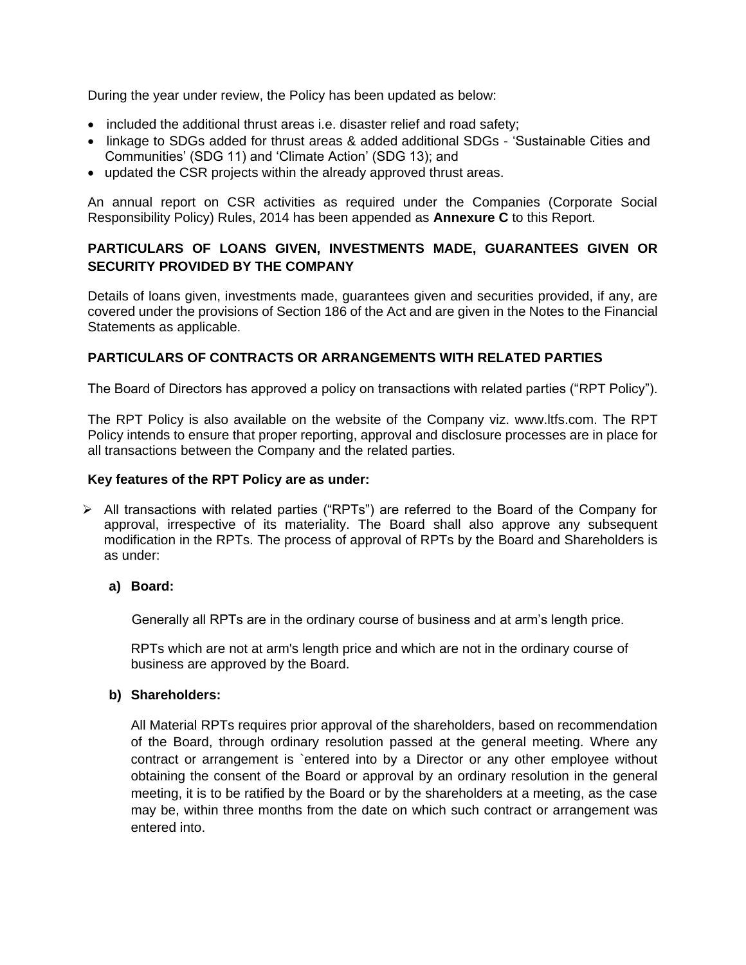During the year under review, the Policy has been updated as below:

- included the additional thrust areas i.e. disaster relief and road safety;
- linkage to SDGs added for thrust areas & added additional SDGs 'Sustainable Cities and Communities' (SDG 11) and 'Climate Action' (SDG 13); and
- updated the CSR projects within the already approved thrust areas.

An annual report on CSR activities as required under the Companies (Corporate Social Responsibility Policy) Rules, 2014 has been appended as **Annexure C** to this Report.

### **PARTICULARS OF LOANS GIVEN, INVESTMENTS MADE, GUARANTEES GIVEN OR SECURITY PROVIDED BY THE COMPANY**

Details of loans given, investments made, guarantees given and securities provided, if any, are covered under the provisions of Section 186 of the Act and are given in the Notes to the Financial Statements as applicable.

### **PARTICULARS OF CONTRACTS OR ARRANGEMENTS WITH RELATED PARTIES**

The Board of Directors has approved a policy on transactions with related parties ("RPT Policy").

The RPT Policy is also available on the website of the Company viz. www.ltfs.com. The RPT Policy intends to ensure that proper reporting, approval and disclosure processes are in place for all transactions between the Company and the related parties.

#### **Key features of the RPT Policy are as under:**

 All transactions with related parties ("RPTs") are referred to the Board of the Company for approval, irrespective of its materiality. The Board shall also approve any subsequent modification in the RPTs. The process of approval of RPTs by the Board and Shareholders is as under:

#### **a) Board:**

Generally all RPTs are in the ordinary course of business and at arm's length price.

RPTs which are not at arm's length price and which are not in the ordinary course of business are approved by the Board.

#### **b) Shareholders:**

All Material RPTs requires prior approval of the shareholders, based on recommendation of the Board, through ordinary resolution passed at the general meeting. Where any contract or arrangement is `entered into by a Director or any other employee without obtaining the consent of the Board or approval by an ordinary resolution in the general meeting, it is to be ratified by the Board or by the shareholders at a meeting, as the case may be, within three months from the date on which such contract or arrangement was entered into.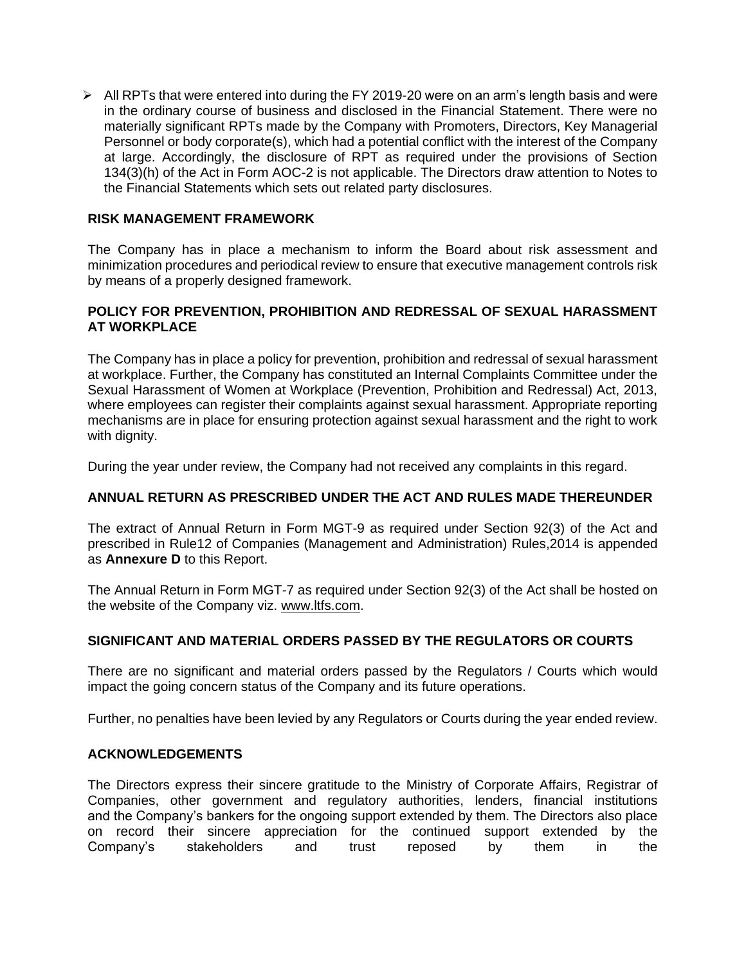$\triangleright$  All RPTs that were entered into during the FY 2019-20 were on an arm's length basis and were in the ordinary course of business and disclosed in the Financial Statement. There were no materially significant RPTs made by the Company with Promoters, Directors, Key Managerial Personnel or body corporate(s), which had a potential conflict with the interest of the Company at large. Accordingly, the disclosure of RPT as required under the provisions of Section 134(3)(h) of the Act in Form AOC-2 is not applicable. The Directors draw attention to Notes to the Financial Statements which sets out related party disclosures.

#### **RISK MANAGEMENT FRAMEWORK**

The Company has in place a mechanism to inform the Board about risk assessment and minimization procedures and periodical review to ensure that executive management controls risk by means of a properly designed framework.

### **POLICY FOR PREVENTION, PROHIBITION AND REDRESSAL OF SEXUAL HARASSMENT AT WORKPLACE**

The Company has in place a policy for prevention, prohibition and redressal of sexual harassment at workplace. Further, the Company has constituted an Internal Complaints Committee under the Sexual Harassment of Women at Workplace (Prevention, Prohibition and Redressal) Act, 2013, where employees can register their complaints against sexual harassment. Appropriate reporting mechanisms are in place for ensuring protection against sexual harassment and the right to work with dignity.

During the year under review, the Company had not received any complaints in this regard.

### **ANNUAL RETURN AS PRESCRIBED UNDER THE ACT AND RULES MADE THEREUNDER**

The extract of Annual Return in Form MGT-9 as required under Section 92(3) of the Act and prescribed in Rule12 of Companies (Management and Administration) Rules,2014 is appended as **Annexure D** to this Report.

The Annual Return in Form MGT-7 as required under Section 92(3) of the Act shall be hosted on the website of the Company viz. [www.ltfs.com.](http://www.ltfs.com/)

### **SIGNIFICANT AND MATERIAL ORDERS PASSED BY THE REGULATORS OR COURTS**

There are no significant and material orders passed by the Regulators / Courts which would impact the going concern status of the Company and its future operations.

Further, no penalties have been levied by any Regulators or Courts during the year ended review.

#### **ACKNOWLEDGEMENTS**

The Directors express their sincere gratitude to the Ministry of Corporate Affairs, Registrar of Companies, other government and regulatory authorities, lenders, financial institutions and the Company's bankers for the ongoing support extended by them. The Directors also place on record their sincere appreciation for the continued support extended by the Company's stakeholders and trust reposed by them in the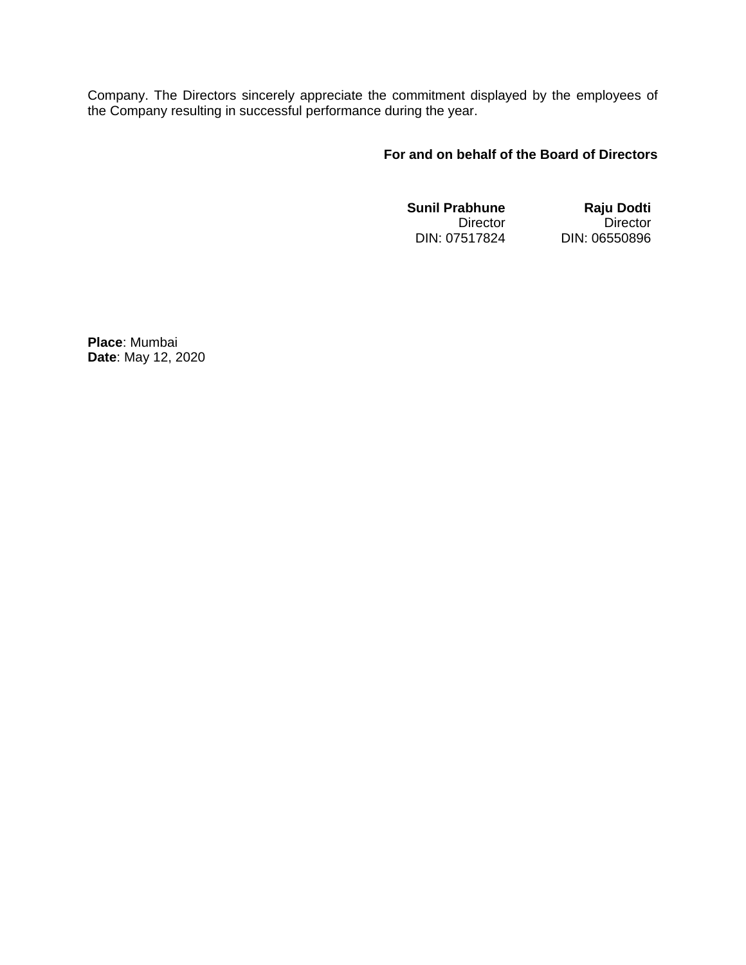Company. The Directors sincerely appreciate the commitment displayed by the employees of the Company resulting in successful performance during the year.

#### **For and on behalf of the Board of Directors**

**Sunil Prabhune Raju Dodti**<br>Director **Director** DIN: 07517824

Director<br>7517824 DIN: 06550896

**Place**: Mumbai **Date**: May 12, 2020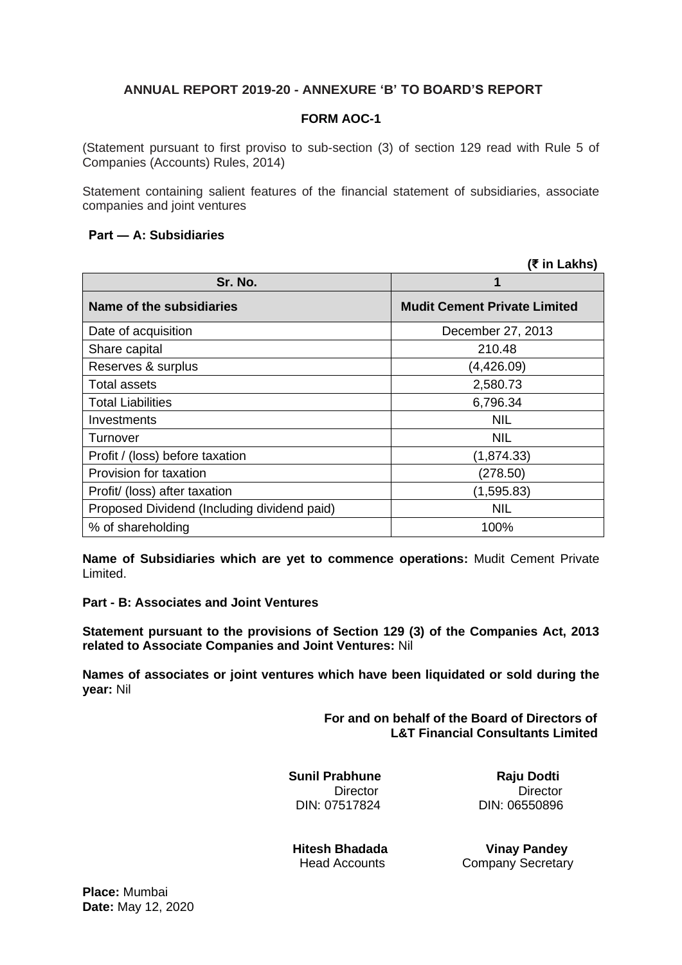### **ANNUAL REPORT 2019-20 - ANNEXURE 'B' TO BOARD'S REPORT**

### **FORM AOC-1**

(Statement pursuant to first proviso to sub-section (3) of section 129 read with Rule 5 of Companies (Accounts) Rules, 2014)

Statement containing salient features of the financial statement of subsidiaries, associate companies and joint ventures

#### **Part ― A: Subsidiaries**

|                                             | (₹ in Lakhs)                        |
|---------------------------------------------|-------------------------------------|
| Sr. No.                                     | 1                                   |
| Name of the subsidiaries                    | <b>Mudit Cement Private Limited</b> |
| Date of acquisition                         | December 27, 2013                   |
| Share capital                               | 210.48                              |
| Reserves & surplus                          | (4,426.09)                          |
| <b>Total assets</b>                         | 2,580.73                            |
| <b>Total Liabilities</b>                    | 6,796.34                            |
| Investments                                 | <b>NIL</b>                          |
| Turnover                                    | <b>NIL</b>                          |
| Profit / (loss) before taxation             | (1,874.33)                          |
| Provision for taxation                      | (278.50)                            |
| Profit/ (loss) after taxation               | (1,595.83)                          |
| Proposed Dividend (Including dividend paid) | <b>NIL</b>                          |
| % of shareholding                           | 100%                                |

**Name of Subsidiaries which are yet to commence operations:** Mudit Cement Private Limited.

#### **Part - B: Associates and Joint Ventures**

**Statement pursuant to the provisions of Section 129 (3) of the Companies Act, 2013 related to Associate Companies and Joint Ventures:** Nil

**Names of associates or joint ventures which have been liquidated or sold during the year:** Nil

> **For and on behalf of the Board of Directors of L&T Financial Consultants Limited**

**Sunil Prabhune Raju Dodti** DIN: 07517824 DIN: 06550896

Director Director

**Hitesh Bhadada Vinay Pandey** Head Accounts **Company Secretary**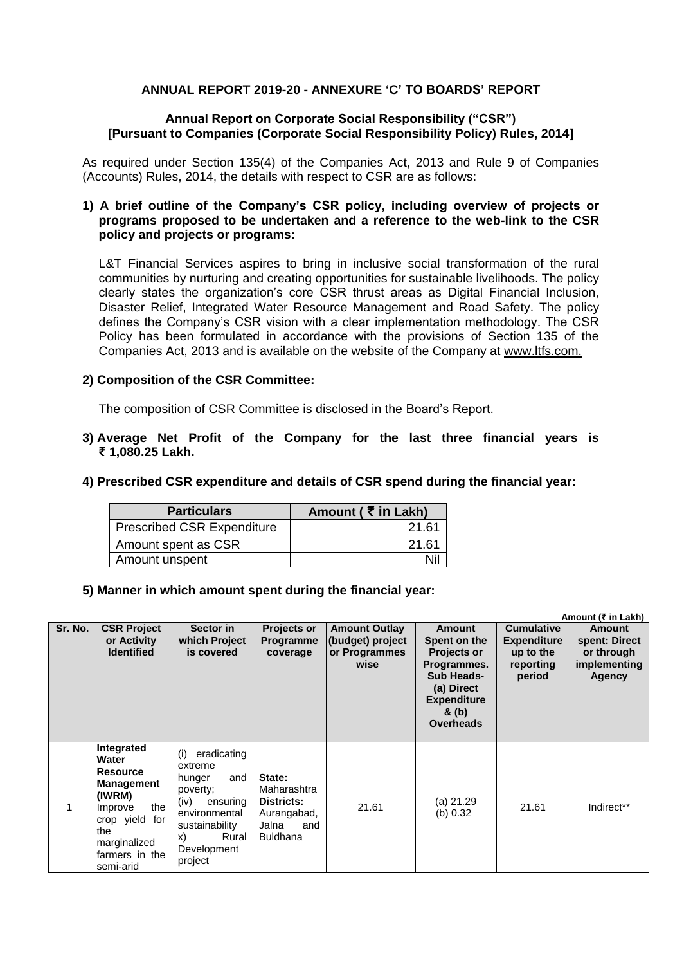### **ANNUAL REPORT 2019-20 - ANNEXURE 'C' TO BOARDS' REPORT**

#### **Annual Report on Corporate Social Responsibility ("CSR") [Pursuant to Companies (Corporate Social Responsibility Policy) Rules, 2014]**

As required under Section 135(4) of the Companies Act, 2013 and Rule 9 of Companies (Accounts) Rules, 2014, the details with respect to CSR are as follows:

#### **1) A brief outline of the Company's CSR policy, including overview of projects or programs proposed to be undertaken and a reference to the web-link to the CSR policy and projects or programs:**

L&T Financial Services aspires to bring in inclusive social transformation of the rural communities by nurturing and creating opportunities for sustainable livelihoods. The policy clearly states the organization's core CSR thrust areas as Digital Financial Inclusion, Disaster Relief, Integrated Water Resource Management and Road Safety. The policy defines the Company's CSR vision with a clear implementation methodology. The CSR Policy has been formulated in accordance with the provisions of Section 135 of the Companies Act, 2013 and is available on the website of the Company at www.ltfs.com.

#### **2) Composition of the CSR Committee:**

The composition of CSR Committee is disclosed in the Board's Report.

**3) Average Net Profit of the Company for the last three financial years is ₹ 1,080.25 Lakh.**

#### **4) Prescribed CSR expenditure and details of CSR spend during the financial year:**

| <b>Particulars</b>                | Amount (₹ in Lakh) |
|-----------------------------------|--------------------|
| <b>Prescribed CSR Expenditure</b> | 21.61              |
| Amount spent as CSR               | 21.61              |
| Amount unspent                    |                    |

#### **5) Manner in which amount spent during the financial year:**

| Sr. No. | <b>CSR Project</b><br>or Activity<br><b>Identified</b>                                                                                                          | Sector in<br>which Project<br>is covered                                                                                                                   | Projects or<br>Programme<br>coverage                                                         | <b>Amount Outlay</b><br>(budget) project<br>or Programmes<br>wise | <b>Amount</b><br>Spent on the<br><b>Projects or</b><br>Programmes.<br><b>Sub Heads-</b><br>(a) Direct<br><b>Expenditure</b><br>& (b)<br><b>Overheads</b> | <b>Cumulative</b><br><b>Expenditure</b><br>up to the<br>reporting<br>period | Amount (₹ in Lakh)<br><b>Amount</b><br>spent: Direct<br>or through<br>implementing<br><b>Agency</b> |
|---------|-----------------------------------------------------------------------------------------------------------------------------------------------------------------|------------------------------------------------------------------------------------------------------------------------------------------------------------|----------------------------------------------------------------------------------------------|-------------------------------------------------------------------|----------------------------------------------------------------------------------------------------------------------------------------------------------|-----------------------------------------------------------------------------|-----------------------------------------------------------------------------------------------------|
|         | Integrated<br>Water<br><b>Resource</b><br><b>Management</b><br>(IWRM)<br>the<br>Improve<br>crop yield for<br>the<br>marginalized<br>farmers in the<br>semi-arid | eradicating<br>(i)<br>extreme<br>hunger<br>and<br>poverty;<br>(iv)<br>ensuring<br>environmental<br>sustainability<br>Rural<br>X)<br>Development<br>project | State:<br>Maharashtra<br><b>Districts:</b><br>Aurangabad,<br>Jalna<br>and<br><b>Buldhana</b> | 21.61                                                             | $(a)$ 21.29<br>(b) $0.32$                                                                                                                                | 21.61                                                                       | Indirect**                                                                                          |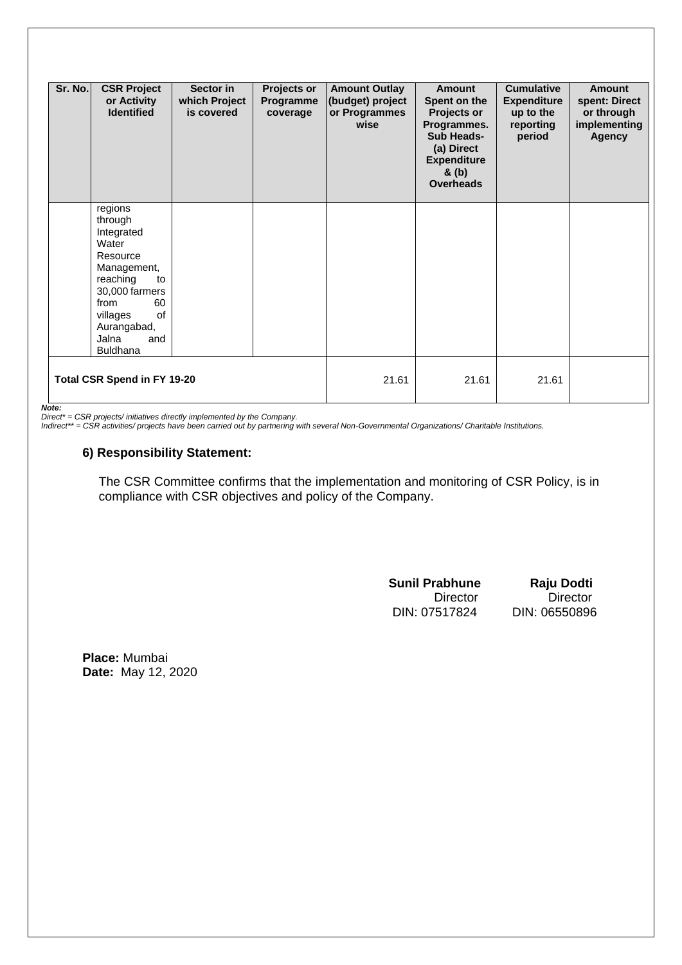| Sr. No. | <b>CSR Project</b><br>or Activity<br><b>Identified</b>                                                                                                                                     | Sector in<br>which Project<br>is covered | Projects or<br>Programme<br>coverage | <b>Amount Outlay</b><br>(budget) project<br>or Programmes<br>wise | Amount<br>Spent on the<br>Projects or<br>Programmes.<br><b>Sub Heads-</b><br>(a) Direct<br><b>Expenditure</b><br>& (b)<br><b>Overheads</b> | <b>Cumulative</b><br><b>Expenditure</b><br>up to the<br>reporting<br>period | Amount<br>spent: Direct<br>or through<br>implementing<br>Agency |
|---------|--------------------------------------------------------------------------------------------------------------------------------------------------------------------------------------------|------------------------------------------|--------------------------------------|-------------------------------------------------------------------|--------------------------------------------------------------------------------------------------------------------------------------------|-----------------------------------------------------------------------------|-----------------------------------------------------------------|
|         | regions<br>through<br>Integrated<br>Water<br>Resource<br>Management,<br>reaching<br>to<br>30,000 farmers<br>60<br>from<br>of<br>villages<br>Aurangabad,<br>Jalna<br>and<br><b>Buldhana</b> |                                          |                                      |                                                                   |                                                                                                                                            |                                                                             |                                                                 |
|         | Total CSR Spend in FY 19-20                                                                                                                                                                |                                          |                                      | 21.61                                                             | 21.61                                                                                                                                      | 21.61                                                                       |                                                                 |

*Note:*

*Direct\* = CSR projects/ initiatives directly implemented by the Company.*

*Indirect\*\* = CSR activities/ projects have been carried out by partnering with several Non-Governmental Organizations/ Charitable Institutions.*

#### **6) Responsibility Statement:**

The CSR Committee confirms that the implementation and monitoring of CSR Policy, is in compliance with CSR objectives and policy of the Company.

| <b>Sunil Prabhune</b> | Raju Dodti    |
|-----------------------|---------------|
| Director              | Director      |
| DIN: 07517824         | DIN: 06550896 |

**Place:** Mumbai **Date:** May 12, 2020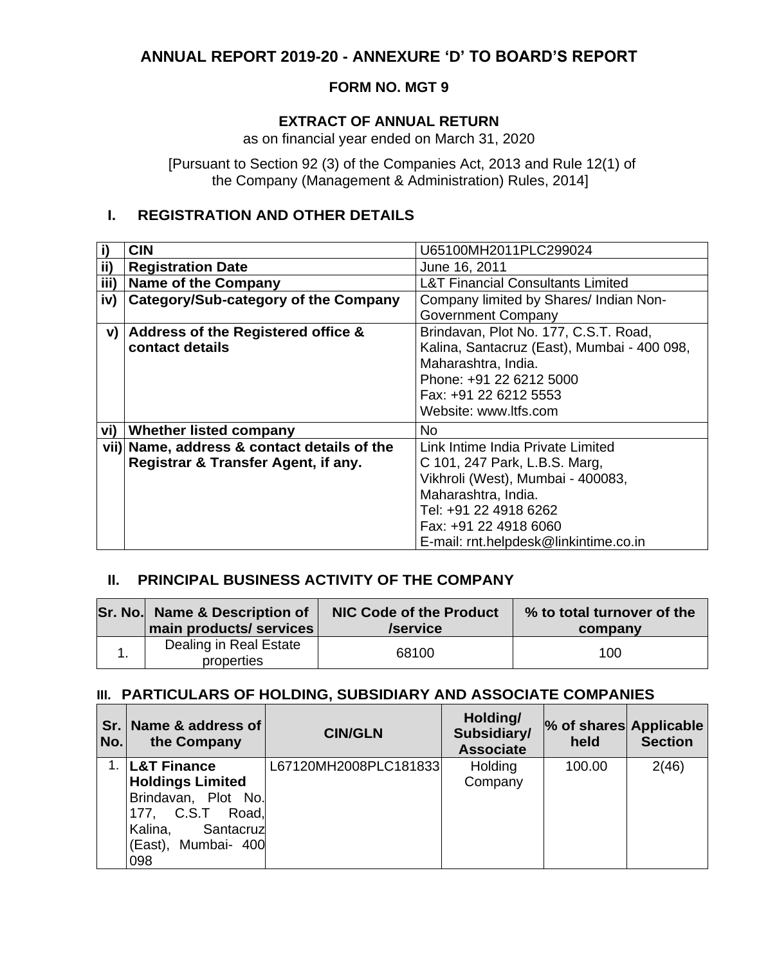### **ANNUAL REPORT 2019-20 - ANNEXURE 'D' TO BOARD'S REPORT**

### **FORM NO. MGT 9**

### **EXTRACT OF ANNUAL RETURN**

as on financial year ended on March 31, 2020

[Pursuant to Section 92 (3) of the Companies Act, 2013 and Rule 12(1) of the Company (Management & Administration) Rules, 2014]

### **I. REGISTRATION AND OTHER DETAILS**

| i)   | <b>CIN</b>                                  | U65100MH2011PLC299024                       |  |  |
|------|---------------------------------------------|---------------------------------------------|--|--|
| ii)  | <b>Registration Date</b>                    | June 16, 2011                               |  |  |
| iii) | <b>Name of the Company</b>                  | L&T Financial Consultants Limited           |  |  |
| iv)  | <b>Category/Sub-category of the Company</b> | Company limited by Shares/ Indian Non-      |  |  |
|      |                                             | <b>Government Company</b>                   |  |  |
| V)   | Address of the Registered office &          | Brindavan, Plot No. 177, C.S.T. Road,       |  |  |
|      | contact details                             | Kalina, Santacruz (East), Mumbai - 400 098, |  |  |
|      |                                             | Maharashtra, India.                         |  |  |
|      |                                             | Phone: +91 22 6212 5000                     |  |  |
|      |                                             | Fax: +91 22 6212 5553                       |  |  |
|      |                                             | Website: www.ltfs.com                       |  |  |
| vi)  | <b>Whether listed company</b>               | No.                                         |  |  |
|      | vii) Name, address & contact details of the | Link Intime India Private Limited           |  |  |
|      | Registrar & Transfer Agent, if any.         | C 101, 247 Park, L.B.S. Marg,               |  |  |
|      |                                             | Vikhroli (West), Mumbai - 400083,           |  |  |
|      |                                             | Maharashtra, India.                         |  |  |
|      |                                             | Tel: +91 22 4918 6262                       |  |  |
|      |                                             | Fax: +91 22 4918 6060                       |  |  |
|      |                                             | E-mail: rnt.helpdesk@linkintime.co.in       |  |  |

#### **II. PRINCIPAL BUSINESS ACTIVITY OF THE COMPANY**

| Sr. No. Name & Description of        | <b>NIC Code of the Product</b> | % to total turnover of the |
|--------------------------------------|--------------------------------|----------------------------|
| main products/ services              | /service                       | company                    |
| Dealing in Real Estate<br>properties | 68100                          |                            |

### **III. PARTICULARS OF HOLDING, SUBSIDIARY AND ASSOCIATE COMPANIES**

| No. | Sr. Name & address of<br>the Company                                                                                                                  | <b>CIN/GLN</b>        | Holding/<br>Subsidiary/<br><b>Associate</b> | % of shares Applicable<br>held | <b>Section</b> |
|-----|-------------------------------------------------------------------------------------------------------------------------------------------------------|-----------------------|---------------------------------------------|--------------------------------|----------------|
|     | <b>L&amp;T Finance</b><br><b>Holdings Limited</b><br>Brindavan, Plot No.<br>177, C.S.T<br>Road,<br>Santacruz<br>Kalina,<br>(East), Mumbai- 400<br>098 | L67120MH2008PLC181833 | Holding<br>Company                          | 100.00                         | 2(46)          |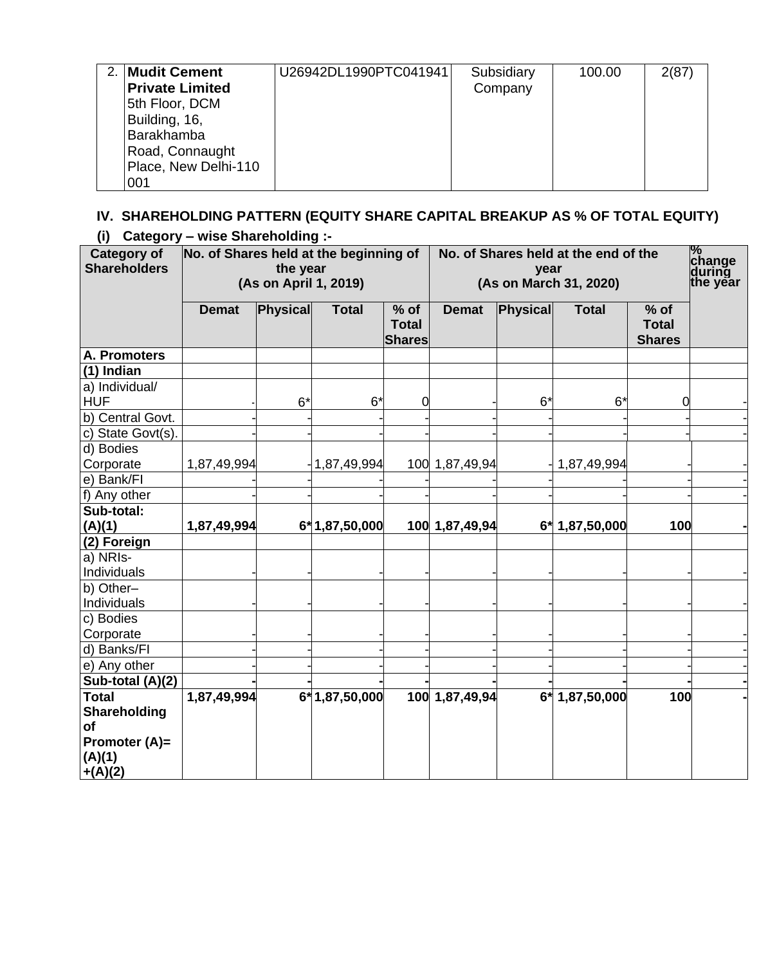| 2. Mudit Cement        | U26942DL1990PTC041941 | Subsidiary | 100.00 | 2(87) |
|------------------------|-----------------------|------------|--------|-------|
| <b>Private Limited</b> |                       | Company    |        |       |
| 5th Floor, DCM         |                       |            |        |       |
| Building, 16,          |                       |            |        |       |
| Barakhamba             |                       |            |        |       |
| Road, Connaught        |                       |            |        |       |
| Place, New Delhi-110   |                       |            |        |       |
| 001                    |                       |            |        |       |

### **IV. SHAREHOLDING PATTERN (EQUITY SHARE CAPITAL BREAKUP AS % OF TOTAL EQUITY)**

### **(i) Category – wise Shareholding :-**

| <b>Category of</b><br><b>Shareholders</b> |              | No. of Shares held at the beginning of<br>the year<br>(As on April 1, 2019) |                |                                         |                | year     | No. of Shares held at the end of the<br>(As on March 31, 2020) |                                         | %<br>change<br>during<br>the year |
|-------------------------------------------|--------------|-----------------------------------------------------------------------------|----------------|-----------------------------------------|----------------|----------|----------------------------------------------------------------|-----------------------------------------|-----------------------------------|
|                                           | <b>Demat</b> | Physical                                                                    | <b>Total</b>   | $%$ of<br><b>Total</b><br><b>Shares</b> | <b>Demat</b>   | Physical | <b>Total</b>                                                   | $%$ of<br><b>Total</b><br><b>Shares</b> |                                   |
| A. Promoters                              |              |                                                                             |                |                                         |                |          |                                                                |                                         |                                   |
| $(1)$ Indian                              |              |                                                                             |                |                                         |                |          |                                                                |                                         |                                   |
| a) Individual/<br><b>HUF</b>              |              | $6*$                                                                        | $6*$           | 0                                       |                | $6*$     | $6*$                                                           | 0                                       |                                   |
| b) Central Govt.                          |              |                                                                             |                |                                         |                |          |                                                                |                                         |                                   |
| c) State Govt(s).                         |              |                                                                             |                |                                         |                |          |                                                                |                                         |                                   |
| d) Bodies                                 |              |                                                                             |                |                                         |                |          |                                                                |                                         |                                   |
| Corporate                                 | 1,87,49,994  |                                                                             | 1,87,49,994    |                                         | 100 1,87,49,94 |          | 1,87,49,994                                                    |                                         |                                   |
| e) Bank/Fl                                |              |                                                                             |                |                                         |                |          |                                                                |                                         |                                   |
| f) Any other                              |              |                                                                             |                |                                         |                |          |                                                                |                                         |                                   |
| Sub-total:                                |              |                                                                             |                |                                         |                |          |                                                                |                                         |                                   |
| (A)(1)                                    | 1,87,49,994  |                                                                             | 6* 1,87,50,000 |                                         | 100 1,87,49,94 |          | 6* 1,87,50,000                                                 | 100                                     |                                   |
| (2) Foreign                               |              |                                                                             |                |                                         |                |          |                                                                |                                         |                                   |
| a) NRIs-                                  |              |                                                                             |                |                                         |                |          |                                                                |                                         |                                   |
| Individuals                               |              |                                                                             |                |                                         |                |          |                                                                |                                         |                                   |
| b) Other-                                 |              |                                                                             |                |                                         |                |          |                                                                |                                         |                                   |
| Individuals                               |              |                                                                             |                |                                         |                |          |                                                                |                                         |                                   |
| c) Bodies                                 |              |                                                                             |                |                                         |                |          |                                                                |                                         |                                   |
| Corporate                                 |              |                                                                             |                |                                         |                |          |                                                                |                                         |                                   |
| d) Banks/FI                               |              |                                                                             |                |                                         |                |          |                                                                |                                         |                                   |
| e) Any other                              |              |                                                                             |                |                                         |                |          |                                                                |                                         |                                   |
| Sub-total (A)(2)                          |              |                                                                             |                |                                         |                |          |                                                                |                                         |                                   |
| <b>Total</b>                              | 1,87,49,994  |                                                                             | 6* 1,87,50,000 |                                         | 100 1,87,49,94 |          | 6* 1,87,50,000                                                 | 100                                     |                                   |
| Shareholding                              |              |                                                                             |                |                                         |                |          |                                                                |                                         |                                   |
| of                                        |              |                                                                             |                |                                         |                |          |                                                                |                                         |                                   |
| Promoter (A)=                             |              |                                                                             |                |                                         |                |          |                                                                |                                         |                                   |
| (A)(1)                                    |              |                                                                             |                |                                         |                |          |                                                                |                                         |                                   |
| $+(A)(2)$                                 |              |                                                                             |                |                                         |                |          |                                                                |                                         |                                   |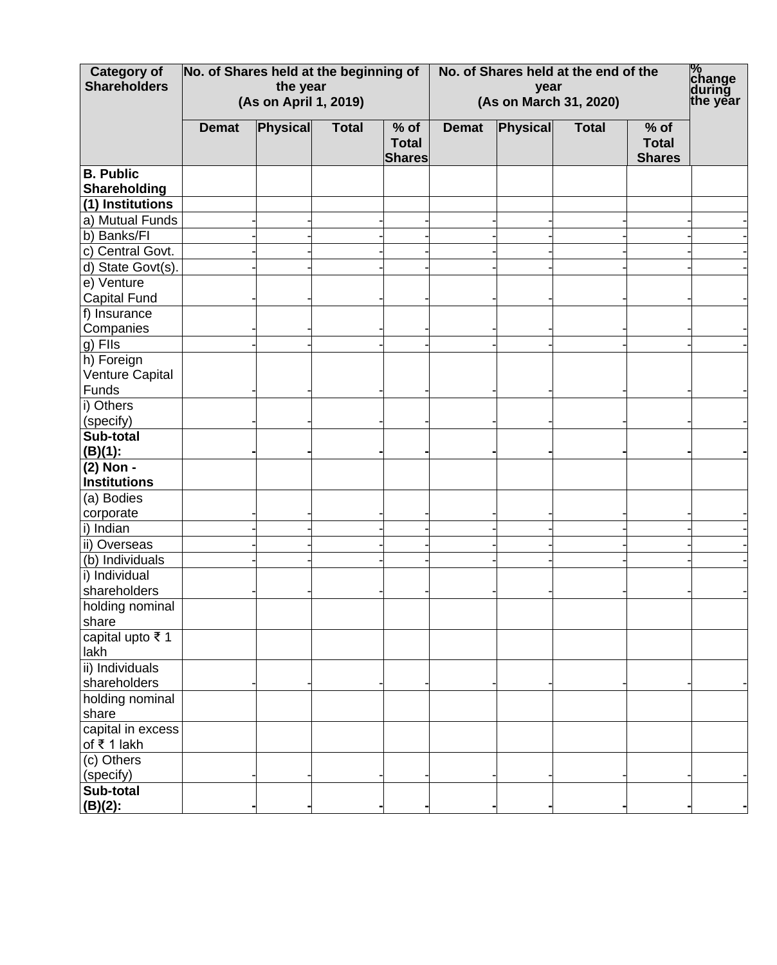| <b>Category of</b><br><b>Shareholders</b> | No. of Shares held at the beginning of<br>the year<br>(As on April 1, 2019) |          |              |                                         |              | year            | No. of Shares held at the end of the<br>(As on March 31, 2020) |                                         | %<br>change<br>during<br>the year |
|-------------------------------------------|-----------------------------------------------------------------------------|----------|--------------|-----------------------------------------|--------------|-----------------|----------------------------------------------------------------|-----------------------------------------|-----------------------------------|
|                                           | <b>Demat</b>                                                                | Physical | <b>Total</b> | $%$ of<br><b>Total</b><br><b>Shares</b> | <b>Demat</b> | <b>Physical</b> | <b>Total</b>                                                   | $%$ of<br><b>Total</b><br><b>Shares</b> |                                   |
| <b>B. Public</b>                          |                                                                             |          |              |                                         |              |                 |                                                                |                                         |                                   |
| Shareholding                              |                                                                             |          |              |                                         |              |                 |                                                                |                                         |                                   |
| (1) Institutions                          |                                                                             |          |              |                                         |              |                 |                                                                |                                         |                                   |
| a) Mutual Funds                           |                                                                             |          |              |                                         |              |                 |                                                                |                                         |                                   |
| b) Banks/FI                               |                                                                             |          |              |                                         |              |                 |                                                                |                                         |                                   |
| c) Central Govt.                          |                                                                             |          |              |                                         |              |                 |                                                                |                                         |                                   |
| d) State Govt(s).                         |                                                                             |          |              |                                         |              |                 |                                                                |                                         |                                   |
| e) Venture                                |                                                                             |          |              |                                         |              |                 |                                                                |                                         |                                   |
| Capital Fund                              |                                                                             |          |              |                                         |              |                 |                                                                |                                         |                                   |
| f) Insurance                              |                                                                             |          |              |                                         |              |                 |                                                                |                                         |                                   |
| Companies                                 |                                                                             |          |              |                                         |              |                 |                                                                |                                         |                                   |
| $g)$ Fils                                 |                                                                             |          |              |                                         |              |                 |                                                                |                                         |                                   |
| h) Foreign                                |                                                                             |          |              |                                         |              |                 |                                                                |                                         |                                   |
| Venture Capital                           |                                                                             |          |              |                                         |              |                 |                                                                |                                         |                                   |
| Funds                                     |                                                                             |          |              |                                         |              |                 |                                                                |                                         |                                   |
| i) Others                                 |                                                                             |          |              |                                         |              |                 |                                                                |                                         |                                   |
| (specify)                                 |                                                                             |          |              |                                         |              |                 |                                                                |                                         |                                   |
| Sub-total                                 |                                                                             |          |              |                                         |              |                 |                                                                |                                         |                                   |
| $(B)(1)$ :                                |                                                                             |          |              |                                         |              |                 |                                                                |                                         |                                   |
| (2) Non -                                 |                                                                             |          |              |                                         |              |                 |                                                                |                                         |                                   |
| <b>Institutions</b><br>(a) Bodies         |                                                                             |          |              |                                         |              |                 |                                                                |                                         |                                   |
| corporate                                 |                                                                             |          |              |                                         |              |                 |                                                                |                                         |                                   |
| i) Indian                                 |                                                                             |          |              |                                         |              |                 |                                                                |                                         |                                   |
| ii) Overseas                              |                                                                             |          |              |                                         |              |                 |                                                                |                                         |                                   |
| (b) Individuals                           |                                                                             |          |              |                                         |              |                 |                                                                |                                         |                                   |
| i) Individual                             |                                                                             |          |              |                                         |              |                 |                                                                |                                         |                                   |
| shareholders                              |                                                                             |          |              |                                         |              |                 |                                                                |                                         |                                   |
| holding nominal                           |                                                                             |          |              |                                         |              |                 |                                                                |                                         |                                   |
| share                                     |                                                                             |          |              |                                         |              |                 |                                                                |                                         |                                   |
| capital upto ₹1                           |                                                                             |          |              |                                         |              |                 |                                                                |                                         |                                   |
| lakh<br>ii) Individuals                   |                                                                             |          |              |                                         |              |                 |                                                                |                                         |                                   |
| shareholders                              |                                                                             |          |              |                                         |              |                 |                                                                |                                         |                                   |
| holding nominal                           |                                                                             |          |              |                                         |              |                 |                                                                |                                         |                                   |
| share                                     |                                                                             |          |              |                                         |              |                 |                                                                |                                         |                                   |
| capital in excess                         |                                                                             |          |              |                                         |              |                 |                                                                |                                         |                                   |
| of ₹ 1 lakh                               |                                                                             |          |              |                                         |              |                 |                                                                |                                         |                                   |
| (c) Others                                |                                                                             |          |              |                                         |              |                 |                                                                |                                         |                                   |
| (specify)                                 |                                                                             |          |              |                                         |              |                 |                                                                |                                         |                                   |
| Sub-total<br>$(B)(2)$ :                   |                                                                             |          |              |                                         |              |                 |                                                                |                                         |                                   |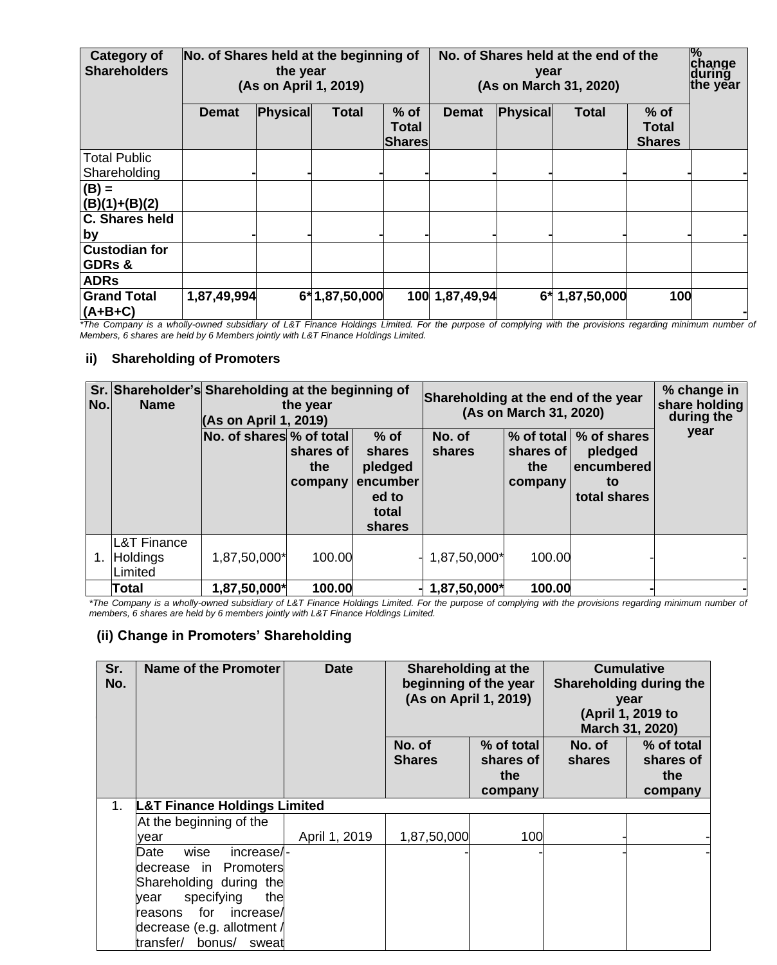| <b>Category of</b><br><b>Shareholders</b> | No. of Shares held at the beginning of<br>the year<br>(As on April 1, 2019) |          |                | No. of Shares held at the end of the<br>year<br>(As on March 31, 2020) |                |          |              | %<br>change<br>during<br>the year       |  |
|-------------------------------------------|-----------------------------------------------------------------------------|----------|----------------|------------------------------------------------------------------------|----------------|----------|--------------|-----------------------------------------|--|
|                                           | <b>Demat</b>                                                                | Physical | Total          | $%$ of<br>Total<br><b>Shares</b>                                       | <b>Demat</b>   | Physical | <b>Total</b> | $%$ of<br><b>Total</b><br><b>Shares</b> |  |
| <b>Total Public</b><br>Shareholding       |                                                                             |          |                |                                                                        |                |          |              |                                         |  |
| $(B) =$<br>$(B)(1)+(B)(2)$                |                                                                             |          |                |                                                                        |                |          |              |                                         |  |
| C. Shares held<br>by                      |                                                                             |          |                |                                                                        |                |          |              |                                         |  |
| <b>Custodian for</b><br><b>GDRs &amp;</b> |                                                                             |          |                |                                                                        |                |          |              |                                         |  |
| <b>ADRs</b>                               |                                                                             |          |                |                                                                        |                |          |              |                                         |  |
| <b>Grand Total</b><br>$(A+B+C)$           | 1,87,49,994                                                                 |          | 6* 1,87,50,000 |                                                                        | 100 1,87,49,94 | 6*       | 1,87,50,000  | 100                                     |  |

*\*The Company is a wholly-owned subsidiary of L&T Finance Holdings Limited. For the purpose of complying with the provisions regarding minimum number of Members, 6 shares are held by 6 Members jointly with L&T Finance Holdings Limited.*

#### **ii) Shareholding of Promoters**

| No. | <b>Name</b>                                          | Sr. Shareholder's Shareholding at the beginning of<br>the year<br>(As on April 1, 2019) |                             |                                                                     | Shareholding at the end of the year<br>(As on March 31, 2020) |                             | % change in<br>share holding<br>during the                                      |      |
|-----|------------------------------------------------------|-----------------------------------------------------------------------------------------|-----------------------------|---------------------------------------------------------------------|---------------------------------------------------------------|-----------------------------|---------------------------------------------------------------------------------|------|
|     |                                                      | No. of shares % of total                                                                | shares of<br>the<br>company | $%$ of<br>shares<br>pledged<br>encumber<br>ed to<br>total<br>shares | No. of<br>shares                                              | shares of<br>the<br>company | % of total   % of shares<br>pledged<br><b>lencumbered</b><br>to<br>total shares | year |
|     | <b>L&amp;T Finance</b><br><b>Holdings</b><br>Limited | 1,87,50,000*                                                                            | 100.00                      |                                                                     | $-1,87,50,000*$                                               | 100.00                      |                                                                                 |      |
|     | Total                                                | 1,87,50,000*                                                                            | 100.00                      |                                                                     | 1,87,50,000*                                                  | 100.00                      |                                                                                 |      |

*\*The Company is a wholly-owned subsidiary of L&T Finance Holdings Limited. For the purpose of complying with the provisions regarding minimum number of members, 6 shares are held by 6 members jointly with L&T Finance Holdings Limited.*

#### **(ii) Change in Promoters' Shareholding**

| Sr.<br>No. | Name of the Promoter                    | Date          | Shareholding at the<br>beginning of the year<br>(As on April 1, 2019) |                  |        | <b>Cumulative</b><br>Shareholding during the<br>year<br>(April 1, 2019 to<br>March 31, 2020) |  |  |
|------------|-----------------------------------------|---------------|-----------------------------------------------------------------------|------------------|--------|----------------------------------------------------------------------------------------------|--|--|
|            |                                         |               | No. of                                                                | % of total       | No. of | % of total                                                                                   |  |  |
|            |                                         |               | <b>Shares</b>                                                         | shares of<br>the | shares | shares of<br>the                                                                             |  |  |
|            |                                         |               |                                                                       | company          |        | company                                                                                      |  |  |
| 1.         | <b>L&amp;T Finance Holdings Limited</b> |               |                                                                       |                  |        |                                                                                              |  |  |
|            | At the beginning of the                 |               |                                                                       |                  |        |                                                                                              |  |  |
|            | year                                    | April 1, 2019 | 1,87,50,000                                                           | 100              |        |                                                                                              |  |  |
|            | Date<br>wise<br>increase/l-             |               |                                                                       |                  |        |                                                                                              |  |  |
|            | ldecrease in Promotersl                 |               |                                                                       |                  |        |                                                                                              |  |  |
|            | Shareholding during the                 |               |                                                                       |                  |        |                                                                                              |  |  |
|            | specifying<br>the<br>vear               |               |                                                                       |                  |        |                                                                                              |  |  |
|            | increase/<br>for<br>reasons             |               |                                                                       |                  |        |                                                                                              |  |  |
|            | decrease (e.g. allotment /              |               |                                                                       |                  |        |                                                                                              |  |  |
|            | transfer/<br>bonus/<br>sweat            |               |                                                                       |                  |        |                                                                                              |  |  |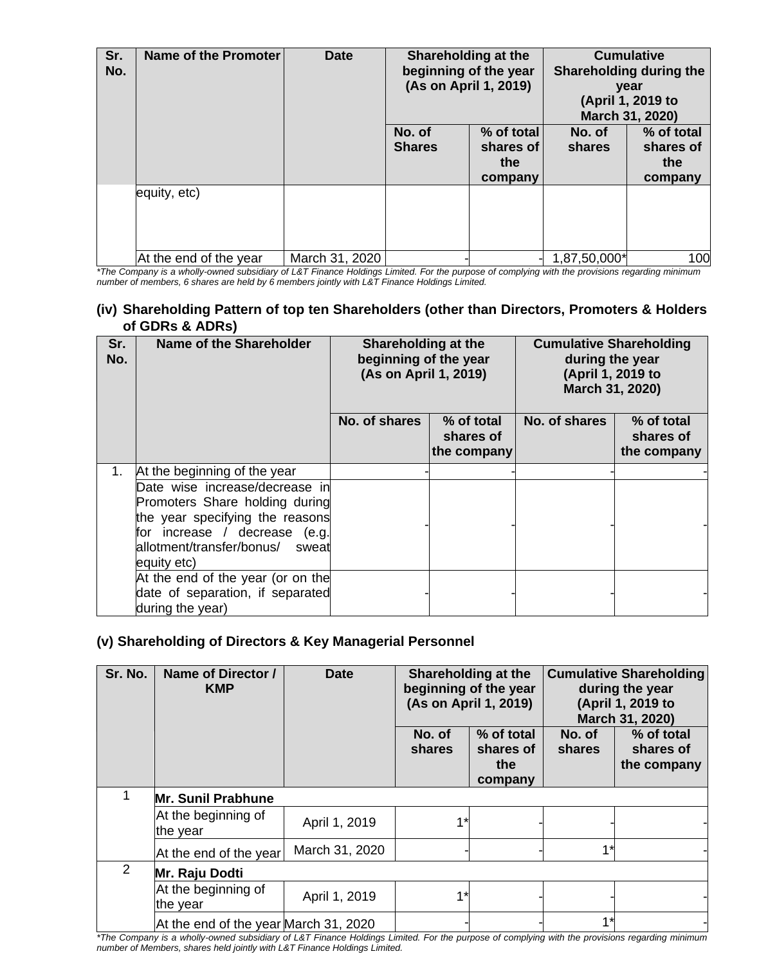| Sr.<br>No. | Name of the Promoter   | Date           | Shareholding at the<br>beginning of the year<br>(As on April 1, 2019) |                                           | <b>Cumulative</b><br>Shareholding during the<br>year<br>(April 1, 2019 to<br>March 31, 2020) |                                           |  |
|------------|------------------------|----------------|-----------------------------------------------------------------------|-------------------------------------------|----------------------------------------------------------------------------------------------|-------------------------------------------|--|
|            |                        |                | No. of<br><b>Shares</b>                                               | % of total<br>shares of<br>the<br>company | No. of<br>shares                                                                             | % of total<br>shares of<br>the<br>company |  |
|            | equity, etc)           |                |                                                                       |                                           |                                                                                              |                                           |  |
|            | At the end of the year | March 31, 2020 |                                                                       |                                           | 1,87,50,000*                                                                                 | 100                                       |  |

*\*The Company is a wholly-owned subsidiary of L&T Finance Holdings Limited. For the purpose of complying with the provisions regarding minimum number of members, 6 shares are held by 6 members jointly with L&T Finance Holdings Limited.*

#### **(iv) Shareholding Pattern of top ten Shareholders (other than Directors, Promoters & Holders of GDRs & ADRs)**

| Sr.<br>No.    | Name of the Shareholder                                                                                                                                                                                                                                                                                             | Shareholding at the<br>beginning of the year<br>(As on April 1, 2019) |                                        | <b>Cumulative Shareholding</b><br>during the year<br>(April 1, 2019 to<br>March 31, 2020) |                                        |
|---------------|---------------------------------------------------------------------------------------------------------------------------------------------------------------------------------------------------------------------------------------------------------------------------------------------------------------------|-----------------------------------------------------------------------|----------------------------------------|-------------------------------------------------------------------------------------------|----------------------------------------|
|               |                                                                                                                                                                                                                                                                                                                     | No. of shares                                                         | % of total<br>shares of<br>the company | No. of shares                                                                             | % of total<br>shares of<br>the company |
| $\mathbf 1$ . | At the beginning of the year<br>Date wise increase/decrease in<br>Promoters Share holding during<br>the year specifying the reasons<br>for increase / decrease (e.g.<br>allotment/transfer/bonus/ sweat<br>equity etc)<br>At the end of the year (or on the<br>date of separation, if separated<br>during the year) |                                                                       |                                        |                                                                                           |                                        |

#### **(v) Shareholding of Directors & Key Managerial Personnel**

| Sr. No.        | Name of Director /<br><b>KMP</b>      | Date           | Shareholding at the<br>beginning of the year<br>(As on April 1, 2019) |                                           | <b>Cumulative Shareholding</b><br>during the year<br>(April 1, 2019 to<br>March 31, 2020) |                                        |  |  |
|----------------|---------------------------------------|----------------|-----------------------------------------------------------------------|-------------------------------------------|-------------------------------------------------------------------------------------------|----------------------------------------|--|--|
|                |                                       |                | No. of<br>shares                                                      | % of total<br>shares of<br>the<br>company | No. of<br>shares                                                                          | % of total<br>shares of<br>the company |  |  |
|                | <b>Mr. Sunil Prabhune</b>             |                |                                                                       |                                           |                                                                                           |                                        |  |  |
|                | At the beginning of<br>the year       | April 1, 2019  | 1*                                                                    |                                           |                                                                                           |                                        |  |  |
|                | At the end of the year                | March 31, 2020 |                                                                       |                                           | $1*$                                                                                      |                                        |  |  |
| $\overline{2}$ | Mr. Raju Dodti                        |                |                                                                       |                                           |                                                                                           |                                        |  |  |
|                | At the beginning of<br>the year       | April 1, 2019  | $4*$                                                                  |                                           |                                                                                           |                                        |  |  |
| $-1$           | At the end of the year March 31, 2020 |                |                                                                       |                                           | $1*$<br>1.1.1.1                                                                           | $\cdots$<br>$\cdot$ $\cdot$            |  |  |

*\*The Company is a wholly-owned subsidiary of L&T Finance Holdings Limited. For the purpose of complying with the provisions regarding minimum number of Members, shares held jointly with L&T Finance Holdings Limited.*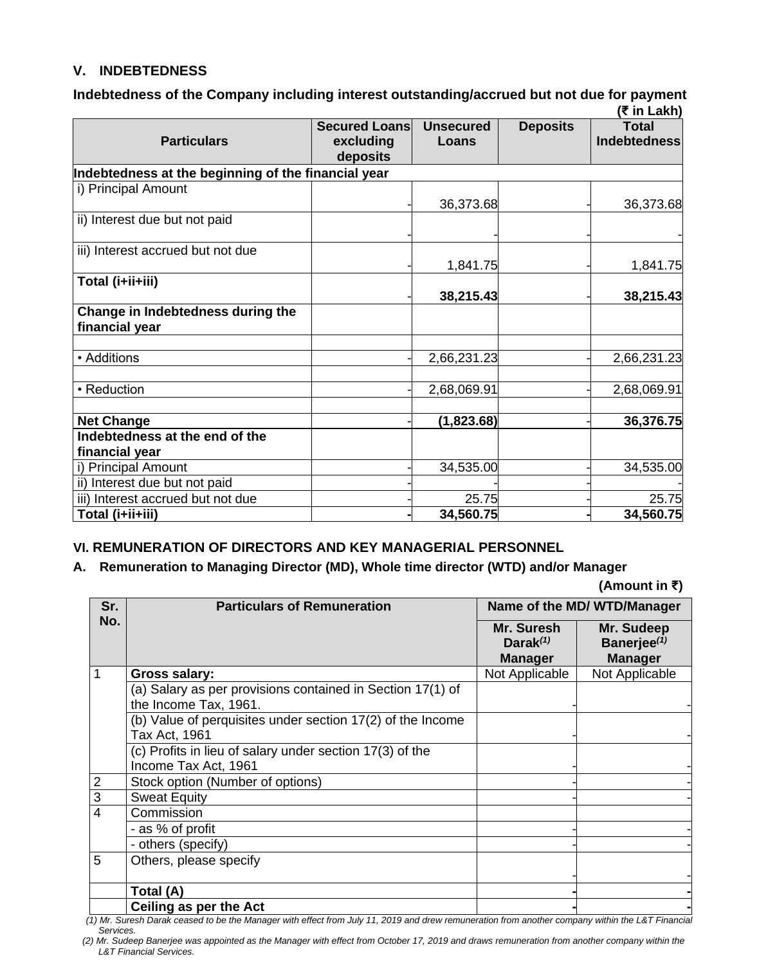#### **V. INDEBTEDNESS**

**Indebtedness of the Company including interest outstanding/accrued but not due for payment (₹ in Lakh)**

|                                                     | <b>Secured Loans</b>  | <b>Unsecured</b> | <b>Deposits</b> | ן גווי ∟ממון<br><b>Total</b> |
|-----------------------------------------------------|-----------------------|------------------|-----------------|------------------------------|
| <b>Particulars</b>                                  | excluding<br>deposits | Loans            |                 | Indebtedness                 |
| Indebtedness at the beginning of the financial year |                       |                  |                 |                              |
| i) Principal Amount                                 |                       |                  |                 |                              |
|                                                     |                       | 36,373.68        |                 | 36,373.68                    |
| ii) Interest due but not paid                       |                       |                  |                 |                              |
| iii) Interest accrued but not due                   |                       |                  |                 |                              |
|                                                     |                       | 1,841.75         |                 | 1,841.75                     |
| Total (i+ii+iii)                                    |                       |                  |                 |                              |
|                                                     |                       | 38,215.43        |                 | 38,215.43                    |
| Change in Indebtedness during the                   |                       |                  |                 |                              |
| financial year                                      |                       |                  |                 |                              |
| • Additions                                         |                       | 2,66,231.23      |                 | 2,66,231.23                  |
|                                                     |                       |                  |                 |                              |
| • Reduction                                         |                       | 2,68,069.91      |                 | 2,68,069.91                  |
| <b>Net Change</b>                                   |                       | (1,823.68)       |                 | 36,376.75                    |
| Indebtedness at the end of the                      |                       |                  |                 |                              |
| financial year                                      |                       |                  |                 |                              |
| i) Principal Amount                                 |                       | 34,535.00        |                 | 34,535.00                    |
| ii) Interest due but not paid                       |                       |                  |                 |                              |
| iii) Interest accrued but not due                   |                       | 25.75            |                 | 25.75                        |
| Total (i+ii+iii)                                    |                       | 34,560.75        |                 | 34,560.75                    |

#### **VI. REMUNERATION OF DIRECTORS AND KEY MANAGERIAL PERSONNEL**

#### **A. Remuneration to Managing Director (MD), Whole time director (WTD) and/or Manager**

**(Amount in ₹)**

| Sr.            | <b>Particulars of Remuneration</b>                         |                                             | Name of the MD/WTD/Manager                              |
|----------------|------------------------------------------------------------|---------------------------------------------|---------------------------------------------------------|
| No.            |                                                            | Mr. Suresh<br>Darak $(1)$<br><b>Manager</b> | Mr. Sudeep<br>Banerjee <sup>(1)</sup><br><b>Manager</b> |
| $\mathbf{1}$   | Gross salary:                                              | Not Applicable                              | Not Applicable                                          |
|                | (a) Salary as per provisions contained in Section 17(1) of |                                             |                                                         |
|                | the Income Tax, 1961.                                      |                                             |                                                         |
|                | (b) Value of perquisites under section 17(2) of the Income |                                             |                                                         |
|                | Tax Act, 1961                                              |                                             |                                                         |
|                | (c) Profits in lieu of salary under section 17(3) of the   |                                             |                                                         |
|                | Income Tax Act, 1961                                       |                                             |                                                         |
| $\frac{2}{3}$  | Stock option (Number of options)                           |                                             |                                                         |
|                | <b>Sweat Equity</b>                                        |                                             |                                                         |
| $\overline{4}$ | Commission                                                 |                                             |                                                         |
|                | - as % of profit                                           |                                             |                                                         |
|                | - others (specify)                                         |                                             |                                                         |
| 5              | Others, please specify                                     |                                             |                                                         |
|                |                                                            |                                             |                                                         |
|                | Total (A)                                                  |                                             |                                                         |
|                | Ceiling as per the Act                                     |                                             |                                                         |

 *(1) Mr. Suresh Darak ceased to be the Manager with effect from July 11, 2019 and drew remuneration from another company within the L&T Financial Services.*

*(2) Mr. Sudeep Banerjee was appointed as the Manager with effect from October 17, 2019 and draws remuneration from another company within the L&T Financial Services.*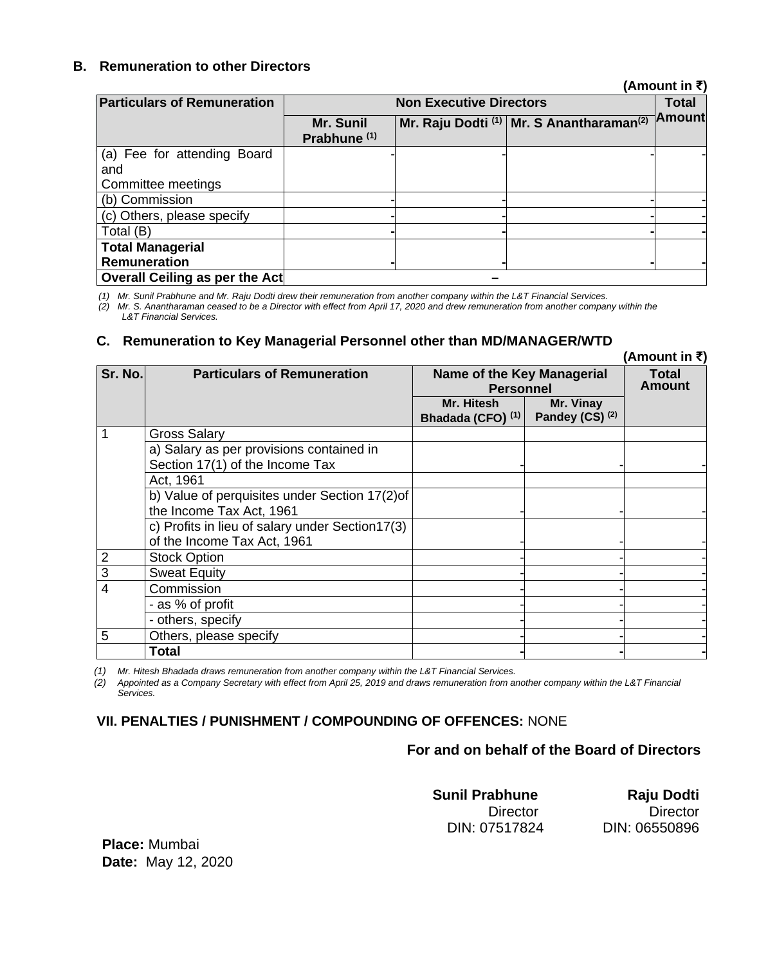#### **B. Remuneration to other Directors**

#### **(Amount in ₹)**

| <b>Particulars of Remuneration</b>    | <b>Non Executive Directors</b>       |  |                                                        |               |  |
|---------------------------------------|--------------------------------------|--|--------------------------------------------------------|---------------|--|
|                                       | Mr. Sunil<br>Prabhune <sup>(1)</sup> |  | Mr. Raju Dodti $(1)$ Mr. S Anantharaman <sup>(2)</sup> | <b>Amount</b> |  |
|                                       |                                      |  |                                                        |               |  |
| (a) Fee for attending Board           |                                      |  |                                                        |               |  |
| and                                   |                                      |  |                                                        |               |  |
| Committee meetings                    |                                      |  |                                                        |               |  |
| (b) Commission                        |                                      |  |                                                        |               |  |
| (c) Others, please specify            |                                      |  |                                                        |               |  |
| Total (B)                             |                                      |  |                                                        |               |  |
| Total Managerial                      |                                      |  |                                                        |               |  |
| Remuneration                          |                                      |  |                                                        |               |  |
| <b>Overall Ceiling as per the Act</b> |                                      |  |                                                        |               |  |

*(1) Mr. Sunil Prabhune and Mr. Raju Dodti drew their remuneration from another company within the L&T Financial Services.* 

*(2) Mr. S. Anantharaman ceased to be a Director with effect from April 17, 2020 and drew remuneration from another company within the L&T Financial Services.* 

#### **C. Remuneration to Key Managerial Personnel other than MD/MANAGER/WTD**

|                |                                                 |                                                |                                         | (Amount in ₹)                 |
|----------------|-------------------------------------------------|------------------------------------------------|-----------------------------------------|-------------------------------|
| Sr. No.        | <b>Particulars of Remuneration</b>              | Name of the Key Managerial<br><b>Personnel</b> |                                         | <b>Total</b><br><b>Amount</b> |
|                |                                                 | Mr. Hitesh<br>Bhadada (CFO) <sup>(1)</sup>     | Mr. Vinay<br>Pandey (CS) <sup>(2)</sup> |                               |
|                | <b>Gross Salary</b>                             |                                                |                                         |                               |
|                | a) Salary as per provisions contained in        |                                                |                                         |                               |
|                | Section 17(1) of the Income Tax                 |                                                |                                         |                               |
|                | Act, 1961                                       |                                                |                                         |                               |
|                | b) Value of perquisites under Section 17(2) of  |                                                |                                         |                               |
|                | the Income Tax Act, 1961                        |                                                |                                         |                               |
|                | c) Profits in lieu of salary under Section17(3) |                                                |                                         |                               |
|                | of the Income Tax Act, 1961                     |                                                |                                         |                               |
| $\overline{2}$ | <b>Stock Option</b>                             |                                                |                                         |                               |
| $\overline{3}$ | <b>Sweat Equity</b>                             |                                                |                                         |                               |
| 4              | Commission                                      |                                                |                                         |                               |
|                | - as % of profit                                |                                                |                                         |                               |
|                | - others, specify                               |                                                |                                         |                               |
| 5              | Others, please specify                          |                                                |                                         |                               |
|                | <b>Total</b>                                    |                                                |                                         |                               |

*(1) Mr. Hitesh Bhadada draws remuneration from another company within the L&T Financial Services.*

*(2) Appointed as a Company Secretary with effect from April 25, 2019 and draws remuneration from another company within the L&T Financial Services.*

#### **VII. PENALTIES / PUNISHMENT / COMPOUNDING OF OFFENCES:** NONE

#### **For and on behalf of the Board of Directors**

**Sunil Prabhune Raju Dodti** DIN: 07517824 DIN: 06550896

Director Director

**Place:** Mumbai **Date:** May 12, 2020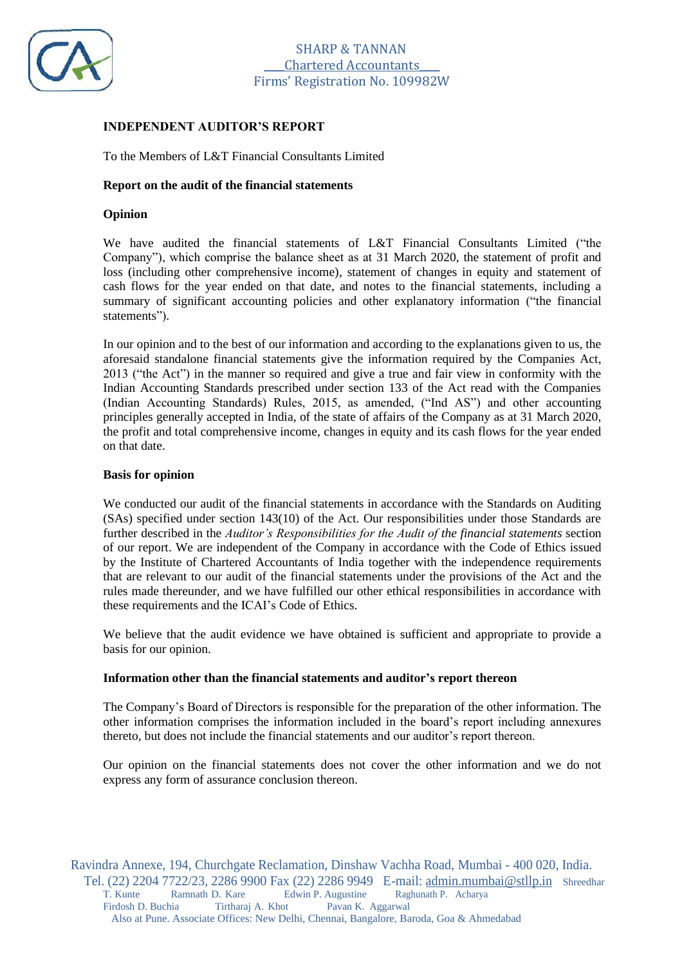

#### **INDEPENDENT AUDITOR'S REPORT**

To the Members of L&T Financial Consultants Limited

#### **Report on the audit of the financial statements**

#### **Opinion**

We have audited the financial statements of L&T Financial Consultants Limited ("the Company"), which comprise the balance sheet as at 31 March 2020, the statement of profit and loss (including other comprehensive income), statement of changes in equity and statement of cash flows for the year ended on that date, and notes to the financial statements, including a summary of significant accounting policies and other explanatory information ("the financial statements").

In our opinion and to the best of our information and according to the explanations given to us, the aforesaid standalone financial statements give the information required by the Companies Act, 2013 ("the Act") in the manner so required and give a true and fair view in conformity with the Indian Accounting Standards prescribed under section 133 of the Act read with the Companies (Indian Accounting Standards) Rules, 2015, as amended, ("Ind AS") and other accounting principles generally accepted in India, of the state of affairs of the Company as at 31 March 2020, the profit and total comprehensive income, changes in equity and its cash flows for the year ended on that date.

#### **Basis for opinion**

We conducted our audit of the financial statements in accordance with the Standards on Auditing (SAs) specified under section 143(10) of the Act. Our responsibilities under those Standards are further described in the *Auditor's Responsibilities for the Audit of the financial statements* section of our report. We are independent of the Company in accordance with the Code of Ethics issued by the Institute of Chartered Accountants of India together with the independence requirements that are relevant to our audit of the financial statements under the provisions of the Act and the rules made thereunder, and we have fulfilled our other ethical responsibilities in accordance with these requirements and the ICAI's Code of Ethics.

We believe that the audit evidence we have obtained is sufficient and appropriate to provide a basis for our opinion.

#### **Information other than the financial statements and auditor's report thereon**

The Company's Board of Directors is responsible for the preparation of the other information. The other information comprises the information included in the board's report including annexures thereto, but does not include the financial statements and our auditor's report thereon.

Our opinion on the financial statements does not cover the other information and we do not express any form of assurance conclusion thereon.

 Ravindra Annexe, 194, Churchgate Reclamation, Dinshaw Vachha Road, Mumbai - 400 020, India. Tel. (22) 2204 7722/23, 2286 9900 Fax (22) 2286 9949 E-mail: [admin.mumbai@stllp.in](mailto:admin.mumbai@stllp.in) Shreedhar T. Kunte Ramnath D. Kare Edwin P. Augustine Raghunath P. Acharya Firdosh D. Buchia Tirtharaj A. Khot Pavan K. Aggarwal Also at Pune. Associate Offices: New Delhi, Chennai, Bangalore, Baroda, Goa & Ahmedabad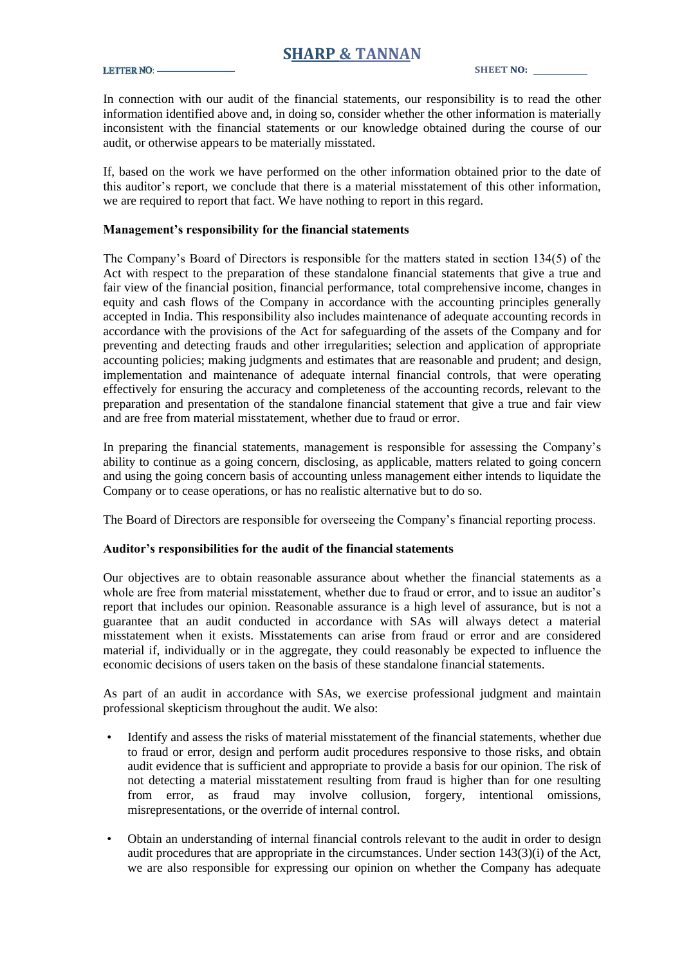### **SHARP & TANNAN**

In connection with our audit of the financial statements, our responsibility is to read the other information identified above and, in doing so, consider whether the other information is materially inconsistent with the financial statements or our knowledge obtained during the course of our audit, or otherwise appears to be materially misstated.

If, based on the work we have performed on the other information obtained prior to the date of this auditor's report, we conclude that there is a material misstatement of this other information, we are required to report that fact. We have nothing to report in this regard.

#### **Management's responsibility for the financial statements**

The Company's Board of Directors is responsible for the matters stated in section 134(5) of the Act with respect to the preparation of these standalone financial statements that give a true and fair view of the financial position, financial performance, total comprehensive income, changes in equity and cash flows of the Company in accordance with the accounting principles generally accepted in India. This responsibility also includes maintenance of adequate accounting records in accordance with the provisions of the Act for safeguarding of the assets of the Company and for preventing and detecting frauds and other irregularities; selection and application of appropriate accounting policies; making judgments and estimates that are reasonable and prudent; and design, implementation and maintenance of adequate internal financial controls, that were operating effectively for ensuring the accuracy and completeness of the accounting records, relevant to the preparation and presentation of the standalone financial statement that give a true and fair view and are free from material misstatement, whether due to fraud or error.

In preparing the financial statements, management is responsible for assessing the Company's ability to continue as a going concern, disclosing, as applicable, matters related to going concern and using the going concern basis of accounting unless management either intends to liquidate the Company or to cease operations, or has no realistic alternative but to do so.

The Board of Directors are responsible for overseeing the Company's financial reporting process.

#### **Auditor's responsibilities for the audit of the financial statements**

Our objectives are to obtain reasonable assurance about whether the financial statements as a whole are free from material misstatement, whether due to fraud or error, and to issue an auditor's report that includes our opinion. Reasonable assurance is a high level of assurance, but is not a guarantee that an audit conducted in accordance with SAs will always detect a material misstatement when it exists. Misstatements can arise from fraud or error and are considered material if, individually or in the aggregate, they could reasonably be expected to influence the economic decisions of users taken on the basis of these standalone financial statements.

As part of an audit in accordance with SAs, we exercise professional judgment and maintain professional skepticism throughout the audit. We also:

- Identify and assess the risks of material misstatement of the financial statements, whether due to fraud or error, design and perform audit procedures responsive to those risks, and obtain audit evidence that is sufficient and appropriate to provide a basis for our opinion. The risk of not detecting a material misstatement resulting from fraud is higher than for one resulting from error, as fraud may involve collusion, forgery, intentional omissions, misrepresentations, or the override of internal control.
- Obtain an understanding of internal financial controls relevant to the audit in order to design audit procedures that are appropriate in the circumstances. Under section 143(3)(i) of the Act, we are also responsible for expressing our opinion on whether the Company has adequate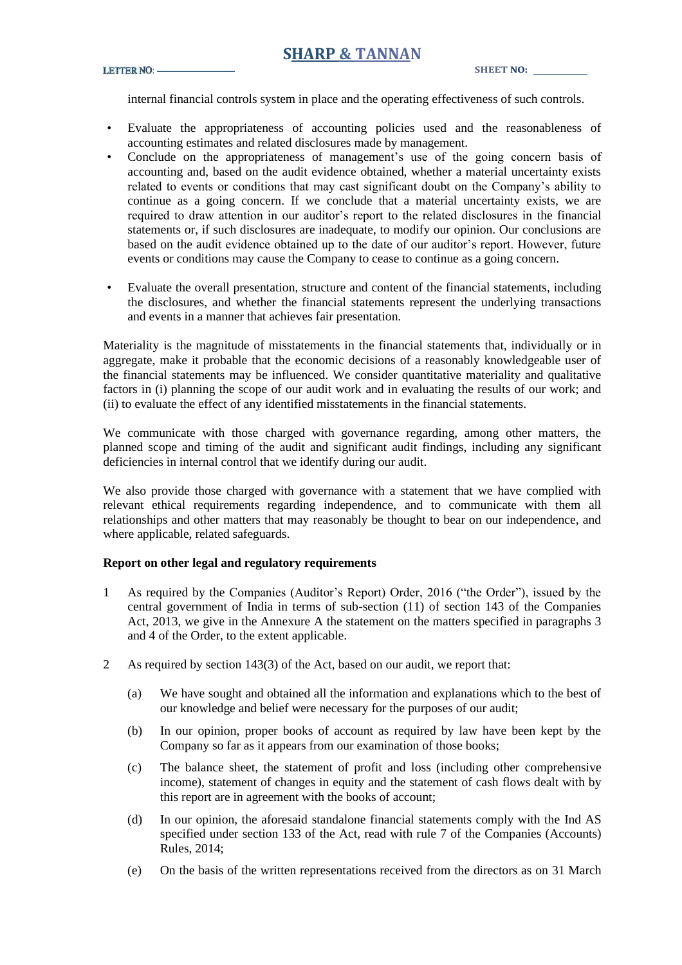**SHEET NO:: \_\_\_\_\_** 

internal financial controls system in place and the operating effectiveness of such controls.

- Evaluate the appropriateness of accounting policies used and the reasonableness of accounting estimates and related disclosures made by management.
- Conclude on the appropriateness of management's use of the going concern basis of accounting and, based on the audit evidence obtained, whether a material uncertainty exists related to events or conditions that may cast significant doubt on the Company's ability to continue as a going concern. If we conclude that a material uncertainty exists, we are required to draw attention in our auditor's report to the related disclosures in the financial statements or, if such disclosures are inadequate, to modify our opinion. Our conclusions are based on the audit evidence obtained up to the date of our auditor's report. However, future events or conditions may cause the Company to cease to continue as a going concern.
- Evaluate the overall presentation, structure and content of the financial statements, including the disclosures, and whether the financial statements represent the underlying transactions and events in a manner that achieves fair presentation.

Materiality is the magnitude of misstatements in the financial statements that, individually or in aggregate, make it probable that the economic decisions of a reasonably knowledgeable user of the financial statements may be influenced. We consider quantitative materiality and qualitative factors in (i) planning the scope of our audit work and in evaluating the results of our work; and (ii) to evaluate the effect of any identified misstatements in the financial statements.

We communicate with those charged with governance regarding, among other matters, the planned scope and timing of the audit and significant audit findings, including any significant deficiencies in internal control that we identify during our audit.

We also provide those charged with governance with a statement that we have complied with relevant ethical requirements regarding independence, and to communicate with them all relationships and other matters that may reasonably be thought to bear on our independence, and where applicable, related safeguards.

#### **Report on other legal and regulatory requirements**

- 1 As required by the Companies (Auditor's Report) Order, 2016 ("the Order"), issued by the central government of India in terms of sub-section (11) of section 143 of the Companies Act, 2013, we give in the Annexure A the statement on the matters specified in paragraphs 3 and 4 of the Order, to the extent applicable.
- 2 As required by section 143(3) of the Act, based on our audit, we report that:
	- (a) We have sought and obtained all the information and explanations which to the best of our knowledge and belief were necessary for the purposes of our audit;
	- (b) In our opinion, proper books of account as required by law have been kept by the Company so far as it appears from our examination of those books;
	- (c) The balance sheet, the statement of profit and loss (including other comprehensive income), statement of changes in equity and the statement of cash flows dealt with by this report are in agreement with the books of account;
	- (d) In our opinion, the aforesaid standalone financial statements comply with the Ind AS specified under section 133 of the Act, read with rule 7 of the Companies (Accounts) Rules, 2014;
	- (e) On the basis of the written representations received from the directors as on 31 March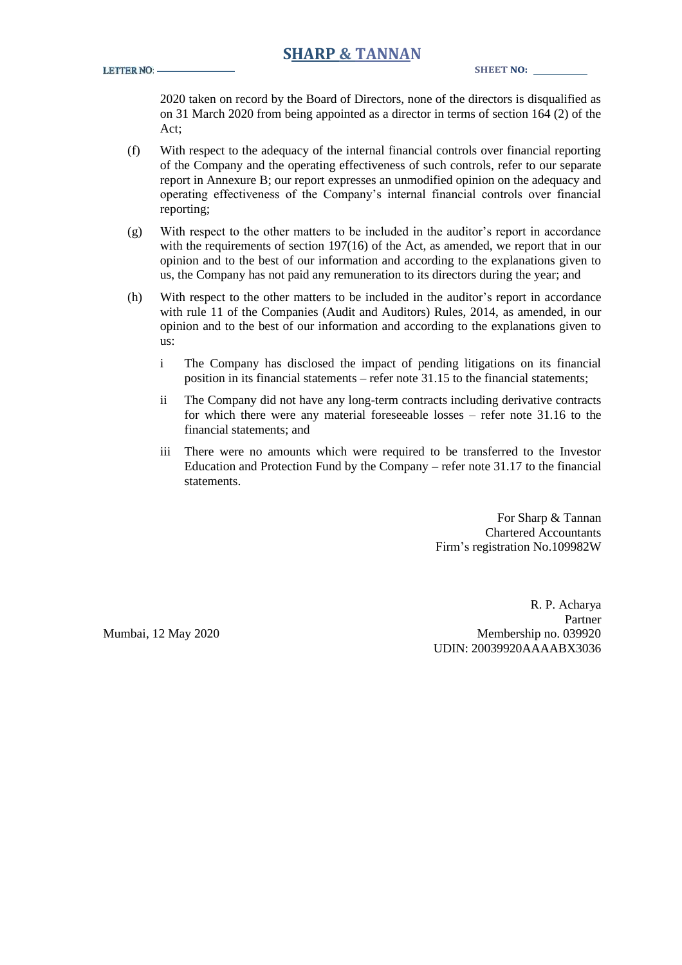**SHEET NO:: \_\_\_\_\_** 

2020 taken on record by the Board of Directors, none of the directors is disqualified as on 31 March 2020 from being appointed as a director in terms of section 164 (2) of the Act;

- (f) With respect to the adequacy of the internal financial controls over financial reporting of the Company and the operating effectiveness of such controls, refer to our separate report in Annexure B; our report expresses an unmodified opinion on the adequacy and operating effectiveness of the Company's internal financial controls over financial reporting;
- (g) With respect to the other matters to be included in the auditor's report in accordance with the requirements of section 197(16) of the Act, as amended, we report that in our opinion and to the best of our information and according to the explanations given to us, the Company has not paid any remuneration to its directors during the year; and
- (h) With respect to the other matters to be included in the auditor's report in accordance with rule 11 of the Companies (Audit and Auditors) Rules, 2014, as amended, in our opinion and to the best of our information and according to the explanations given to us:
	- i The Company has disclosed the impact of pending litigations on its financial position in its financial statements – refer note 31.15 to the financial statements;
	- ii The Company did not have any long-term contracts including derivative contracts for which there were any material foreseeable losses – refer note 31.16 to the financial statements; and
	- iii There were no amounts which were required to be transferred to the Investor Education and Protection Fund by the Company – refer note 31.17 to the financial statements.

For Sharp & Tannan Chartered Accountants Firm's registration No.109982W

R. P. Acharya Partner Mumbai, 12 May 2020 Membership no. 039920 UDIN: 20039920AAAABX3036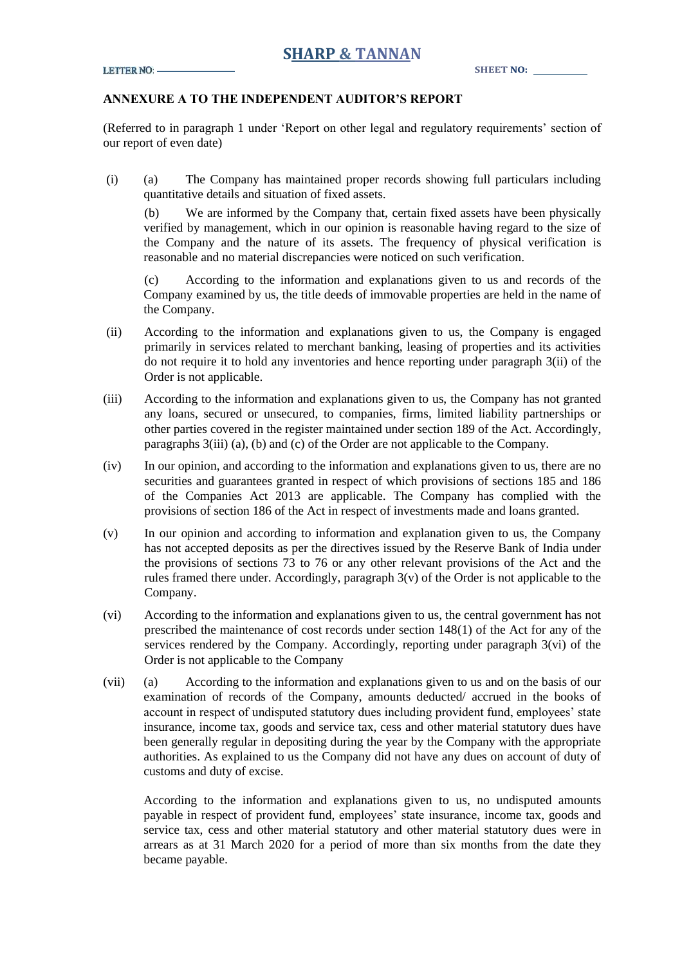#### **ANNEXURE A TO THE INDEPENDENT AUDITOR'S REPORT**

(Referred to in paragraph 1 under 'Report on other legal and regulatory requirements' section of our report of even date)

(i) (a) The Company has maintained proper records showing full particulars including quantitative details and situation of fixed assets.

(b) We are informed by the Company that, certain fixed assets have been physically verified by management, which in our opinion is reasonable having regard to the size of the Company and the nature of its assets. The frequency of physical verification is reasonable and no material discrepancies were noticed on such verification.

According to the information and explanations given to us and records of the Company examined by us, the title deeds of immovable properties are held in the name of the Company.

- (ii) According to the information and explanations given to us, the Company is engaged primarily in services related to merchant banking, leasing of properties and its activities do not require it to hold any inventories and hence reporting under paragraph 3(ii) of the Order is not applicable.
- (iii) According to the information and explanations given to us, the Company has not granted any loans, secured or unsecured, to companies, firms, limited liability partnerships or other parties covered in the register maintained under section 189 of the Act. Accordingly, paragraphs 3(iii) (a), (b) and (c) of the Order are not applicable to the Company.
- (iv) In our opinion, and according to the information and explanations given to us, there are no securities and guarantees granted in respect of which provisions of sections 185 and 186 of the Companies Act 2013 are applicable. The Company has complied with the provisions of section 186 of the Act in respect of investments made and loans granted.
- (v) In our opinion and according to information and explanation given to us, the Company has not accepted deposits as per the directives issued by the Reserve Bank of India under the provisions of sections 73 to 76 or any other relevant provisions of the Act and the rules framed there under. Accordingly, paragraph 3(v) of the Order is not applicable to the Company.
- (vi) According to the information and explanations given to us, the central government has not prescribed the maintenance of cost records under section 148(1) of the Act for any of the services rendered by the Company. Accordingly, reporting under paragraph 3(vi) of the Order is not applicable to the Company
- (vii) (a) According to the information and explanations given to us and on the basis of our examination of records of the Company, amounts deducted/ accrued in the books of account in respect of undisputed statutory dues including provident fund, employees' state insurance, income tax, goods and service tax, cess and other material statutory dues have been generally regular in depositing during the year by the Company with the appropriate authorities. As explained to us the Company did not have any dues on account of duty of customs and duty of excise.

According to the information and explanations given to us, no undisputed amounts payable in respect of provident fund, employees' state insurance, income tax, goods and service tax, cess and other material statutory and other material statutory dues were in arrears as at 31 March 2020 for a period of more than six months from the date they became payable.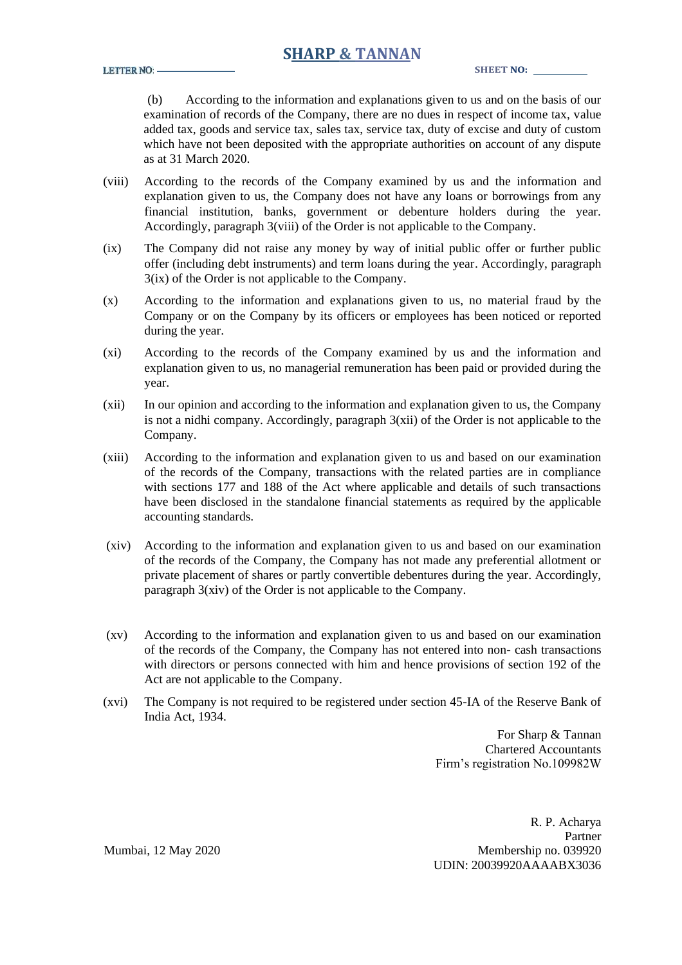(b) According to the information and explanations given to us and on the basis of our examination of records of the Company, there are no dues in respect of income tax, value added tax, goods and service tax, sales tax, service tax, duty of excise and duty of custom which have not been deposited with the appropriate authorities on account of any dispute as at 31 March 2020.

- (viii) According to the records of the Company examined by us and the information and explanation given to us, the Company does not have any loans or borrowings from any financial institution, banks, government or debenture holders during the year. Accordingly, paragraph 3(viii) of the Order is not applicable to the Company.
- (ix) The Company did not raise any money by way of initial public offer or further public offer (including debt instruments) and term loans during the year. Accordingly, paragraph 3(ix) of the Order is not applicable to the Company.
- (x) According to the information and explanations given to us, no material fraud by the Company or on the Company by its officers or employees has been noticed or reported during the year.
- (xi) According to the records of the Company examined by us and the information and explanation given to us, no managerial remuneration has been paid or provided during the year.
- (xii) In our opinion and according to the information and explanation given to us, the Company is not a nidhi company. Accordingly, paragraph  $3(xii)$  of the Order is not applicable to the Company.
- (xiii) According to the information and explanation given to us and based on our examination of the records of the Company, transactions with the related parties are in compliance with sections 177 and 188 of the Act where applicable and details of such transactions have been disclosed in the standalone financial statements as required by the applicable accounting standards.
- (xiv) According to the information and explanation given to us and based on our examination of the records of the Company, the Company has not made any preferential allotment or private placement of shares or partly convertible debentures during the year. Accordingly, paragraph 3(xiv) of the Order is not applicable to the Company.
- (xv) According to the information and explanation given to us and based on our examination of the records of the Company, the Company has not entered into non- cash transactions with directors or persons connected with him and hence provisions of section 192 of the Act are not applicable to the Company.
- (xvi) The Company is not required to be registered under section 45-IA of the Reserve Bank of India Act, 1934.

For Sharp & Tannan Chartered Accountants Firm's registration No.109982W

R. P. Acharya Partner Mumbai, 12 May 2020 Membership no. 039920 UDIN: 20039920AAAABX3036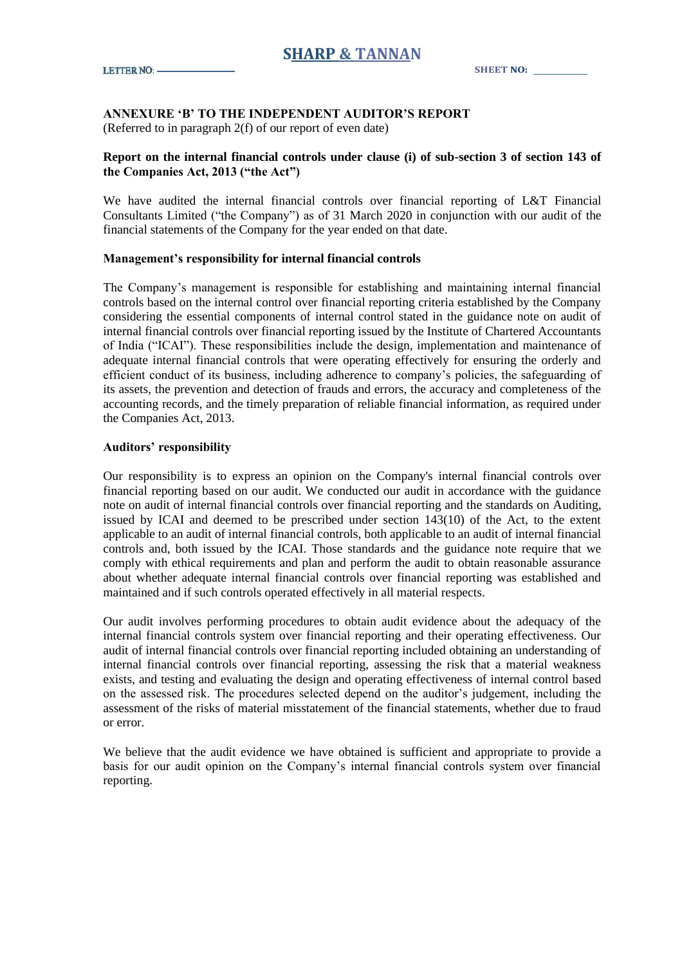#### **ANNEXURE 'B' TO THE INDEPENDENT AUDITOR'S REPORT** (Referred to in paragraph 2(f) of our report of even date)

#### **Report on the internal financial controls under clause (i) of sub-section 3 of section 143 of the Companies Act, 2013 ("the Act")**

We have audited the internal financial controls over financial reporting of L&T Financial Consultants Limited ("the Company") as of 31 March 2020 in conjunction with our audit of the financial statements of the Company for the year ended on that date.

#### **Management's responsibility for internal financial controls**

The Company's management is responsible for establishing and maintaining internal financial controls based on the internal control over financial reporting criteria established by the Company considering the essential components of internal control stated in the guidance note on audit of internal financial controls over financial reporting issued by the Institute of Chartered Accountants of India ("ICAI"). These responsibilities include the design, implementation and maintenance of adequate internal financial controls that were operating effectively for ensuring the orderly and efficient conduct of its business, including adherence to company's policies, the safeguarding of its assets, the prevention and detection of frauds and errors, the accuracy and completeness of the accounting records, and the timely preparation of reliable financial information, as required under the Companies Act, 2013.

#### **Auditors' responsibility**

Our responsibility is to express an opinion on the Company's internal financial controls over financial reporting based on our audit. We conducted our audit in accordance with the guidance note on audit of internal financial controls over financial reporting and the standards on Auditing, issued by ICAI and deemed to be prescribed under section 143(10) of the Act, to the extent applicable to an audit of internal financial controls, both applicable to an audit of internal financial controls and, both issued by the ICAI. Those standards and the guidance note require that we comply with ethical requirements and plan and perform the audit to obtain reasonable assurance about whether adequate internal financial controls over financial reporting was established and maintained and if such controls operated effectively in all material respects.

Our audit involves performing procedures to obtain audit evidence about the adequacy of the internal financial controls system over financial reporting and their operating effectiveness. Our audit of internal financial controls over financial reporting included obtaining an understanding of internal financial controls over financial reporting, assessing the risk that a material weakness exists, and testing and evaluating the design and operating effectiveness of internal control based on the assessed risk. The procedures selected depend on the auditor's judgement, including the assessment of the risks of material misstatement of the financial statements, whether due to fraud or error.

We believe that the audit evidence we have obtained is sufficient and appropriate to provide a basis for our audit opinion on the Company's internal financial controls system over financial reporting.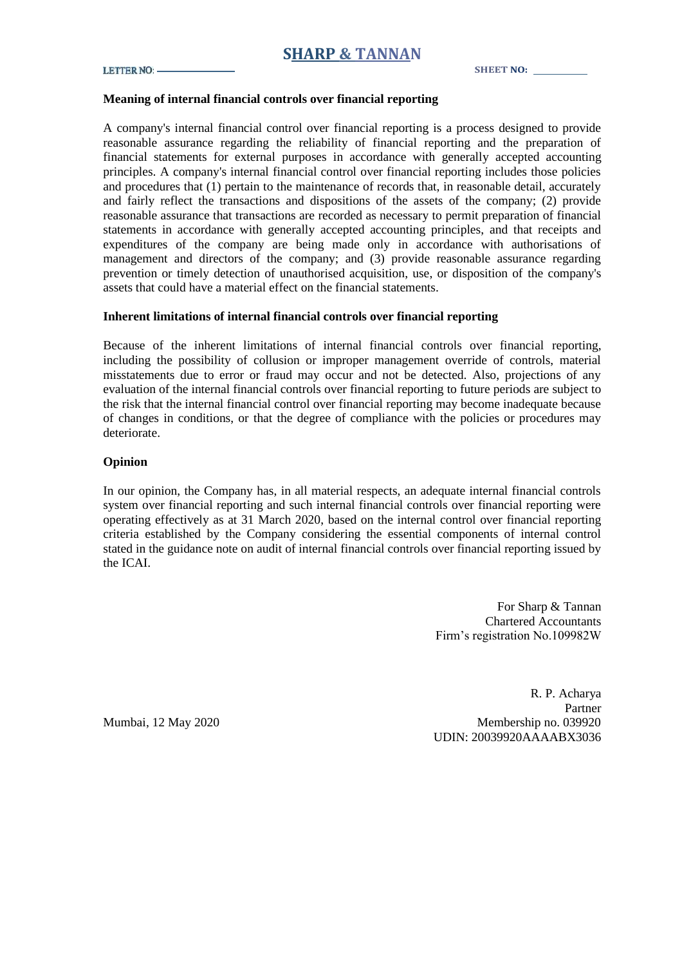#### **Meaning of internal financial controls over financial reporting**

A company's internal financial control over financial reporting is a process designed to provide reasonable assurance regarding the reliability of financial reporting and the preparation of financial statements for external purposes in accordance with generally accepted accounting principles. A company's internal financial control over financial reporting includes those policies and procedures that (1) pertain to the maintenance of records that, in reasonable detail, accurately and fairly reflect the transactions and dispositions of the assets of the company; (2) provide reasonable assurance that transactions are recorded as necessary to permit preparation of financial statements in accordance with generally accepted accounting principles, and that receipts and expenditures of the company are being made only in accordance with authorisations of management and directors of the company; and (3) provide reasonable assurance regarding prevention or timely detection of unauthorised acquisition, use, or disposition of the company's assets that could have a material effect on the financial statements.

#### **Inherent limitations of internal financial controls over financial reporting**

Because of the inherent limitations of internal financial controls over financial reporting, including the possibility of collusion or improper management override of controls, material misstatements due to error or fraud may occur and not be detected. Also, projections of any evaluation of the internal financial controls over financial reporting to future periods are subject to the risk that the internal financial control over financial reporting may become inadequate because of changes in conditions, or that the degree of compliance with the policies or procedures may deteriorate.

#### **Opinion**

In our opinion, the Company has, in all material respects, an adequate internal financial controls system over financial reporting and such internal financial controls over financial reporting were operating effectively as at 31 March 2020, based on the internal control over financial reporting criteria established by the Company considering the essential components of internal control stated in the guidance note on audit of internal financial controls over financial reporting issued by the ICAI.

> For Sharp & Tannan Chartered Accountants Firm's registration No.109982W

R. P. Acharya Partner Mumbai, 12 May 2020 Membership no. 039920 UDIN: 20039920AAAABX3036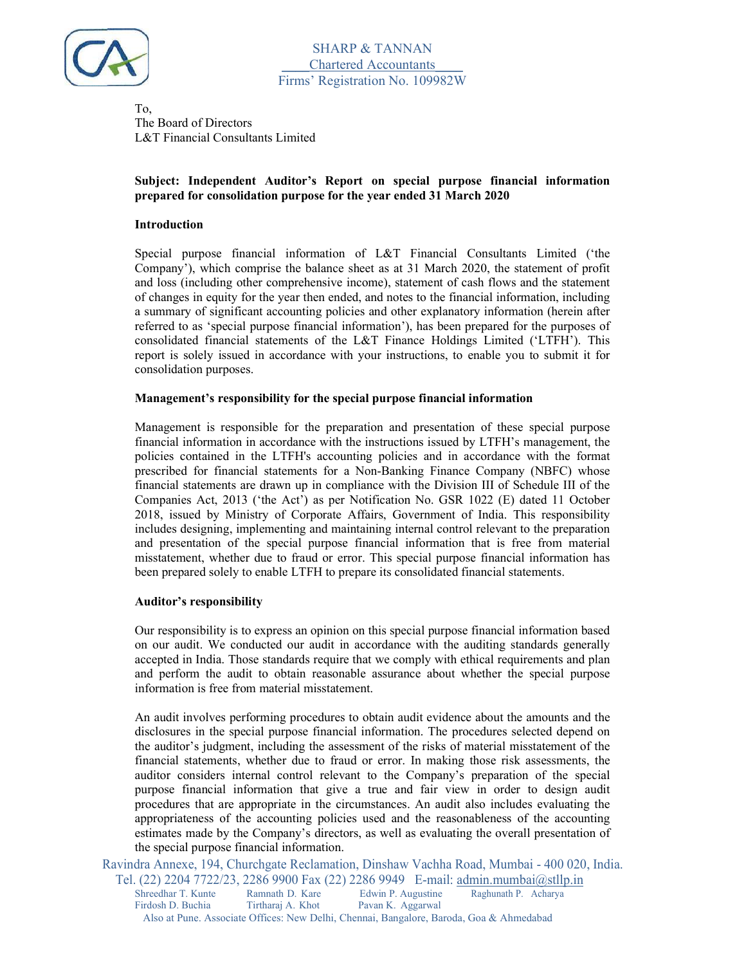

 SHARP & TANNAN \_\_\_\_Chartered Accountants\_\_\_\_ Firms' Registration No. 109982W

To, The Board of Directors L&T Financial Consultants Limited

#### Subject: Independent Auditor's Report on special purpose financial information prepared for consolidation purpose for the year ended 31 March 2020

#### Introduction

Special purpose financial information of L&T Financial Consultants Limited ('the Company'), which comprise the balance sheet as at 31 March 2020, the statement of profit and loss (including other comprehensive income), statement of cash flows and the statement of changes in equity for the year then ended, and notes to the financial information, including a summary of significant accounting policies and other explanatory information (herein after referred to as 'special purpose financial information'), has been prepared for the purposes of consolidated financial statements of the L&T Finance Holdings Limited ('LTFH'). This report is solely issued in accordance with your instructions, to enable you to submit it for consolidation purposes.

#### Management's responsibility for the special purpose financial information

Management is responsible for the preparation and presentation of these special purpose financial information in accordance with the instructions issued by LTFH's management, the policies contained in the LTFH's accounting policies and in accordance with the format prescribed for financial statements for a Non-Banking Finance Company (NBFC) whose financial statements are drawn up in compliance with the Division III of Schedule III of the Companies Act, 2013 ('the Act') as per Notification No. GSR 1022 (E) dated 11 October 2018, issued by Ministry of Corporate Affairs, Government of India. This responsibility includes designing, implementing and maintaining internal control relevant to the preparation and presentation of the special purpose financial information that is free from material misstatement, whether due to fraud or error. This special purpose financial information has been prepared solely to enable LTFH to prepare its consolidated financial statements.

#### Auditor's responsibility

Our responsibility is to express an opinion on this special purpose financial information based on our audit. We conducted our audit in accordance with the auditing standards generally accepted in India. Those standards require that we comply with ethical requirements and plan and perform the audit to obtain reasonable assurance about whether the special purpose information is free from material misstatement.

An audit involves performing procedures to obtain audit evidence about the amounts and the disclosures in the special purpose financial information. The procedures selected depend on the auditor's judgment, including the assessment of the risks of material misstatement of the financial statements, whether due to fraud or error. In making those risk assessments, the auditor considers internal control relevant to the Company's preparation of the special purpose financial information that give a true and fair view in order to design audit procedures that are appropriate in the circumstances. An audit also includes evaluating the appropriateness of the accounting policies used and the reasonableness of the accounting estimates made by the Company's directors, as well as evaluating the overall presentation of the special purpose financial information.

 Ravindra Annexe, 194, Churchgate Reclamation, Dinshaw Vachha Road, Mumbai - 400 020, India. Tel. (22) 2204 7722/23, 2286 9900 Fax (22) 2286 9949 E-mail: admin.mumbai@stllp.in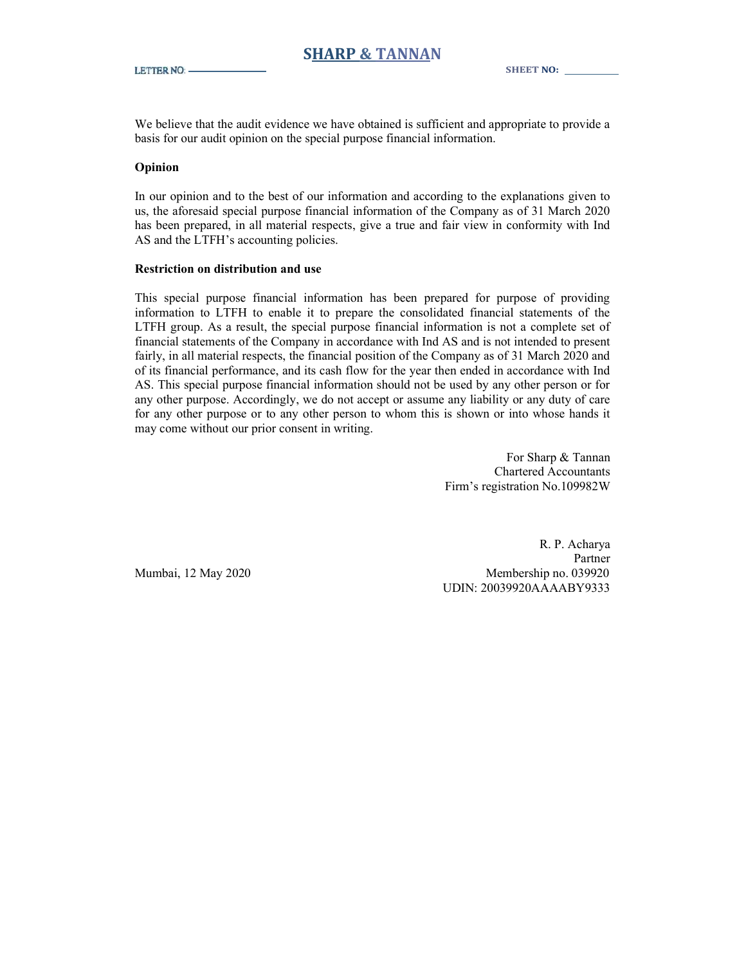SHEET NO: \_\_\_

We believe that the audit evidence we have obtained is sufficient and appropriate to provide a basis for our audit opinion on the special purpose financial information.

#### Opinion

In our opinion and to the best of our information and according to the explanations given to us, the aforesaid special purpose financial information of the Company as of 31 March 2020 has been prepared, in all material respects, give a true and fair view in conformity with Ind AS and the LTFH's accounting policies.

#### Restriction on distribution and use

This special purpose financial information has been prepared for purpose of providing information to LTFH to enable it to prepare the consolidated financial statements of the LTFH group. As a result, the special purpose financial information is not a complete set of financial statements of the Company in accordance with Ind AS and is not intended to present fairly, in all material respects, the financial position of the Company as of 31 March 2020 and of its financial performance, and its cash flow for the year then ended in accordance with Ind AS. This special purpose financial information should not be used by any other person or for any other purpose. Accordingly, we do not accept or assume any liability or any duty of care for any other purpose or to any other person to whom this is shown or into whose hands it may come without our prior consent in writing.

> For Sharp & Tannan Chartered Accountants Firm's registration No.109982W

R. P. Acharya Partner Mumbai, 12 May 2020 Membership no. 039920 UDIN: 20039920AAAABY9333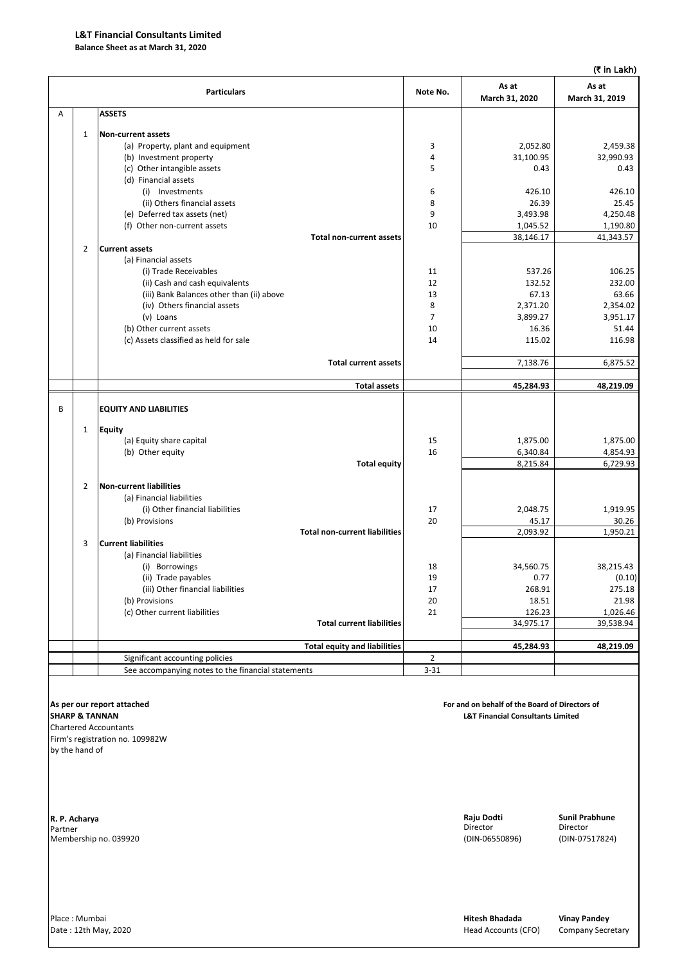**Balance Sheet as at March 31, 2020**

|   |                |                                                         |                                      |                | (₹ in Lakh)             |                         |  |
|---|----------------|---------------------------------------------------------|--------------------------------------|----------------|-------------------------|-------------------------|--|
|   |                | <b>Particulars</b>                                      |                                      | Note No.       | As at<br>March 31, 2020 | As at<br>March 31, 2019 |  |
| А |                | <b>ASSETS</b>                                           |                                      |                |                         |                         |  |
|   |                |                                                         |                                      |                |                         |                         |  |
|   | 1              | Non-current assets<br>(a) Property, plant and equipment |                                      | 3              | 2,052.80                | 2,459.38                |  |
|   |                | (b) Investment property                                 |                                      | 4              | 31,100.95               | 32,990.93               |  |
|   |                | (c) Other intangible assets                             |                                      | 5              | 0.43                    | 0.43                    |  |
|   |                | (d) Financial assets                                    |                                      |                |                         |                         |  |
|   |                | (i) Investments                                         |                                      | 6              | 426.10                  | 426.10                  |  |
|   |                | (ii) Others financial assets                            |                                      | 8              | 26.39                   | 25.45                   |  |
|   |                | (e) Deferred tax assets (net)                           |                                      | 9              | 3,493.98                | 4,250.48                |  |
|   |                | (f) Other non-current assets                            |                                      | 10             | 1,045.52                | 1,190.80                |  |
|   |                |                                                         | <b>Total non-current assets</b>      |                | 38,146.17               | 41,343.57               |  |
|   | $\overline{2}$ | <b>Current assets</b>                                   |                                      |                |                         |                         |  |
|   |                | (a) Financial assets                                    |                                      |                |                         |                         |  |
|   |                | (i) Trade Receivables                                   |                                      | 11             | 537.26                  | 106.25                  |  |
|   |                | (ii) Cash and cash equivalents                          |                                      | 12             | 132.52                  | 232.00                  |  |
|   |                | (iii) Bank Balances other than (ii) above               |                                      | 13             | 67.13                   | 63.66                   |  |
|   |                | (iv) Others financial assets                            |                                      | 8              | 2,371.20                | 2,354.02                |  |
|   |                | (v) Loans                                               |                                      | $\overline{7}$ | 3,899.27                | 3,951.17                |  |
|   |                | (b) Other current assets                                |                                      | 10             | 16.36                   | 51.44                   |  |
|   |                | (c) Assets classified as held for sale                  |                                      | 14             | 115.02                  | 116.98                  |  |
|   |                |                                                         |                                      |                |                         |                         |  |
|   |                |                                                         | <b>Total current assets</b>          |                | 7,138.76                | 6,875.52                |  |
|   |                |                                                         | <b>Total assets</b>                  |                | 45,284.93               | 48,219.09               |  |
| B |                | <b>EQUITY AND LIABILITIES</b>                           |                                      |                |                         |                         |  |
|   |                |                                                         |                                      |                |                         |                         |  |
|   | $\mathbf{1}$   | <b>Equity</b>                                           |                                      |                |                         |                         |  |
|   |                | (a) Equity share capital                                |                                      | 15             | 1,875.00                | 1,875.00                |  |
|   |                | (b) Other equity                                        |                                      | 16             | 6,340.84                | 4,854.93                |  |
|   |                |                                                         | <b>Total equity</b>                  |                | 8,215.84                | 6,729.93                |  |
|   | $\overline{2}$ | <b>Non-current liabilities</b>                          |                                      |                |                         |                         |  |
|   |                | (a) Financial liabilities                               |                                      |                |                         |                         |  |
|   |                | (i) Other financial liabilities                         |                                      | 17             | 2,048.75                | 1,919.95                |  |
|   |                | (b) Provisions                                          |                                      | 20             | 45.17                   | 30.26                   |  |
|   |                |                                                         | <b>Total non-current liabilities</b> |                | 2,093.92                | 1,950.21                |  |
|   | 3              | <b>Current liabilities</b>                              |                                      |                |                         |                         |  |
|   |                | (a) Financial liabilities                               |                                      |                |                         |                         |  |
|   |                | (i) Borrowings                                          |                                      | 18             | 34,560.75               | 38,215.43               |  |
|   |                | (ii) Trade payables                                     |                                      | 19             | 0.77                    | (0.10)                  |  |
|   |                | (iii) Other financial liabilities                       |                                      | 17             | 268.91                  | 275.18                  |  |
|   |                | (b) Provisions                                          |                                      | 20             | 18.51                   | 21.98                   |  |
|   |                | (c) Other current liabilities                           |                                      | 21             | 126.23                  | 1,026.46                |  |
|   |                |                                                         | <b>Total current liabilities</b>     |                | 34,975.17               | 39,538.94               |  |
|   |                |                                                         | <b>Total equity and liabilities</b>  |                | 45,284.93               | 48,219.09               |  |
|   |                | Significant accounting policies                         |                                      | $\overline{2}$ |                         |                         |  |
|   |                | See accompanying notes to the financial statements      |                                      | $3 - 31$       |                         |                         |  |

**As per our report attached SHARP & TANNAN** Chartered Accountants

Firm's registration no. 109982W by the hand of

**R. P. Acharya Raju Dodti Sunil Prabhune** Partner Director Director Membership no. 039920 (DIN-06550896) (DIN-07517824)

**For and on behalf of the Board of Directors of L&T Financial Consultants Limited**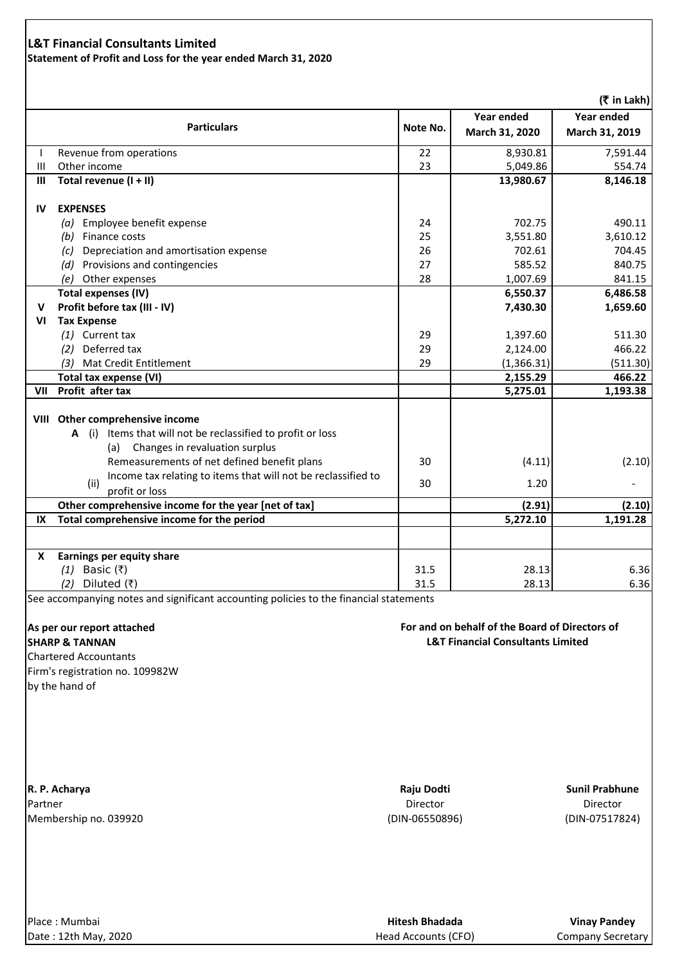### **L&T Financial Consultants Limited Statement of Profit and Loss for the year ended March 31, 2020**

|         |                                                                                        |                |                                                | (₹ in Lakh)           |
|---------|----------------------------------------------------------------------------------------|----------------|------------------------------------------------|-----------------------|
|         |                                                                                        |                | Year ended                                     | <b>Year ended</b>     |
|         | <b>Particulars</b>                                                                     | Note No.       | March 31, 2020                                 | March 31, 2019        |
|         | Revenue from operations                                                                | 22             | 8,930.81                                       | 7,591.44              |
| Ш       | Other income                                                                           | 23             | 5,049.86                                       | 554.74                |
| Ш       | Total revenue (I + II)                                                                 |                | 13,980.67                                      | 8,146.18              |
|         |                                                                                        |                |                                                |                       |
| IV      | <b>EXPENSES</b>                                                                        |                | 702.75                                         | 490.11                |
|         | (a) Employee benefit expense<br>Finance costs                                          | 24<br>25       |                                                |                       |
|         | (b)                                                                                    | 26             | 3,551.80<br>702.61                             | 3,610.12<br>704.45    |
|         | Depreciation and amortisation expense<br>(c)<br>(d) Provisions and contingencies       | 27             | 585.52                                         | 840.75                |
|         | (e) Other expenses                                                                     | 28             | 1,007.69                                       | 841.15                |
|         | <b>Total expenses (IV)</b>                                                             |                | 6,550.37                                       | 6,486.58              |
| V       | Profit before tax (III - IV)                                                           |                | 7,430.30                                       | 1,659.60              |
| VI      | <b>Tax Expense</b>                                                                     |                |                                                |                       |
|         | $(1)$ Current tax                                                                      | 29             | 1,397.60                                       | 511.30                |
|         | Deferred tax<br>(2)                                                                    | 29             | 2,124.00                                       | 466.22                |
|         | Mat Credit Entitlement<br>(3)                                                          | 29             | (1,366.31)                                     | (511.30)              |
|         | <b>Total tax expense (VI)</b>                                                          |                | 2,155.29                                       | 466.22                |
| VII     | Profit after tax                                                                       |                | 5,275.01                                       | 1,193.38              |
|         |                                                                                        |                |                                                |                       |
|         | VIII Other comprehensive income                                                        |                |                                                |                       |
|         | A (i) Items that will not be reclassified to profit or loss                            |                |                                                |                       |
|         | Changes in revaluation surplus<br>(a)                                                  |                |                                                |                       |
|         | Remeasurements of net defined benefit plans                                            | 30             | (4.11)                                         | (2.10)                |
|         | Income tax relating to items that will not be reclassified to<br>(ii)                  | 30             | 1.20                                           |                       |
|         | profit or loss                                                                         |                |                                                |                       |
|         | Other comprehensive income for the year [net of tax]                                   |                | (2.91)                                         | (2.10)                |
| IX      | Total comprehensive income for the period                                              |                | 5,272.10                                       | 1,191.28              |
|         |                                                                                        |                |                                                |                       |
| X.      | <b>Earnings per equity share</b>                                                       |                |                                                |                       |
|         | (1) Basic (₹)                                                                          | 31.5           | 28.13                                          | 6.36                  |
|         | (2) Diluted (₹)                                                                        | 31.5           | 28.13                                          | 6.36                  |
|         | See accompanying notes and significant accounting policies to the financial statements |                |                                                |                       |
|         | As per our report attached                                                             |                | For and on behalf of the Board of Directors of |                       |
|         | <b>SHARP &amp; TANNAN</b>                                                              |                | <b>L&amp;T Financial Consultants Limited</b>   |                       |
|         | <b>Chartered Accountants</b>                                                           |                |                                                |                       |
|         | Firm's registration no. 109982W                                                        |                |                                                |                       |
|         | by the hand of                                                                         |                |                                                |                       |
|         |                                                                                        |                |                                                |                       |
|         |                                                                                        |                |                                                |                       |
|         |                                                                                        |                |                                                |                       |
|         |                                                                                        |                |                                                |                       |
|         |                                                                                        |                |                                                |                       |
|         |                                                                                        |                |                                                |                       |
|         | R. P. Acharya                                                                          | Raju Dodti     |                                                | <b>Sunil Prabhune</b> |
| Partner |                                                                                        | Director       |                                                | Director              |
|         | Membership no. 039920                                                                  | (DIN-06550896) |                                                | (DIN-07517824)        |
|         |                                                                                        |                |                                                |                       |
|         |                                                                                        |                |                                                |                       |
|         |                                                                                        |                |                                                |                       |
|         |                                                                                        |                |                                                |                       |

| Place: Mumbai        | <b>Hitesh Bhadada</b> | <b>Vinay Pandey</b> |
|----------------------|-----------------------|---------------------|
| Date: 12th May, 2020 | Head Accounts (CFO)   | Company Secretary   |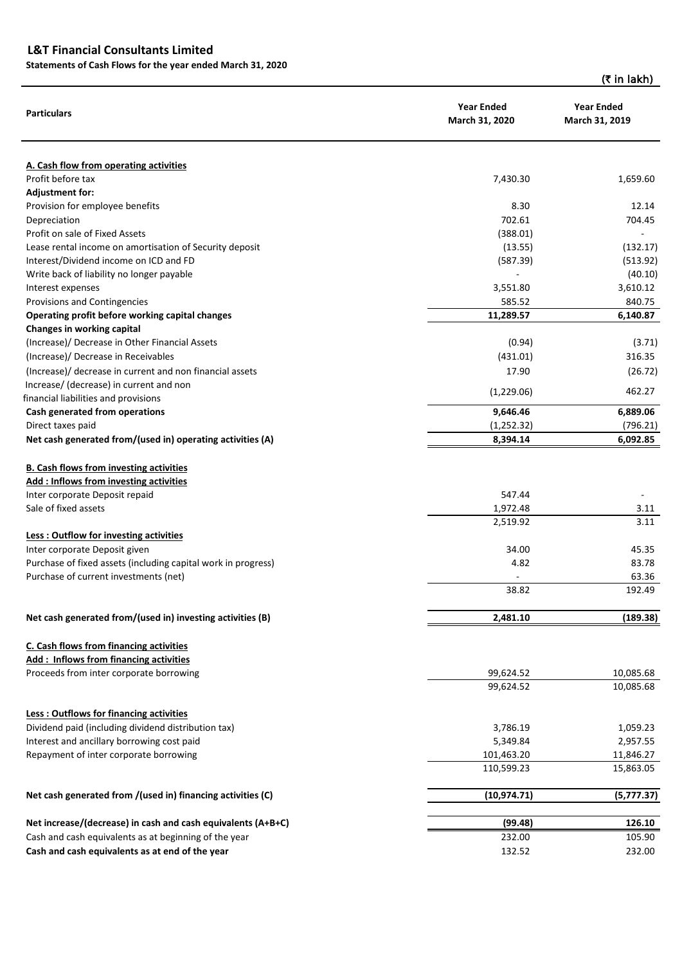**Statements of Cash Flows for the year ended March 31, 2020**

|                                                                                                                                   |                                     | $($ ₹ in lakh)                      |
|-----------------------------------------------------------------------------------------------------------------------------------|-------------------------------------|-------------------------------------|
| <b>Particulars</b>                                                                                                                | <b>Year Ended</b><br>March 31, 2020 | <b>Year Ended</b><br>March 31, 2019 |
| A. Cash flow from operating activities                                                                                            |                                     |                                     |
| Profit before tax                                                                                                                 | 7,430.30                            | 1,659.60                            |
| <b>Adjustment for:</b>                                                                                                            |                                     |                                     |
| Provision for employee benefits                                                                                                   | 8.30                                | 12.14                               |
| Depreciation                                                                                                                      | 702.61                              | 704.45                              |
| Profit on sale of Fixed Assets                                                                                                    | (388.01)                            |                                     |
| Lease rental income on amortisation of Security deposit                                                                           | (13.55)                             | (132.17)                            |
| Interest/Dividend income on ICD and FD                                                                                            | (587.39)                            | (513.92)                            |
| Write back of liability no longer payable                                                                                         |                                     | (40.10)                             |
| Interest expenses                                                                                                                 | 3,551.80                            | 3,610.12                            |
| Provisions and Contingencies                                                                                                      | 585.52                              | 840.75                              |
| Operating profit before working capital changes                                                                                   | 11,289.57                           | 6,140.87                            |
| Changes in working capital                                                                                                        |                                     |                                     |
| (Increase)/ Decrease in Other Financial Assets                                                                                    | (0.94)                              | (3.71)                              |
| (Increase)/ Decrease in Receivables                                                                                               | (431.01)                            | 316.35                              |
| (Increase)/ decrease in current and non financial assets                                                                          | 17.90                               | (26.72)                             |
| Increase/ (decrease) in current and non                                                                                           | (1,229.06)                          | 462.27                              |
| financial liabilities and provisions                                                                                              |                                     |                                     |
| Cash generated from operations                                                                                                    | 9,646.46                            | 6,889.06                            |
| Direct taxes paid                                                                                                                 | (1, 252.32)                         | (796.21)                            |
| Net cash generated from/(used in) operating activities (A)                                                                        | 8,394.14                            | 6,092.85                            |
| <b>B. Cash flows from investing activities</b><br><b>Add: Inflows from investing activities</b><br>Inter corporate Deposit repaid | 547.44                              |                                     |
| Sale of fixed assets                                                                                                              | 1,972.48                            | 3.11                                |
|                                                                                                                                   | 2,519.92                            | 3.11                                |
| <b>Less: Outflow for investing activities</b>                                                                                     |                                     |                                     |
| Inter corporate Deposit given                                                                                                     | 34.00                               | 45.35                               |
| Purchase of fixed assets (including capital work in progress)                                                                     | 4.82                                | 83.78                               |
| Purchase of current investments (net)                                                                                             |                                     | 63.36                               |
|                                                                                                                                   | 38.82                               | 192.49                              |
| Net cash generated from/(used in) investing activities (B)                                                                        | 2,481.10                            | (189.38)                            |
| C. Cash flows from financing activities                                                                                           |                                     |                                     |
| <b>Add: Inflows from financing activities</b>                                                                                     |                                     |                                     |
| Proceeds from inter corporate borrowing                                                                                           | 99,624.52                           | 10,085.68                           |
|                                                                                                                                   | 99,624.52                           | 10,085.68                           |
| Less: Outflows for financing activities                                                                                           |                                     |                                     |
| Dividend paid (including dividend distribution tax)                                                                               | 3,786.19                            | 1,059.23                            |
| Interest and ancillary borrowing cost paid                                                                                        | 5,349.84                            | 2,957.55                            |
| Repayment of inter corporate borrowing                                                                                            | 101,463.20                          | 11,846.27                           |
|                                                                                                                                   | 110,599.23                          | 15,863.05                           |
| Net cash generated from /(used in) financing activities (C)                                                                       | (10, 974.71)                        | (5,777.37)                          |
|                                                                                                                                   |                                     |                                     |
| Net increase/(decrease) in cash and cash equivalents (A+B+C)                                                                      | (99.48)                             | 126.10                              |
| Cash and cash equivalents as at beginning of the year                                                                             | 232.00                              | 105.90                              |
| Cash and cash equivalents as at end of the year                                                                                   | 132.52                              | 232.00                              |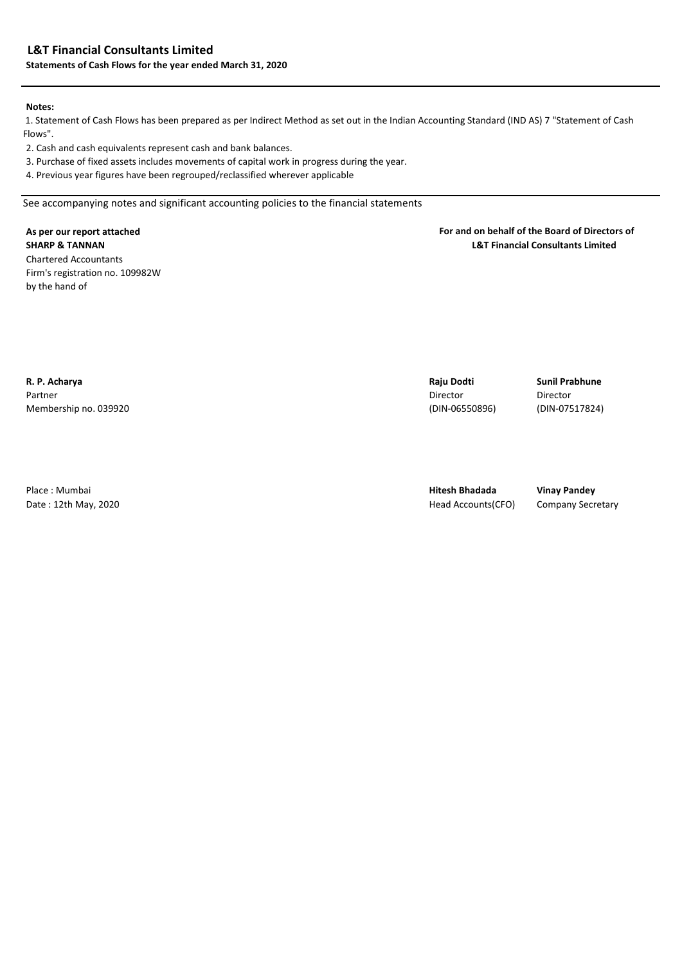#### **Notes:**

 1. Statement of Cash Flows has been prepared as per Indirect Method as set out in the Indian Accounting Standard (IND AS) 7 "Statement of Cash Flows".

2. Cash and cash equivalents represent cash and bank balances.

3. Purchase of fixed assets includes movements of capital work in progress during the year.

4. Previous year figures have been regrouped/reclassified wherever applicable

See accompanying notes and significant accounting policies to the financial statements

**As per our report attached SHARP & TANNAN** Chartered Accountants Firm's registration no. 109982W by the hand of

**L&T Financial Consultants Limited For and on behalf of the Board of Directors of**

**R. P. Acharya Raju Dodti Sunil Prabhune** Partner Director Director Membership no. 039920 (DIN-06550896) (DIN-07517824)

Date : 12th May, 2020 **Head Accounts(CFO)** Company Secretary

Place : Mumbai **Hitesh Bhadada Vinay Pandey**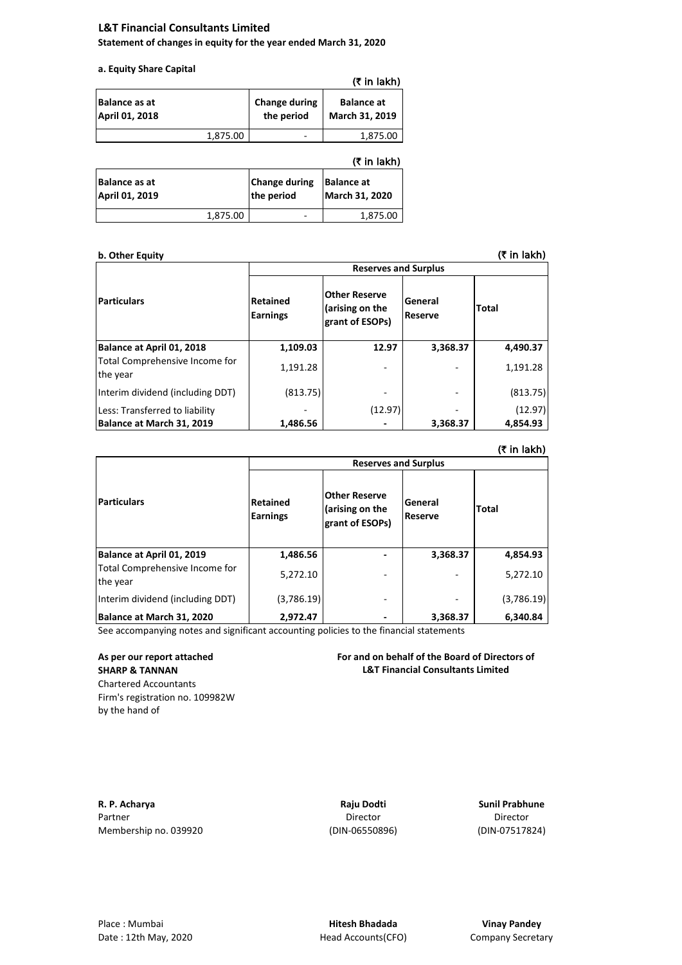**Statement of changes in equity for the year ended March 31, 2020**

**a. Equity Share Capital**

| a. Lydity briard capital               |                             | $($ ₹ in lakh)                      |
|----------------------------------------|-----------------------------|-------------------------------------|
| <b>Balance as at</b><br>April 01, 2018 | Change during<br>the period | <b>Balance at</b><br>March 31, 2019 |
| 1,875.00                               | -                           | 1,875.00                            |

| $($ ₹ in lakh)                  |          |                                    |                                     |  |  |  |  |  |
|---------------------------------|----------|------------------------------------|-------------------------------------|--|--|--|--|--|
| Balance as at<br>April 01, 2019 |          | <b>Change during</b><br>the period | <b>Balance at</b><br>March 31, 2020 |  |  |  |  |  |
|                                 | 1,875.00 |                                    | 1,875.00                            |  |  |  |  |  |

#### **b. Other Equity** (` in lakh)

|                                            | <b>Reserves and Surplus</b> |                                                            |                           |              |  |  |  |
|--------------------------------------------|-----------------------------|------------------------------------------------------------|---------------------------|--------------|--|--|--|
| <b>Particulars</b>                         | Retained<br><b>Earnings</b> | <b>Other Reserve</b><br>(arising on the<br>grant of ESOPs) | General<br><b>Reserve</b> | <b>Total</b> |  |  |  |
| Balance at April 01, 2018                  | 1,109.03                    | 12.97                                                      | 3,368.37                  | 4,490.37     |  |  |  |
| Total Comprehensive Income for<br>the year | 1,191.28                    |                                                            |                           | 1,191.28     |  |  |  |
| Interim dividend (including DDT)           | (813.75)                    |                                                            |                           | (813.75)     |  |  |  |
| Less: Transferred to liability             |                             | (12.97)                                                    |                           | (12.97)      |  |  |  |
| Balance at March 31, 2019                  | 1,486.56                    |                                                            | 3,368.37                  | 4,854.93     |  |  |  |

#### $($ ₹ in lakh)

|                                            | <b>Reserves and Surplus</b> |                                                            |                    |            |  |  |  |
|--------------------------------------------|-----------------------------|------------------------------------------------------------|--------------------|------------|--|--|--|
| <b>Particulars</b>                         | Retained<br><b>Earnings</b> | <b>Other Reserve</b><br>(arising on the<br>grant of ESOPs) | General<br>Reserve | Total      |  |  |  |
| Balance at April 01, 2019                  | 1,486.56                    |                                                            | 3,368.37           | 4,854.93   |  |  |  |
| Total Comprehensive Income for<br>the year | 5,272.10                    |                                                            |                    | 5,272.10   |  |  |  |
| Interim dividend (including DDT)           | (3,786.19)                  |                                                            |                    | (3,786.19) |  |  |  |
| Balance at March 31, 2020                  | 2,972.47                    |                                                            | 3,368.37           | 6,340.84   |  |  |  |

See accompanying notes and significant accounting policies to the financial statements

#### **As per our report attached SHARP & TANNAN** Chartered Accountants Firm's registration no. 109982W

by the hand of

#### **For and on behalf of the Board of Directors of L&T Financial Consultants Limited**

**R. P. Acharya Raju Dodti Sunil Prabhune** Partner Director Director Director Director Director Director Director Director Director  $\sim$ Membership no. 039920 (DIN-06550896) (DIN-07517824)

Place : Mumbai **Hitesh Bhadada Vinay Pandey**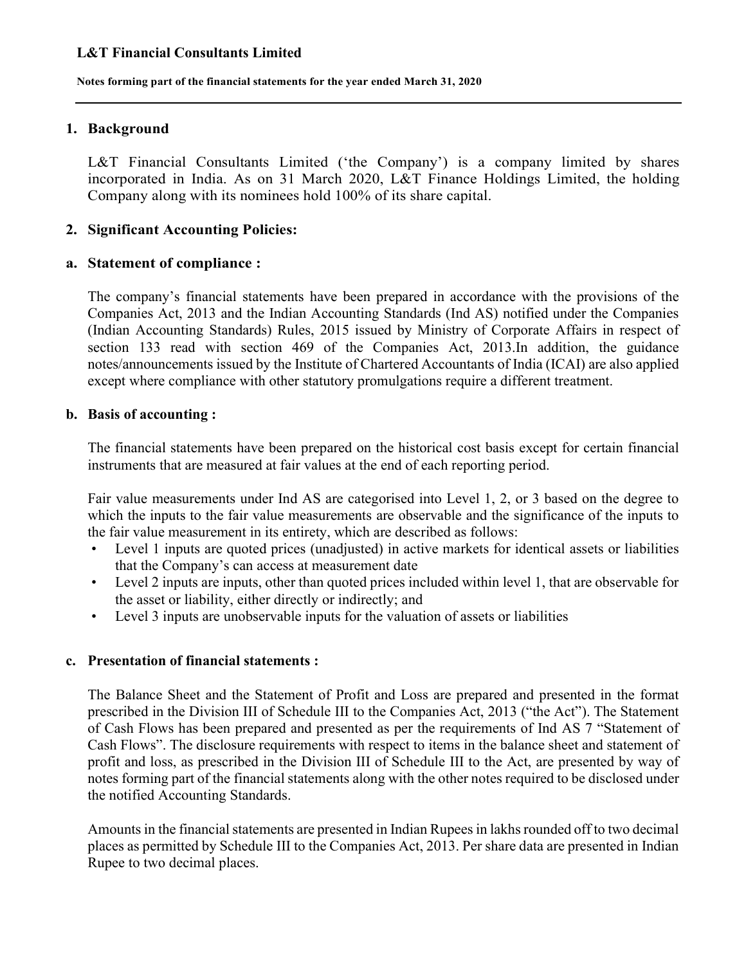Notes forming part of the financial statements for the year ended March 31, 2020

### 1. Background

L&T Financial Consultants Limited ('the Company') is a company limited by shares incorporated in India. As on 31 March 2020, L&T Finance Holdings Limited, the holding Company along with its nominees hold 100% of its share capital.

### 2. Significant Accounting Policies:

### a. Statement of compliance :

The company's financial statements have been prepared in accordance with the provisions of the Companies Act, 2013 and the Indian Accounting Standards (Ind AS) notified under the Companies (Indian Accounting Standards) Rules, 2015 issued by Ministry of Corporate Affairs in respect of section 133 read with section 469 of the Companies Act, 2013.In addition, the guidance notes/announcements issued by the Institute of Chartered Accountants of India (ICAI) are also applied except where compliance with other statutory promulgations require a different treatment.

### b. Basis of accounting :

The financial statements have been prepared on the historical cost basis except for certain financial instruments that are measured at fair values at the end of each reporting period.

Fair value measurements under Ind AS are categorised into Level 1, 2, or 3 based on the degree to which the inputs to the fair value measurements are observable and the significance of the inputs to the fair value measurement in its entirety, which are described as follows:

- Level 1 inputs are quoted prices (unadjusted) in active markets for identical assets or liabilities that the Company's can access at measurement date
- Level 2 inputs are inputs, other than quoted prices included within level 1, that are observable for the asset or liability, either directly or indirectly; and
- Level 3 inputs are unobservable inputs for the valuation of assets or liabilities

### c. Presentation of financial statements :

The Balance Sheet and the Statement of Profit and Loss are prepared and presented in the format prescribed in the Division III of Schedule III to the Companies Act, 2013 ("the Act"). The Statement of Cash Flows has been prepared and presented as per the requirements of Ind AS 7 "Statement of Cash Flows". The disclosure requirements with respect to items in the balance sheet and statement of profit and loss, as prescribed in the Division III of Schedule III to the Act, are presented by way of notes forming part of the financial statements along with the other notes required to be disclosed under the notified Accounting Standards.

Amounts in the financial statements are presented in Indian Rupees in lakhs rounded off to two decimal places as permitted by Schedule III to the Companies Act, 2013. Per share data are presented in Indian Rupee to two decimal places.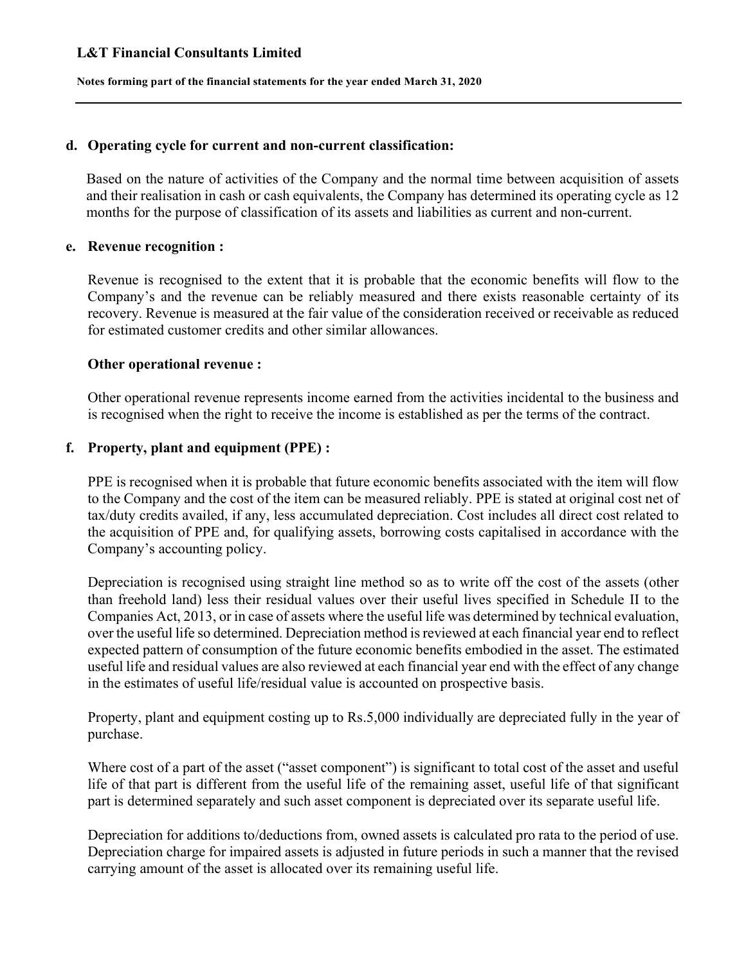Notes forming part of the financial statements for the year ended March 31, 2020

#### d. Operating cycle for current and non-current classification:

Based on the nature of activities of the Company and the normal time between acquisition of assets and their realisation in cash or cash equivalents, the Company has determined its operating cycle as 12 months for the purpose of classification of its assets and liabilities as current and non-current.

#### e. Revenue recognition :

Revenue is recognised to the extent that it is probable that the economic benefits will flow to the Company's and the revenue can be reliably measured and there exists reasonable certainty of its recovery. Revenue is measured at the fair value of the consideration received or receivable as reduced for estimated customer credits and other similar allowances.

#### Other operational revenue :

Other operational revenue represents income earned from the activities incidental to the business and is recognised when the right to receive the income is established as per the terms of the contract.

### f. Property, plant and equipment (PPE) :

PPE is recognised when it is probable that future economic benefits associated with the item will flow to the Company and the cost of the item can be measured reliably. PPE is stated at original cost net of tax/duty credits availed, if any, less accumulated depreciation. Cost includes all direct cost related to the acquisition of PPE and, for qualifying assets, borrowing costs capitalised in accordance with the Company's accounting policy.

Depreciation is recognised using straight line method so as to write off the cost of the assets (other than freehold land) less their residual values over their useful lives specified in Schedule II to the Companies Act, 2013, or in case of assets where the useful life was determined by technical evaluation, over the useful life so determined. Depreciation method is reviewed at each financial year end to reflect expected pattern of consumption of the future economic benefits embodied in the asset. The estimated useful life and residual values are also reviewed at each financial year end with the effect of any change in the estimates of useful life/residual value is accounted on prospective basis.

Property, plant and equipment costing up to Rs.5,000 individually are depreciated fully in the year of purchase.

Where cost of a part of the asset ("asset component") is significant to total cost of the asset and useful life of that part is different from the useful life of the remaining asset, useful life of that significant part is determined separately and such asset component is depreciated over its separate useful life.

Depreciation for additions to/deductions from, owned assets is calculated pro rata to the period of use. Depreciation charge for impaired assets is adjusted in future periods in such a manner that the revised carrying amount of the asset is allocated over its remaining useful life.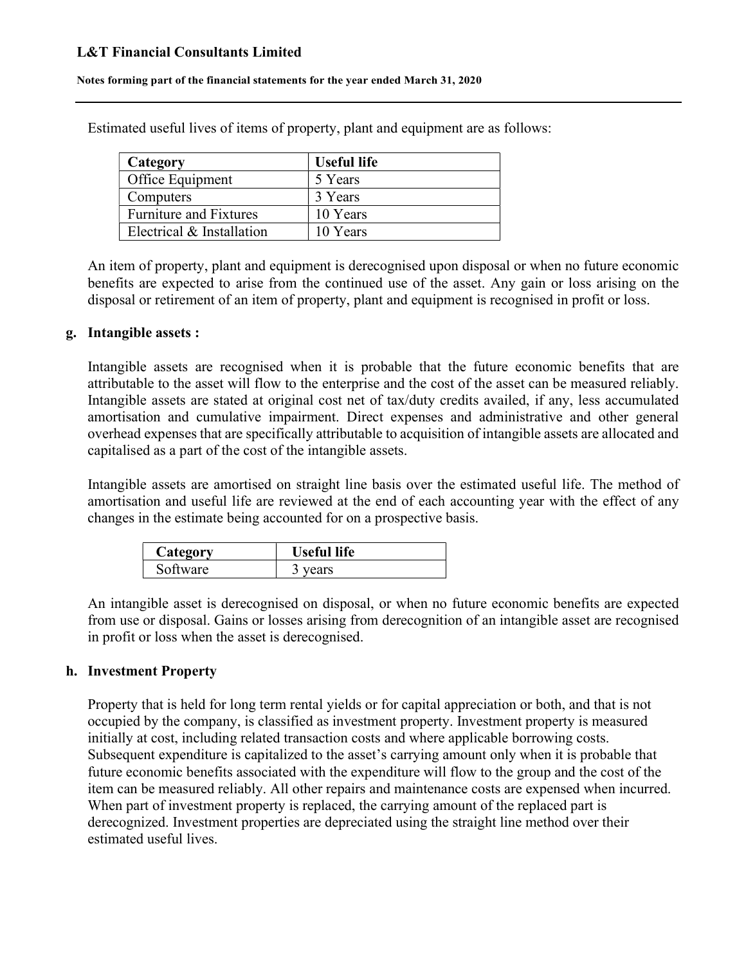#### Notes forming part of the financial statements for the year ended March 31, 2020

Estimated useful lives of items of property, plant and equipment are as follows:

| Category                      | <b>Useful life</b> |
|-------------------------------|--------------------|
| Office Equipment              | 5 Years            |
| Computers                     | 3 Years            |
| <b>Furniture and Fixtures</b> | 10 Years           |
| Electrical & Installation     | 10 Years           |

An item of property, plant and equipment is derecognised upon disposal or when no future economic benefits are expected to arise from the continued use of the asset. Any gain or loss arising on the disposal or retirement of an item of property, plant and equipment is recognised in profit or loss.

#### g. Intangible assets :

Intangible assets are recognised when it is probable that the future economic benefits that are attributable to the asset will flow to the enterprise and the cost of the asset can be measured reliably. Intangible assets are stated at original cost net of tax/duty credits availed, if any, less accumulated amortisation and cumulative impairment. Direct expenses and administrative and other general overhead expenses that are specifically attributable to acquisition of intangible assets are allocated and capitalised as a part of the cost of the intangible assets.

Intangible assets are amortised on straight line basis over the estimated useful life. The method of amortisation and useful life are reviewed at the end of each accounting year with the effect of any changes in the estimate being accounted for on a prospective basis.

| Category | <b>Useful life</b> |
|----------|--------------------|
| Software | vears              |

An intangible asset is derecognised on disposal, or when no future economic benefits are expected from use or disposal. Gains or losses arising from derecognition of an intangible asset are recognised in profit or loss when the asset is derecognised.

### h. Investment Property

Property that is held for long term rental yields or for capital appreciation or both, and that is not occupied by the company, is classified as investment property. Investment property is measured initially at cost, including related transaction costs and where applicable borrowing costs. Subsequent expenditure is capitalized to the asset's carrying amount only when it is probable that future economic benefits associated with the expenditure will flow to the group and the cost of the item can be measured reliably. All other repairs and maintenance costs are expensed when incurred. When part of investment property is replaced, the carrying amount of the replaced part is derecognized. Investment properties are depreciated using the straight line method over their estimated useful lives.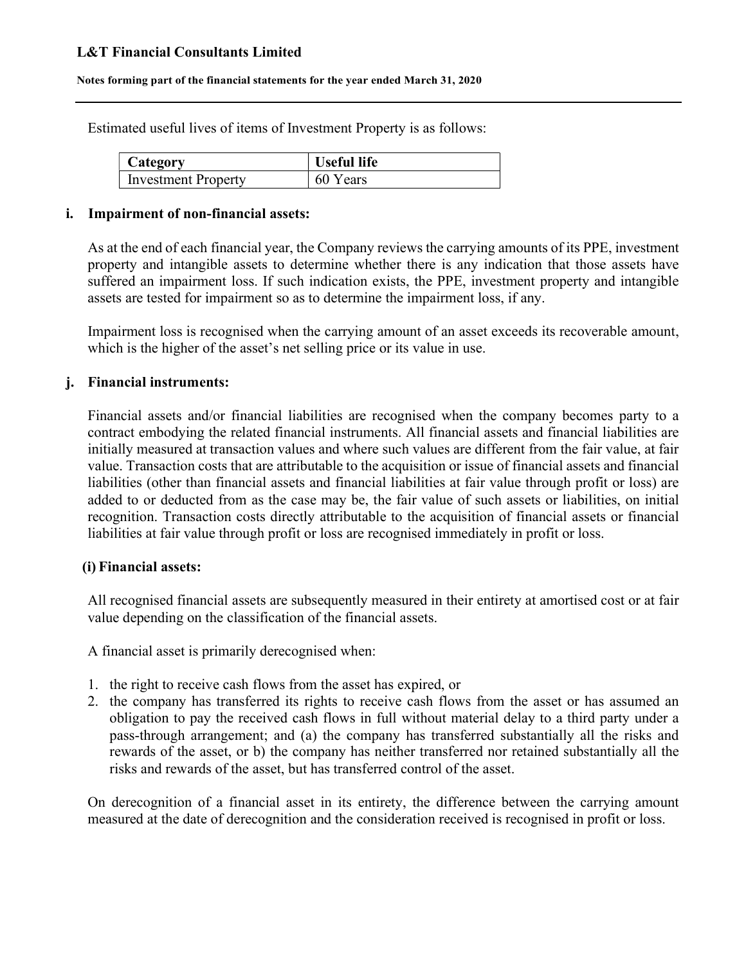#### Notes forming part of the financial statements for the year ended March 31, 2020

Estimated useful lives of items of Investment Property is as follows:

| Category            | <b>Useful life</b>  |
|---------------------|---------------------|
| Investment Property | $60^\circ$<br>Years |

#### i. Impairment of non-financial assets:

As at the end of each financial year, the Company reviews the carrying amounts of its PPE, investment property and intangible assets to determine whether there is any indication that those assets have suffered an impairment loss. If such indication exists, the PPE, investment property and intangible assets are tested for impairment so as to determine the impairment loss, if any.

Impairment loss is recognised when the carrying amount of an asset exceeds its recoverable amount, which is the higher of the asset's net selling price or its value in use.

### j. Financial instruments:

Financial assets and/or financial liabilities are recognised when the company becomes party to a contract embodying the related financial instruments. All financial assets and financial liabilities are initially measured at transaction values and where such values are different from the fair value, at fair value. Transaction costs that are attributable to the acquisition or issue of financial assets and financial liabilities (other than financial assets and financial liabilities at fair value through profit or loss) are added to or deducted from as the case may be, the fair value of such assets or liabilities, on initial recognition. Transaction costs directly attributable to the acquisition of financial assets or financial liabilities at fair value through profit or loss are recognised immediately in profit or loss.

#### (i) Financial assets:

All recognised financial assets are subsequently measured in their entirety at amortised cost or at fair value depending on the classification of the financial assets.

A financial asset is primarily derecognised when:

- 1. the right to receive cash flows from the asset has expired, or
- 2. the company has transferred its rights to receive cash flows from the asset or has assumed an obligation to pay the received cash flows in full without material delay to a third party under a pass-through arrangement; and (a) the company has transferred substantially all the risks and rewards of the asset, or b) the company has neither transferred nor retained substantially all the risks and rewards of the asset, but has transferred control of the asset.

On derecognition of a financial asset in its entirety, the difference between the carrying amount measured at the date of derecognition and the consideration received is recognised in profit or loss.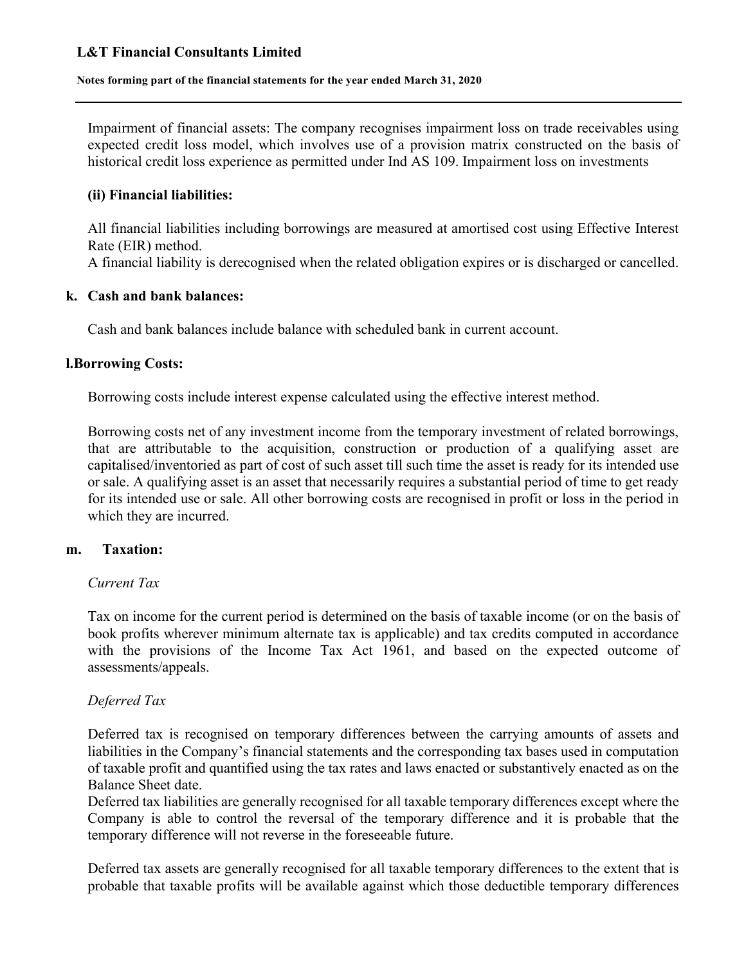#### Notes forming part of the financial statements for the year ended March 31, 2020

Impairment of financial assets: The company recognises impairment loss on trade receivables using expected credit loss model, which involves use of a provision matrix constructed on the basis of historical credit loss experience as permitted under Ind AS 109. Impairment loss on investments

### (ii) Financial liabilities:

All financial liabilities including borrowings are measured at amortised cost using Effective Interest Rate (EIR) method.

A financial liability is derecognised when the related obligation expires or is discharged or cancelled.

### k. Cash and bank balances:

Cash and bank balances include balance with scheduled bank in current account.

### l.Borrowing Costs:

Borrowing costs include interest expense calculated using the effective interest method.

Borrowing costs net of any investment income from the temporary investment of related borrowings, that are attributable to the acquisition, construction or production of a qualifying asset are capitalised/inventoried as part of cost of such asset till such time the asset is ready for its intended use or sale. A qualifying asset is an asset that necessarily requires a substantial period of time to get ready for its intended use or sale. All other borrowing costs are recognised in profit or loss in the period in which they are incurred.

### m. Taxation:

### Current Tax

Tax on income for the current period is determined on the basis of taxable income (or on the basis of book profits wherever minimum alternate tax is applicable) and tax credits computed in accordance with the provisions of the Income Tax Act 1961, and based on the expected outcome of assessments/appeals.

### Deferred Tax

Deferred tax is recognised on temporary differences between the carrying amounts of assets and liabilities in the Company's financial statements and the corresponding tax bases used in computation of taxable profit and quantified using the tax rates and laws enacted or substantively enacted as on the Balance Sheet date.

Deferred tax liabilities are generally recognised for all taxable temporary differences except where the Company is able to control the reversal of the temporary difference and it is probable that the temporary difference will not reverse in the foreseeable future.

Deferred tax assets are generally recognised for all taxable temporary differences to the extent that is probable that taxable profits will be available against which those deductible temporary differences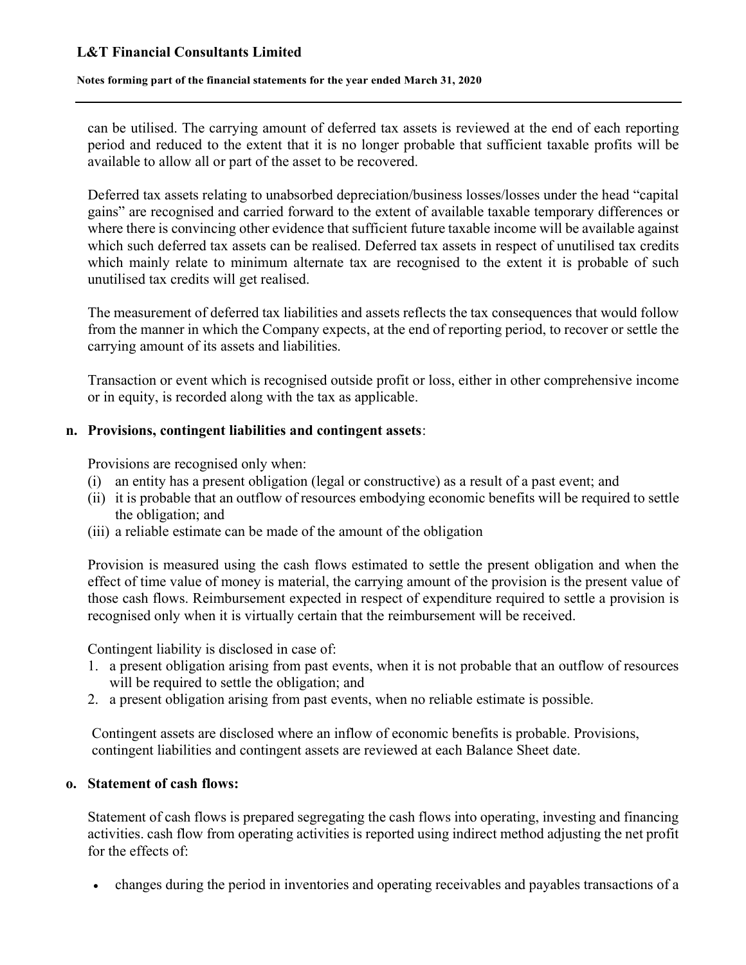#### Notes forming part of the financial statements for the year ended March 31, 2020

can be utilised. The carrying amount of deferred tax assets is reviewed at the end of each reporting period and reduced to the extent that it is no longer probable that sufficient taxable profits will be available to allow all or part of the asset to be recovered.

Deferred tax assets relating to unabsorbed depreciation/business losses/losses under the head "capital gains" are recognised and carried forward to the extent of available taxable temporary differences or where there is convincing other evidence that sufficient future taxable income will be available against which such deferred tax assets can be realised. Deferred tax assets in respect of unutilised tax credits which mainly relate to minimum alternate tax are recognised to the extent it is probable of such unutilised tax credits will get realised.

The measurement of deferred tax liabilities and assets reflects the tax consequences that would follow from the manner in which the Company expects, at the end of reporting period, to recover or settle the carrying amount of its assets and liabilities.

Transaction or event which is recognised outside profit or loss, either in other comprehensive income or in equity, is recorded along with the tax as applicable.

### n. Provisions, contingent liabilities and contingent assets:

Provisions are recognised only when:

- (i) an entity has a present obligation (legal or constructive) as a result of a past event; and
- (ii) it is probable that an outflow of resources embodying economic benefits will be required to settle the obligation; and
- (iii) a reliable estimate can be made of the amount of the obligation

Provision is measured using the cash flows estimated to settle the present obligation and when the effect of time value of money is material, the carrying amount of the provision is the present value of those cash flows. Reimbursement expected in respect of expenditure required to settle a provision is recognised only when it is virtually certain that the reimbursement will be received.

Contingent liability is disclosed in case of:

- 1. a present obligation arising from past events, when it is not probable that an outflow of resources will be required to settle the obligation; and
- 2. a present obligation arising from past events, when no reliable estimate is possible.

 Contingent assets are disclosed where an inflow of economic benefits is probable. Provisions, contingent liabilities and contingent assets are reviewed at each Balance Sheet date.

### o. Statement of cash flows:

Statement of cash flows is prepared segregating the cash flows into operating, investing and financing activities. cash flow from operating activities is reported using indirect method adjusting the net profit for the effects of:

changes during the period in inventories and operating receivables and payables transactions of a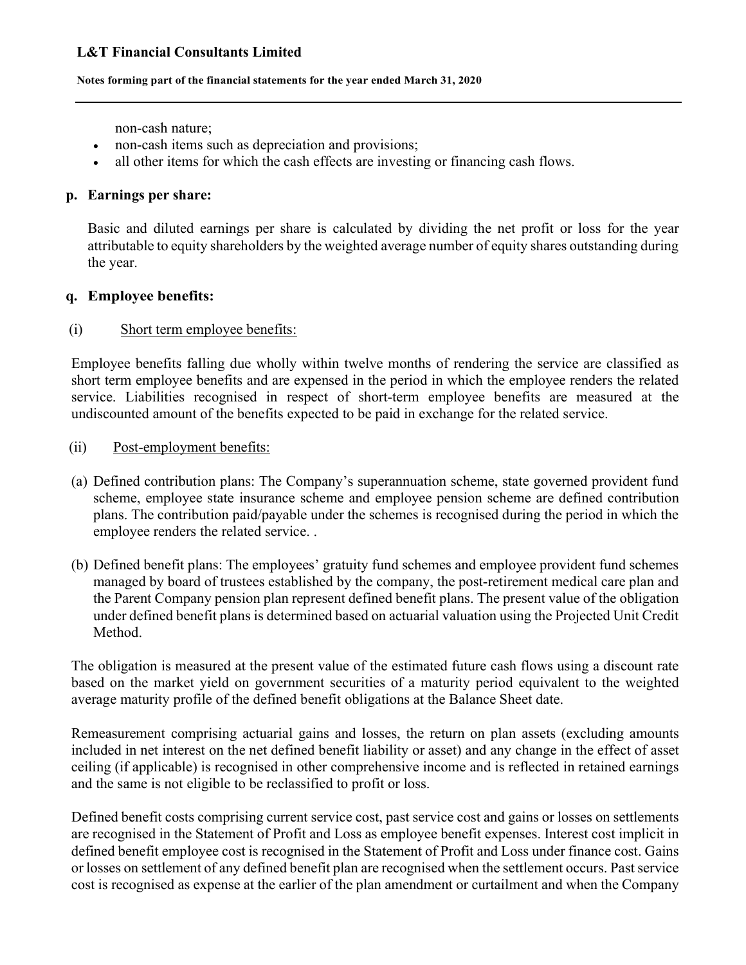#### Notes forming part of the financial statements for the year ended March 31, 2020

non-cash nature;

- non-cash items such as depreciation and provisions;
- all other items for which the cash effects are investing or financing cash flows.

### p. Earnings per share:

Basic and diluted earnings per share is calculated by dividing the net profit or loss for the year attributable to equity shareholders by the weighted average number of equity shares outstanding during the year.

### q. Employee benefits:

### (i) Short term employee benefits:

Employee benefits falling due wholly within twelve months of rendering the service are classified as short term employee benefits and are expensed in the period in which the employee renders the related service. Liabilities recognised in respect of short-term employee benefits are measured at the undiscounted amount of the benefits expected to be paid in exchange for the related service.

- (ii) Post-employment benefits:
- (a) Defined contribution plans: The Company's superannuation scheme, state governed provident fund scheme, employee state insurance scheme and employee pension scheme are defined contribution plans. The contribution paid/payable under the schemes is recognised during the period in which the employee renders the related service. .
- (b) Defined benefit plans: The employees' gratuity fund schemes and employee provident fund schemes managed by board of trustees established by the company, the post-retirement medical care plan and the Parent Company pension plan represent defined benefit plans. The present value of the obligation under defined benefit plans is determined based on actuarial valuation using the Projected Unit Credit Method.

The obligation is measured at the present value of the estimated future cash flows using a discount rate based on the market yield on government securities of a maturity period equivalent to the weighted average maturity profile of the defined benefit obligations at the Balance Sheet date.

Remeasurement comprising actuarial gains and losses, the return on plan assets (excluding amounts included in net interest on the net defined benefit liability or asset) and any change in the effect of asset ceiling (if applicable) is recognised in other comprehensive income and is reflected in retained earnings and the same is not eligible to be reclassified to profit or loss.

Defined benefit costs comprising current service cost, past service cost and gains or losses on settlements are recognised in the Statement of Profit and Loss as employee benefit expenses. Interest cost implicit in defined benefit employee cost is recognised in the Statement of Profit and Loss under finance cost. Gains or losses on settlement of any defined benefit plan are recognised when the settlement occurs. Past service cost is recognised as expense at the earlier of the plan amendment or curtailment and when the Company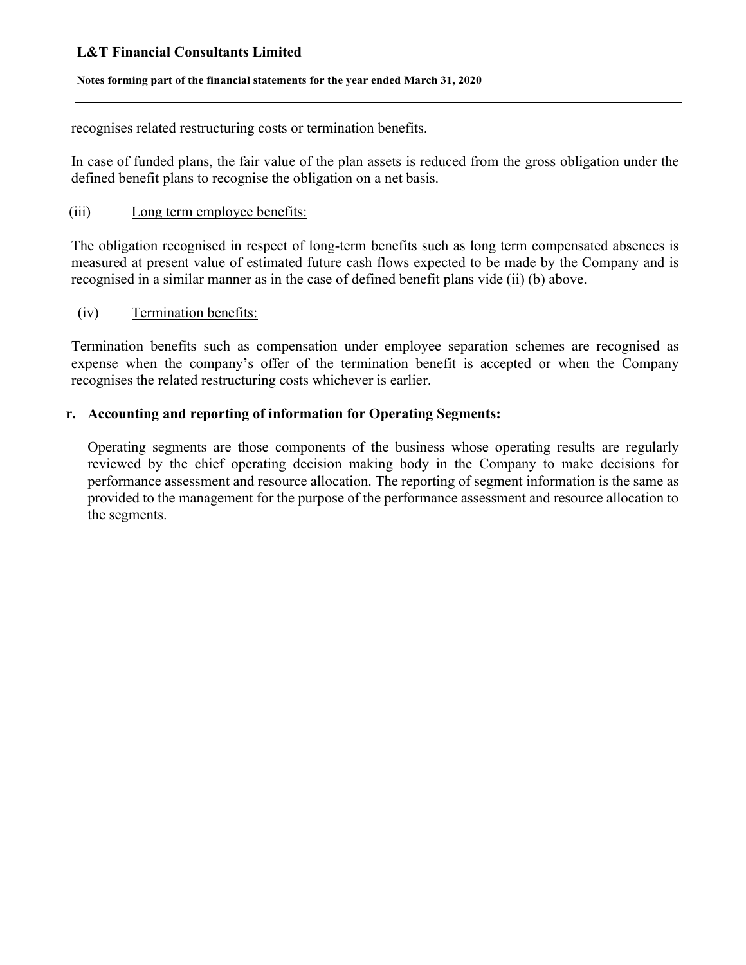#### Notes forming part of the financial statements for the year ended March 31, 2020

recognises related restructuring costs or termination benefits.

In case of funded plans, the fair value of the plan assets is reduced from the gross obligation under the defined benefit plans to recognise the obligation on a net basis.

### (iii) Long term employee benefits:

The obligation recognised in respect of long-term benefits such as long term compensated absences is measured at present value of estimated future cash flows expected to be made by the Company and is recognised in a similar manner as in the case of defined benefit plans vide (ii) (b) above.

#### (iv) Termination benefits:

Termination benefits such as compensation under employee separation schemes are recognised as expense when the company's offer of the termination benefit is accepted or when the Company recognises the related restructuring costs whichever is earlier.

#### r. Accounting and reporting of information for Operating Segments:

Operating segments are those components of the business whose operating results are regularly reviewed by the chief operating decision making body in the Company to make decisions for performance assessment and resource allocation. The reporting of segment information is the same as provided to the management for the purpose of the performance assessment and resource allocation to the segments.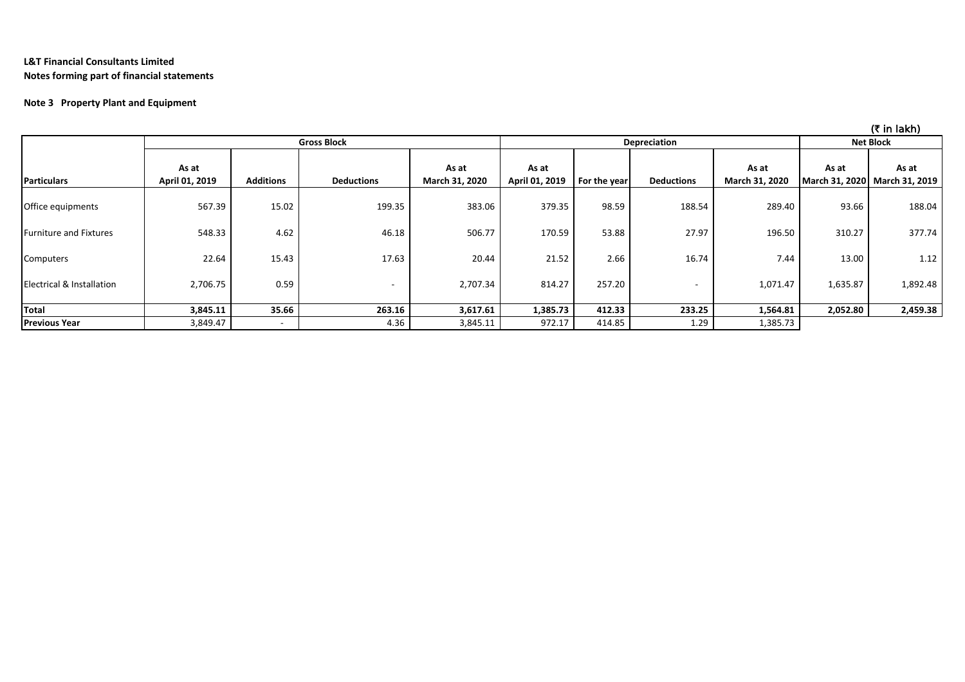#### **Note 3 Property Plant and Equipment**

|                               | <b>Gross Block</b>      |                          |                   |                         |                         | <b>Depreciation</b> |                   |                         |          | <b>Net Block</b>                       |  |
|-------------------------------|-------------------------|--------------------------|-------------------|-------------------------|-------------------------|---------------------|-------------------|-------------------------|----------|----------------------------------------|--|
| <b>Particulars</b>            | As at<br>April 01, 2019 | <b>Additions</b>         | <b>Deductions</b> | As at<br>March 31, 2020 | As at<br>April 01, 2019 | For the year        | <b>Deductions</b> | As at<br>March 31, 2020 | As at    | As at<br>March 31, 2020 March 31, 2019 |  |
| Office equipments             | 567.39                  | 15.02                    | 199.35            | 383.06                  | 379.35                  | 98.59               | 188.54            | 289.40                  | 93.66    | 188.04                                 |  |
| <b>Furniture and Fixtures</b> | 548.33                  | 4.62                     | 46.18             | 506.77                  | 170.59                  | 53.88               | 27.97             | 196.50                  | 310.27   | 377.74                                 |  |
| Computers                     | 22.64                   | 15.43                    | 17.63             | 20.44                   | 21.52                   | 2.66                | 16.74             | 7.44                    | 13.00    | 1.12                                   |  |
| Electrical & Installation     | 2,706.75                | 0.59                     | ۰                 | 2,707.34                | 814.27                  | 257.20              |                   | 1,071.47                | 1,635.87 | 1,892.48                               |  |
| <b>Total</b>                  | 3,845.11                | 35.66                    | 263.16            | 3,617.61                | 1,385.73                | 412.33              | 233.25            | 1,564.81                | 2,052.80 | 2,459.38                               |  |
| <b>Previous Year</b>          | 3,849.47                | $\overline{\phantom{0}}$ | 4.36              | 3,845.11                | 972.17                  | 414.85              | 1.29              | 1,385.73                |          |                                        |  |

 $(\bar{\tau}$  in lakh)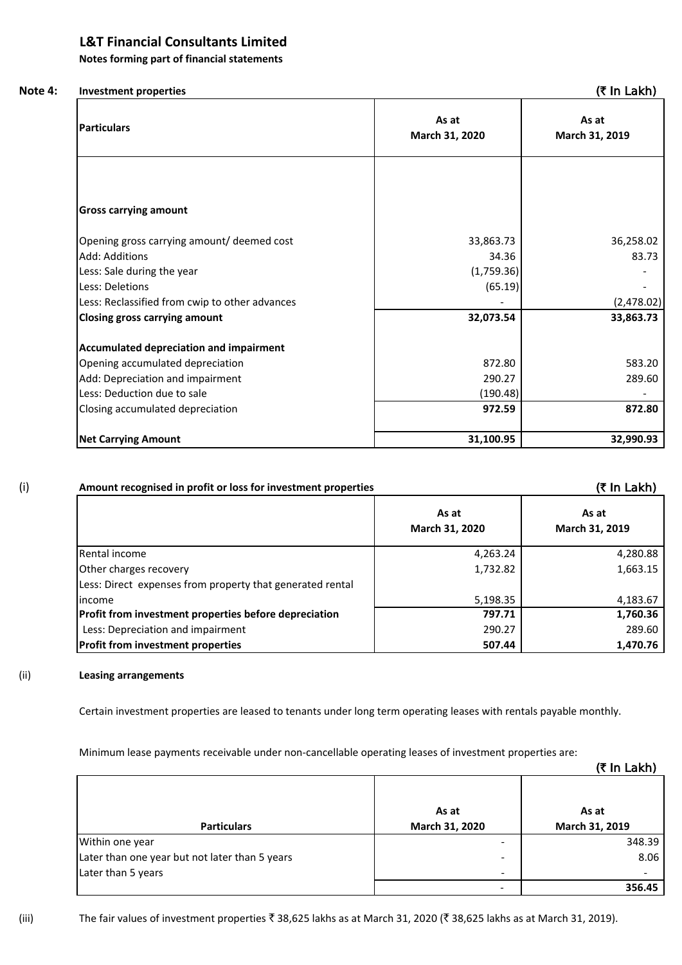**Notes forming part of financial statements**

#### **Note 4: Investment properties** (` In Lakh)

| <b>Particulars</b>                             | As at<br>March 31, 2020 | As at<br>March 31, 2019 |  |
|------------------------------------------------|-------------------------|-------------------------|--|
|                                                |                         |                         |  |
| <b>Gross carrying amount</b>                   |                         |                         |  |
| Opening gross carrying amount/ deemed cost     | 33,863.73               | 36,258.02               |  |
| Add: Additions                                 | 34.36                   | 83.73                   |  |
| Less: Sale during the year                     | (1,759.36)              |                         |  |
| Less: Deletions                                | (65.19)                 |                         |  |
| Less: Reclassified from cwip to other advances |                         | (2,478.02)              |  |
| <b>Closing gross carrying amount</b>           | 32,073.54               | 33,863.73               |  |
| Accumulated depreciation and impairment        |                         |                         |  |
| Opening accumulated depreciation               | 872.80                  | 583.20                  |  |
| Add: Depreciation and impairment               | 290.27                  | 289.60                  |  |
| Less: Deduction due to sale                    | (190.48)                |                         |  |
| Closing accumulated depreciation               | 972.59                  | 872.80                  |  |
| <b>Net Carrying Amount</b>                     | 31,100.95               | 32,990.93               |  |

| Amount recognised in profit or loss for investment properties |                                |                         |
|---------------------------------------------------------------|--------------------------------|-------------------------|
|                                                               | As at<br><b>March 31, 2020</b> | As at<br>March 31, 2019 |
| Rental income                                                 | 4,263.24                       | 4,280.88                |
| Other charges recovery                                        | 1,732.82                       | 1,663.15                |
| Less: Direct expenses from property that generated rental     |                                |                         |
| lincome                                                       | 5,198.35                       | 4,183.67                |
| Profit from investment properties before depreciation         | 797.71                         | 1,760.36                |
| Less: Depreciation and impairment                             | 290.27                         | 289.60                  |
| <b>Profit from investment properties</b>                      | 507.44                         | 1,470.76                |

#### (ii) **Leasing arrangements**

Certain investment properties are leased to tenants under long term operating leases with rentals payable monthly.

Minimum lease payments receivable under non-cancellable operating leases of investment properties are:

|                                                |                          | (₹ In Lakh)    |
|------------------------------------------------|--------------------------|----------------|
|                                                | As at                    | As at          |
| <b>Particulars</b>                             | March 31, 2020           | March 31, 2019 |
| Within one year                                | -                        | 348.39         |
| Later than one year but not later than 5 years | $\overline{\phantom{a}}$ | 8.06           |
| Later than 5 years                             | $\overline{\phantom{a}}$ |                |
|                                                | $\overline{\phantom{0}}$ | 356.45         |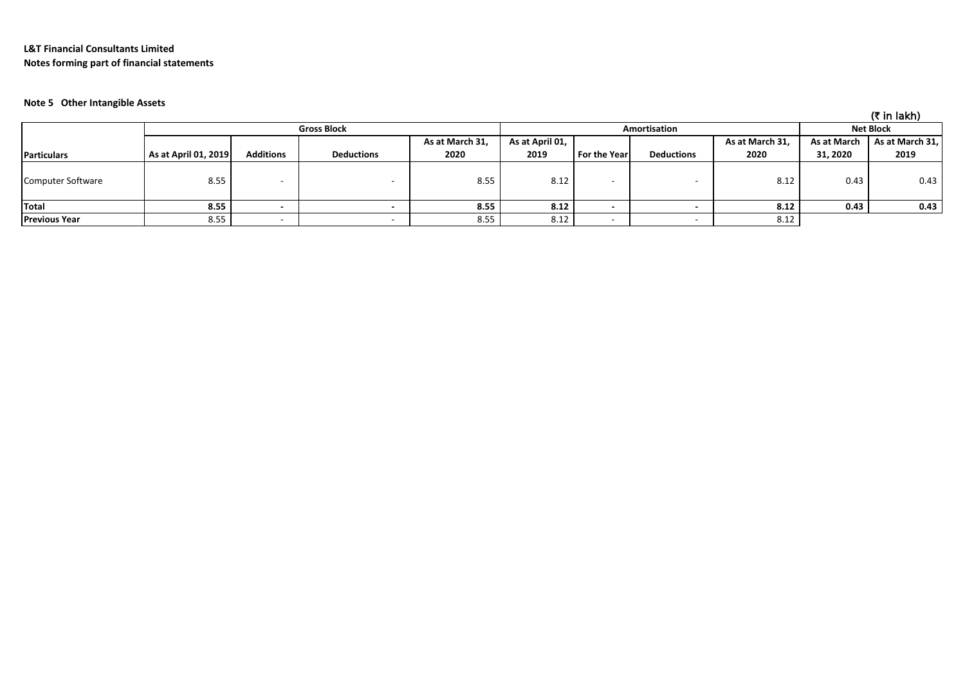#### **Note 5 Other Intangible Assets**

|                      |                      |                  |                   |                 |                 |                      |                   |                  |             | $\mathbf{N}$ III IGNII |
|----------------------|----------------------|------------------|-------------------|-----------------|-----------------|----------------------|-------------------|------------------|-------------|------------------------|
|                      | <b>Gross Block</b>   |                  |                   | Amortisation    |                 |                      |                   | <b>Net Block</b> |             |                        |
|                      |                      |                  |                   | As at March 31, | As at April 01, |                      |                   | As at March 31,  | As at March | As at March 31,        |
| <b>Particulars</b>   | As at April 01, 2019 | <b>Additions</b> | <b>Deductions</b> | 2020            | 2019            | <b>For the Yearl</b> | <b>Deductions</b> | 2020             | 31, 2020    | 2019                   |
| Computer Software    | 8.55                 |                  |                   | 8.55            | 8.12            |                      |                   | 8.12             | 0.43        | 0.43                   |
| Total                | 8.55                 |                  |                   | 8.55            | 8.12            |                      |                   | 8.12             | 0.43        | 0.43                   |
| <b>Previous Year</b> | 8.55                 |                  | $\sim$            | 8.55            | 8.12            |                      |                   | 8.12             |             |                        |

 $(F \text{in } \mathsf{lab})$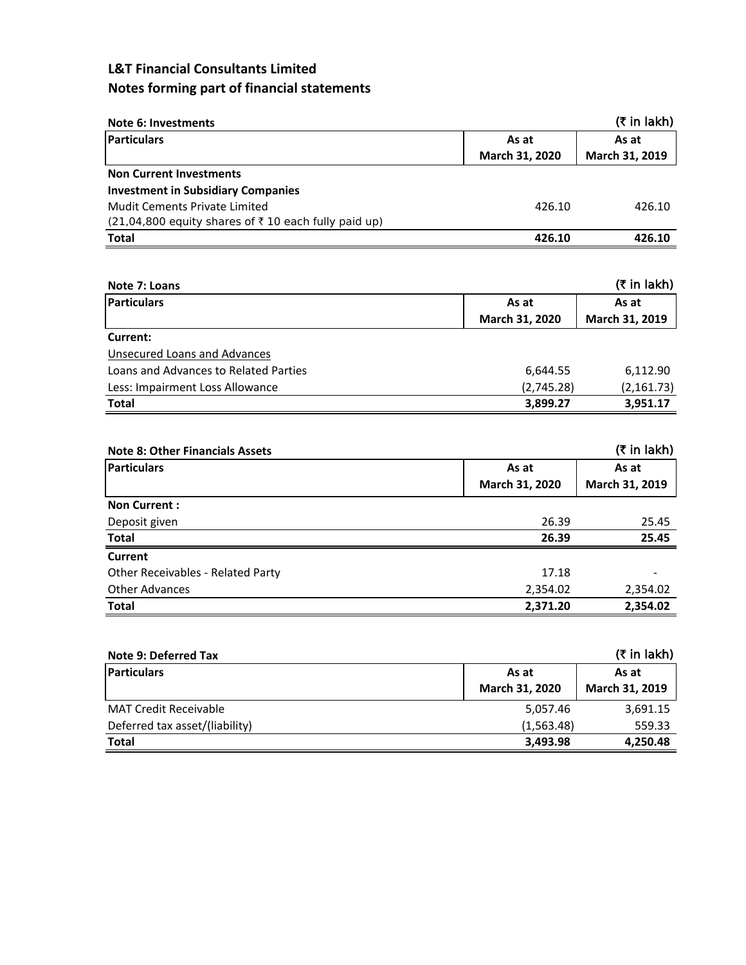| Note 6: Investments                                 |                | (₹ in lakh)    |
|-----------------------------------------------------|----------------|----------------|
| <b>Particulars</b>                                  | As at          | As at          |
|                                                     | March 31, 2020 | March 31, 2019 |
| <b>Non Current Investments</b>                      |                |                |
| <b>Investment in Subsidiary Companies</b>           |                |                |
| <b>Mudit Cements Private Limited</b>                | 426.10         | 426.10         |
| (21,04,800 equity shares of ₹10 each fully paid up) |                |                |
| Total                                               | 426.10         | 426.10         |
|                                                     |                |                |
| Note 7: Loans                                       |                | $($ ₹ in lakh) |
| <b>Particulars</b>                                  | As at          | As at          |
|                                                     | March 31, 2020 | March 31, 2019 |
| Current:                                            |                |                |
| <b>Unsecured Loans and Advances</b>                 |                |                |
| Loans and Advances to Related Parties               | 6,644.55       | 6,112.90       |
| Less: Impairment Loss Allowance                     | (2,745.28)     | (2, 161.73)    |
| <b>Total</b>                                        | 3,899.27       | 3,951.17       |
|                                                     |                |                |
| <b>Note 8: Other Financials Assets</b>              |                | $($ ₹ in lakh) |
| <b>Particulars</b>                                  | As at          | As at          |
|                                                     | March 31, 2020 | March 31, 2019 |
| <b>Non Current:</b>                                 |                |                |
| Deposit given                                       | 26.39          | 25.45          |
| <b>Total</b>                                        | 26.39          | 25.45          |
| Current                                             |                |                |
| Other Receivables - Related Party                   | 17.18          |                |
| <b>Other Advances</b>                               | 2,354.02       | 2,354.02       |
| <b>Total</b>                                        | 2,371.20       | 2,354.02       |
|                                                     |                |                |
| <b>Note 9: Deferred Tax</b>                         |                | $($ ₹ in lakh) |
| <b>Particulars</b>                                  | As at          | As at          |
|                                                     | March 31, 2020 | March 31, 2019 |

| MAT Credit Receivable          | 5.057.46   | 3,691.15 |
|--------------------------------|------------|----------|
| Deferred tax asset/(liability) | (1,563.48) | 559.33   |
| Total                          | 3,493.98   | 4,250.48 |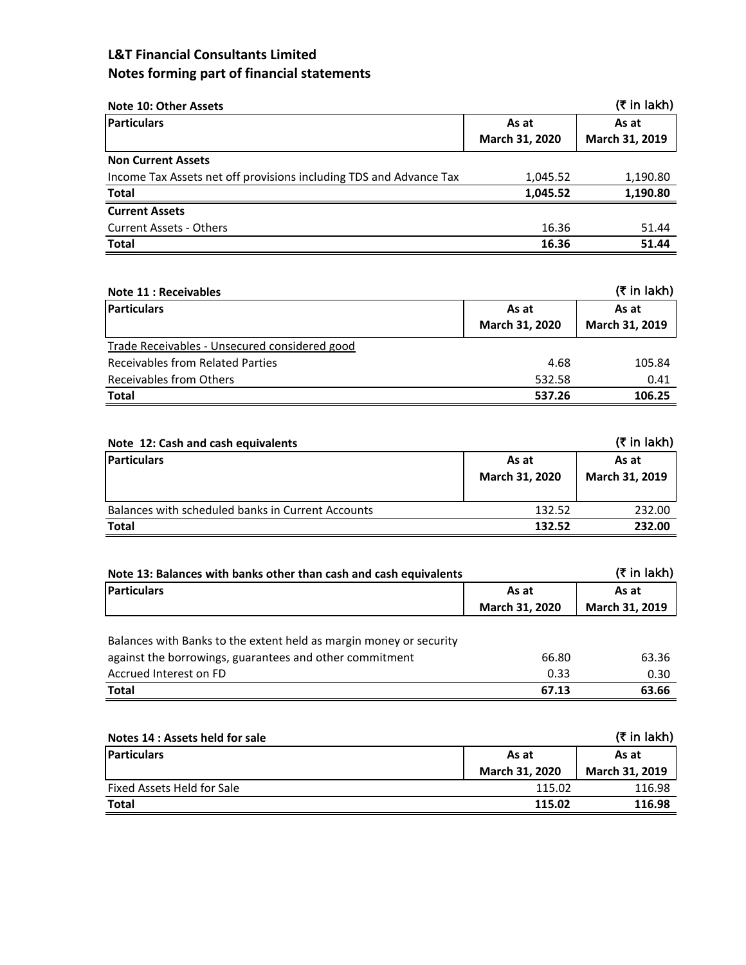| <b>Note 10: Other Assets</b>                                       |                         | $($ ₹ in lakh)          |
|--------------------------------------------------------------------|-------------------------|-------------------------|
| <b>Particulars</b>                                                 | As at<br>March 31, 2020 | As at<br>March 31, 2019 |
| <b>Non Current Assets</b>                                          |                         |                         |
| Income Tax Assets net off provisions including TDS and Advance Tax | 1,045.52                | 1,190.80                |
| <b>Total</b>                                                       | 1,045.52                | 1,190.80                |
| <b>Current Assets</b>                                              |                         |                         |
| <b>Current Assets - Others</b>                                     | 16.36                   | 51.44                   |
| <b>Total</b>                                                       | 16.36                   | 51.44                   |

| Note 11 : Receivables                         |                         | $(5 \in \mathsf{In} \, \mathsf{l}_0)$ |
|-----------------------------------------------|-------------------------|---------------------------------------|
| <b>Particulars</b>                            | As at<br>March 31, 2020 | As at<br>March 31, 2019               |
| Trade Receivables - Unsecured considered good |                         |                                       |
| Receivables from Related Parties              | 4.68                    | 105.84                                |
| Receivables from Others                       | 532.58                  | 0.41                                  |
| <b>Total</b>                                  | 537.26                  | 106.25                                |

| Note 12: Cash and cash equivalents                |                         | $($ ₹ in lakh)          |
|---------------------------------------------------|-------------------------|-------------------------|
| <b>Particulars</b>                                | As at<br>March 31, 2020 | As at<br>March 31, 2019 |
| Balances with scheduled banks in Current Accounts | 132.52                  | 232.00                  |
| <b>Total</b>                                      | 132.52                  | 232.00                  |

| As at          | As at          |
|----------------|----------------|
|                |                |
| March 31, 2020 | March 31, 2019 |
|                |                |
| 66.80          | 63.36          |
| 0.33           | 0.30           |
| 67.13          | 63.66          |
|                |                |

| Notes 14 : Assets held for sale |                       | $(5$ in lakh)  |
|---------------------------------|-----------------------|----------------|
| <b>Particulars</b>              | As at                 | As at          |
|                                 | <b>March 31, 2020</b> | March 31, 2019 |
| Fixed Assets Held for Sale      | 115.02                | 116.98         |
| <b>Total</b>                    | 115.02                | 116.98         |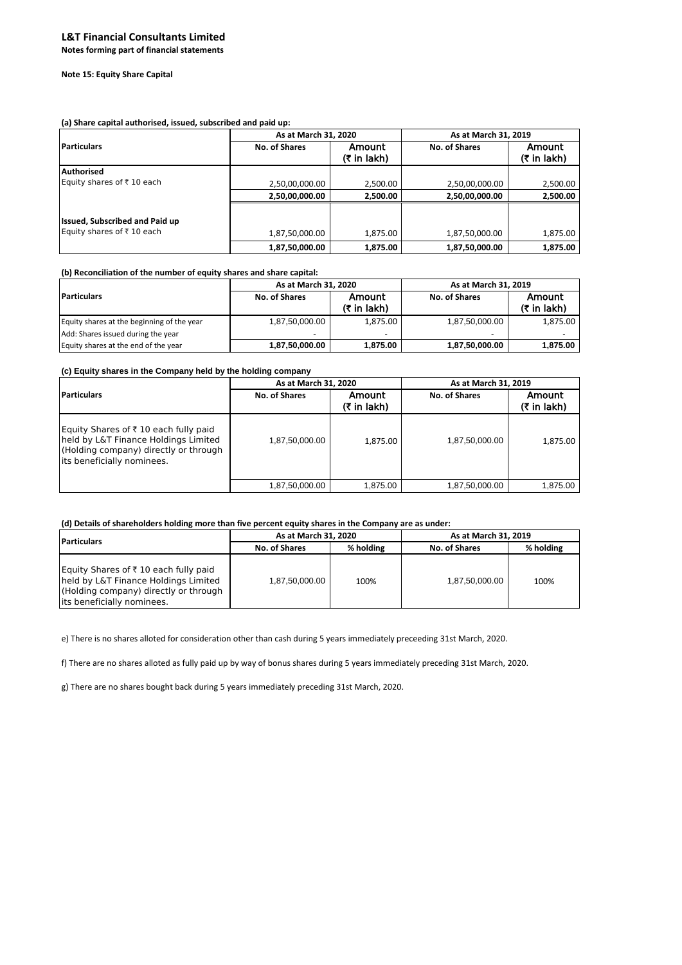**Notes forming part of financial statements**

**Note 15: Equity Share Capital**

#### **(a) Share capital authorised, issued, subscribed and paid up:**

| As at March 31, 2020                  |                |                                 | As at March 31, 2019 |                          |  |
|---------------------------------------|----------------|---------------------------------|----------------------|--------------------------|--|
| <b>Particulars</b>                    | No. of Shares  | <b>Amount</b><br>$($ ₹ in lakh) |                      | Amount<br>$($ ₹ in lakh) |  |
| <b>Authorised</b>                     |                |                                 |                      |                          |  |
| Equity shares of ₹10 each             | 2,50,00,000.00 | 2,500.00                        | 2,50,00,000.00       | 2,500.00                 |  |
|                                       | 2,50,00,000.00 | 2,500.00                        | 2,50,00,000.00       | 2,500.00                 |  |
| <b>Issued, Subscribed and Paid up</b> |                |                                 |                      |                          |  |
| Equity shares of ₹10 each             | 1,87,50,000.00 | 1,875.00                        | 1,87,50,000.00       | 1,875.00                 |  |
|                                       | 1,87,50,000.00 | 1,875.00                        | 1,87,50,000.00       | 1,875.00                 |  |

#### **(b) Reconciliation of the number of equity shares and share capital:**

|                                            | As at March 31, 2020     |                          | As at March 31, 2019     |                          |
|--------------------------------------------|--------------------------|--------------------------|--------------------------|--------------------------|
| <b>Particulars</b>                         | No. of Shares            | Amount<br>$(5$ in lakh)  | <b>No. of Shares</b>     | Amount<br>$($ ₹ in lakh) |
| Equity shares at the beginning of the year | 1,87,50,000.00           | 1.875.00                 | 1,87,50,000.00           | 1,875.00                 |
| Add: Shares issued during the year         | $\overline{\phantom{0}}$ | $\overline{\phantom{a}}$ | $\overline{\phantom{0}}$ | $\blacksquare$           |
| Equity shares at the end of the year       | 1,87,50,000.00           | 1.875.00                 | 1,87,50,000.00           | 1,875.00                 |

#### **(c) Equity shares in the Company held by the holding company**

|                                                                                                                                                      | As at March 31, 2020 |                             | As at March 31, 2019 |                          |
|------------------------------------------------------------------------------------------------------------------------------------------------------|----------------------|-----------------------------|----------------------|--------------------------|
| <b>Particulars</b>                                                                                                                                   | No. of Shares        | Amount<br>$($ ₹ in lakh $)$ | No. of Shares        | Amount<br>$($ ₹ in lakh) |
| Equity Shares of ₹10 each fully paid<br>held by L&T Finance Holdings Limited<br>(Holding company) directly or through<br>lits beneficially nominees. | 1,87,50,000.00       | 1,875.00                    | 1,87,50,000.00       | 1,875.00                 |
|                                                                                                                                                      | 1,87,50,000.00       | 1,875.00                    | 1,87,50,000.00       | 1,875.00                 |

#### **(d) Details of shareholders holding more than five percent equity shares in the Company are as under:**

| <b>Particulars</b>                                                                                                                                               | As at March 31, 2020 |           | As at March 31, 2019 |           |
|------------------------------------------------------------------------------------------------------------------------------------------------------------------|----------------------|-----------|----------------------|-----------|
|                                                                                                                                                                  | No. of Shares        | % holding | <b>No. of Shares</b> | % holding |
| Equity Shares of $\bar{\tau}$ 10 each fully paid<br>held by L&T Finance Holdings Limited<br>(Holding company) directly or through<br>lits beneficially nominees. | 1.87.50.000.00       | 100%      | 1,87,50,000.00       | 100%      |

e) There is no shares alloted for consideration other than cash during 5 years immediately preceeding 31st March, 2020.

f) There are no shares alloted as fully paid up by way of bonus shares during 5 years immediately preceding 31st March, 2020.

g) There are no shares bought back during 5 years immediately preceding 31st March, 2020.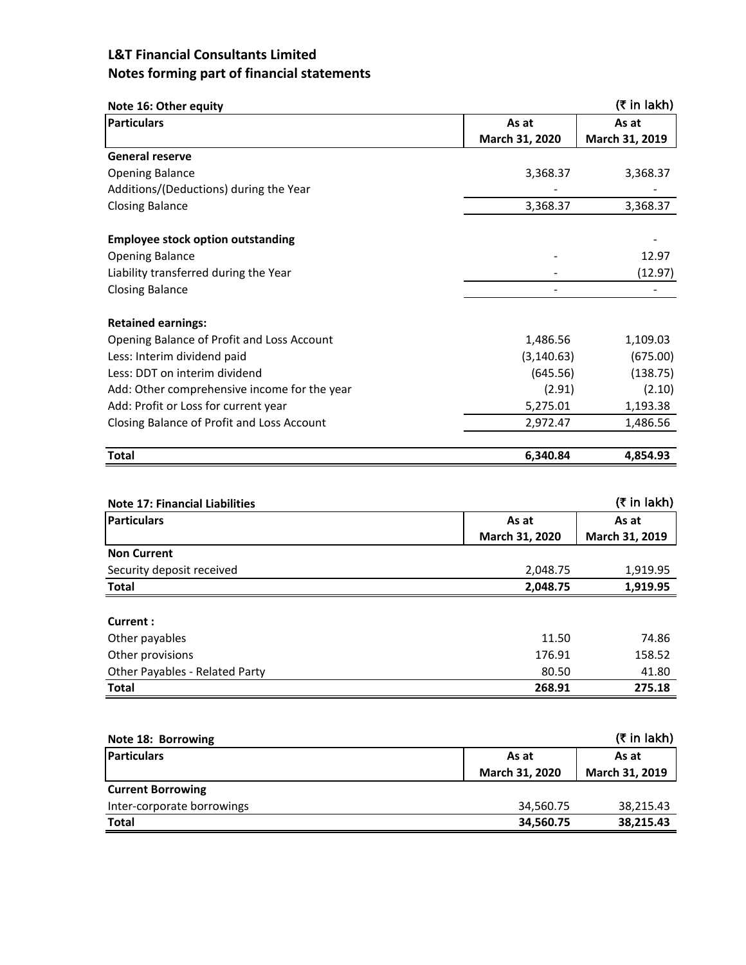| Note 16: Other equity                        |                | $($ ₹ in lakh) |
|----------------------------------------------|----------------|----------------|
| <b>Particulars</b>                           | As at          | As at          |
|                                              | March 31, 2020 | March 31, 2019 |
| <b>General reserve</b>                       |                |                |
| <b>Opening Balance</b>                       | 3,368.37       | 3,368.37       |
| Additions/(Deductions) during the Year       |                |                |
| <b>Closing Balance</b>                       | 3,368.37       | 3,368.37       |
| <b>Employee stock option outstanding</b>     |                |                |
| <b>Opening Balance</b>                       |                | 12.97          |
| Liability transferred during the Year        |                | (12.97)        |
| <b>Closing Balance</b>                       |                |                |
| <b>Retained earnings:</b>                    |                |                |
| Opening Balance of Profit and Loss Account   | 1,486.56       | 1,109.03       |
| Less: Interim dividend paid                  | (3, 140.63)    | (675.00)       |
| Less: DDT on interim dividend                | (645.56)       | (138.75)       |
| Add: Other comprehensive income for the year | (2.91)         | (2.10)         |
| Add: Profit or Loss for current year         | 5,275.01       | 1,193.38       |
| Closing Balance of Profit and Loss Account   | 2,972.47       | 1,486.56       |
| <b>Total</b>                                 | 6,340.84       | 4,854.93       |

| <b>Note 17: Financial Liabilities</b> |                | $(5 \in \mathsf{In} \, \mathsf{l}_0)$ |
|---------------------------------------|----------------|---------------------------------------|
| <b>Particulars</b>                    | As at          | As at                                 |
|                                       | March 31, 2020 | March 31, 2019                        |
| <b>Non Current</b>                    |                |                                       |
| Security deposit received             | 2,048.75       | 1,919.95                              |
| <b>Total</b>                          | 2,048.75       | 1,919.95                              |
|                                       |                |                                       |
| Current:                              |                |                                       |
| Other payables                        | 11.50          | 74.86                                 |
| Other provisions                      | 176.91         | 158.52                                |
| <b>Other Payables - Related Party</b> | 80.50          | 41.80                                 |
| <b>Total</b>                          | 268.91         | 275.18                                |
|                                       |                |                                       |

| Note 18: Borrowing         |                | $(5$ in lakh)  |
|----------------------------|----------------|----------------|
| <b>Particulars</b>         | As at          | As at          |
|                            | March 31, 2020 | March 31, 2019 |
| <b>Current Borrowing</b>   |                |                |
| Inter-corporate borrowings | 34,560.75      | 38,215.43      |
| <b>Total</b>               | 34,560.75      | 38,215.43      |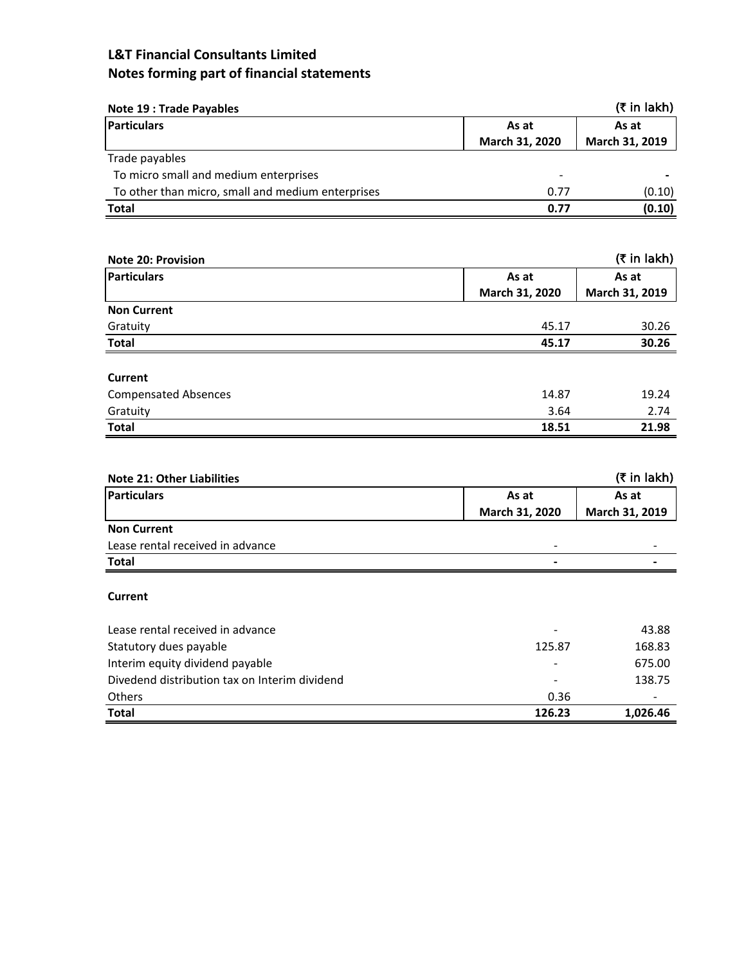| <b>Note 19: Trade Payables</b>                    |                | (₹ in lakh)    |
|---------------------------------------------------|----------------|----------------|
| <b>Particulars</b>                                | As at          | As at          |
|                                                   | March 31, 2020 | March 31, 2019 |
| Trade payables                                    |                |                |
| To micro small and medium enterprises             |                |                |
| To other than micro, small and medium enterprises | 0.77           | (0.10)         |
| <b>Total</b>                                      | 0.77           | (0.10)         |
|                                                   |                |                |
| <b>Note 20: Provision</b>                         |                | $($ ₹ in lakh) |
| <b>Particulars</b>                                | As at          | As at          |
|                                                   | March 31, 2020 | March 31, 2019 |
| <b>Non Current</b>                                |                |                |
| Gratuity                                          | 45.17          | 30.26          |
| <b>Total</b>                                      | 45.17          | 30.26          |
|                                                   |                |                |
| Current                                           |                |                |
| <b>Compensated Absences</b>                       | 14.87          | 19.24          |
| Gratuity                                          | 3.64           | 2.74           |
| Total                                             | 18.51          | 21.98          |
|                                                   |                |                |
| <b>Note 21: Other Liabilities</b>                 |                | $($ ₹ in lakh) |
| <b>Particulars</b>                                | As at          | As at          |
|                                                   | March 31, 2020 | March 31, 2019 |
| <b>Non Current</b>                                |                |                |
| Lease rental received in advance                  |                |                |
| Total                                             |                |                |
|                                                   |                |                |
| Current                                           |                |                |
| Lease rental received in advance                  |                | 43.88          |
| Statutory dues payable                            | 125.87         | 168.83         |
| Interim equity dividend payable                   |                | 675.00         |
| Divedend distribution tax on Interim dividend     |                | 138.75         |
| Others                                            | 0.36           |                |
| <b>Total</b>                                      | 126.23         | 1,026.46       |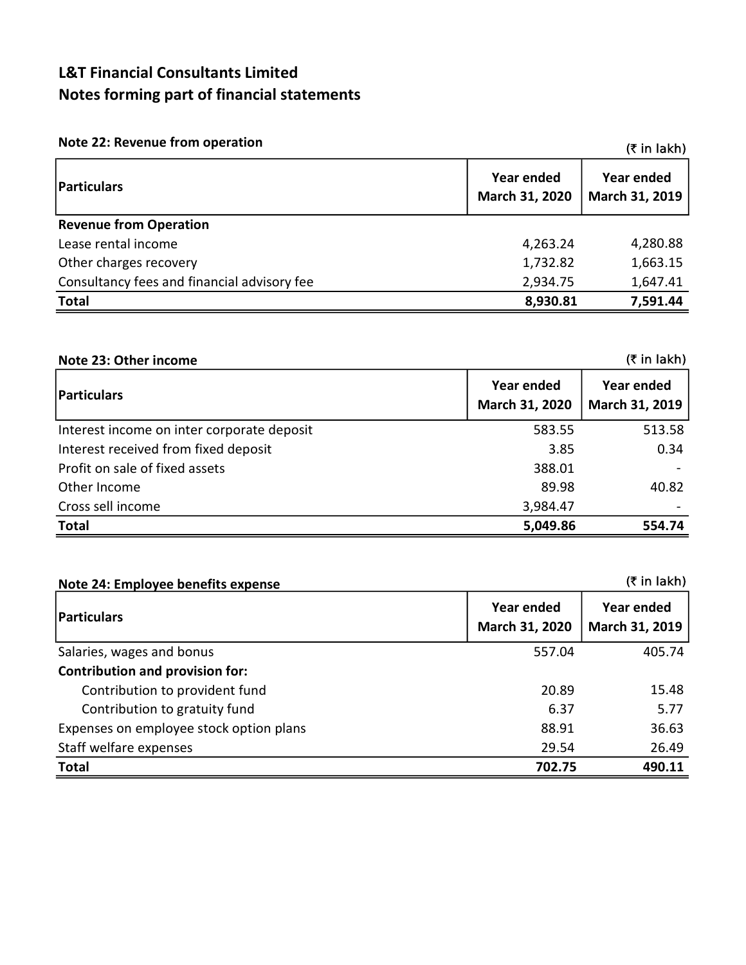### Note 22: Revenue from operation

| Note 22: Revenue from operation             |                              | $($ ₹ in lakh)               |
|---------------------------------------------|------------------------------|------------------------------|
| <b>Particulars</b>                          | Year ended<br>March 31, 2020 | Year ended<br>March 31, 2019 |
| <b>Revenue from Operation</b>               |                              |                              |
| Lease rental income                         | 4,263.24                     | 4,280.88                     |
| Other charges recovery                      | 1,732.82                     | 1,663.15                     |
| Consultancy fees and financial advisory fee | 2,934.75                     | 1,647.41                     |
| <b>Total</b>                                | 8,930.81                     | 7,591.44                     |

| Note 23: Other income                      |                                     | $($ ₹ in lakh)               |
|--------------------------------------------|-------------------------------------|------------------------------|
| <b>Particulars</b>                         | <b>Year ended</b><br>March 31, 2020 | Year ended<br>March 31, 2019 |
| Interest income on inter corporate deposit | 583.55                              | 513.58                       |
| Interest received from fixed deposit       | 3.85                                | 0.34                         |
| Profit on sale of fixed assets             | 388.01                              |                              |
| Other Income                               | 89.98                               | 40.82                        |
| Cross sell income                          | 3,984.47                            |                              |
| <b>Total</b>                               | 5,049.86                            | 554.74                       |

| Note 24: Employee benefits expense      |                              | $($ ₹ in lakh)               |
|-----------------------------------------|------------------------------|------------------------------|
| <b>Particulars</b>                      | Year ended<br>March 31, 2020 | Year ended<br>March 31, 2019 |
| Salaries, wages and bonus               | 557.04                       | 405.74                       |
| <b>Contribution and provision for:</b>  |                              |                              |
| Contribution to provident fund          | 20.89                        | 15.48                        |
| Contribution to gratuity fund           | 6.37                         | 5.77                         |
| Expenses on employee stock option plans | 88.91                        | 36.63                        |
| Staff welfare expenses                  | 29.54                        | 26.49                        |
| <b>Total</b>                            | 702.75                       | 490.11                       |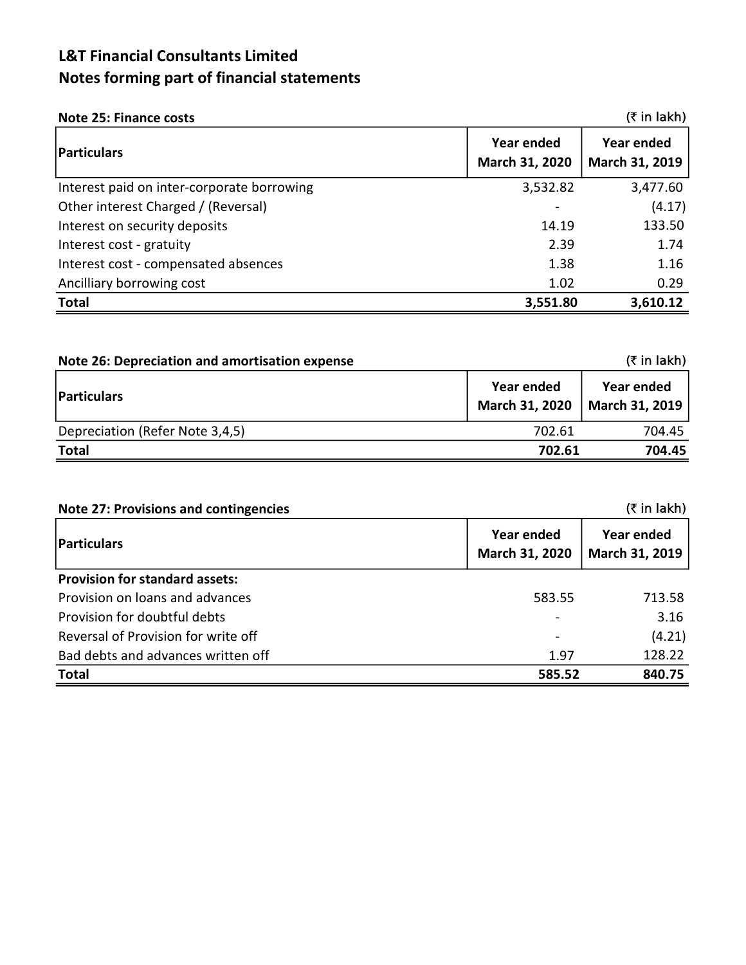| <b>Note 25: Finance costs</b>              |                              | $($ ₹ in lakh)               |
|--------------------------------------------|------------------------------|------------------------------|
| <b>Particulars</b>                         | Year ended<br>March 31, 2020 | Year ended<br>March 31, 2019 |
| Interest paid on inter-corporate borrowing | 3,532.82                     | 3,477.60                     |
| Other interest Charged / (Reversal)        |                              | (4.17)                       |
| Interest on security deposits              | 14.19                        | 133.50                       |
| Interest cost - gratuity                   | 2.39                         | 1.74                         |
| Interest cost - compensated absences       | 1.38                         | 1.16                         |
| Ancilliary borrowing cost                  | 1.02                         | 0.29                         |
| <b>Total</b>                               | 3,551.80                     | 3,610.12                     |

| Note 26: Depreciation and amortisation expense |                              | $($ ₹ in lakh)               |
|------------------------------------------------|------------------------------|------------------------------|
| <b>Particulars</b>                             | Year ended<br>March 31, 2020 | Year ended<br>March 31, 2019 |
| Depreciation (Refer Note 3,4,5)                | 702.61                       | 704.45                       |
| <b>Total</b>                                   | 702.61                       | 704.45                       |

| <b>Note 27: Provisions and contingencies</b> |                              | $(5 \in \mathsf{In} \, \mathsf{l}_0)$ |
|----------------------------------------------|------------------------------|---------------------------------------|
| <b>Particulars</b>                           | Year ended<br>March 31, 2020 | Year ended<br>March 31, 2019          |
| <b>Provision for standard assets:</b>        |                              |                                       |
| Provision on loans and advances              | 583.55                       | 713.58                                |
| Provision for doubtful debts                 |                              | 3.16                                  |
| Reversal of Provision for write off          |                              | (4.21)                                |
| Bad debts and advances written off           | 1.97                         | 128.22                                |
| <b>Total</b>                                 | 585.52                       | 840.75                                |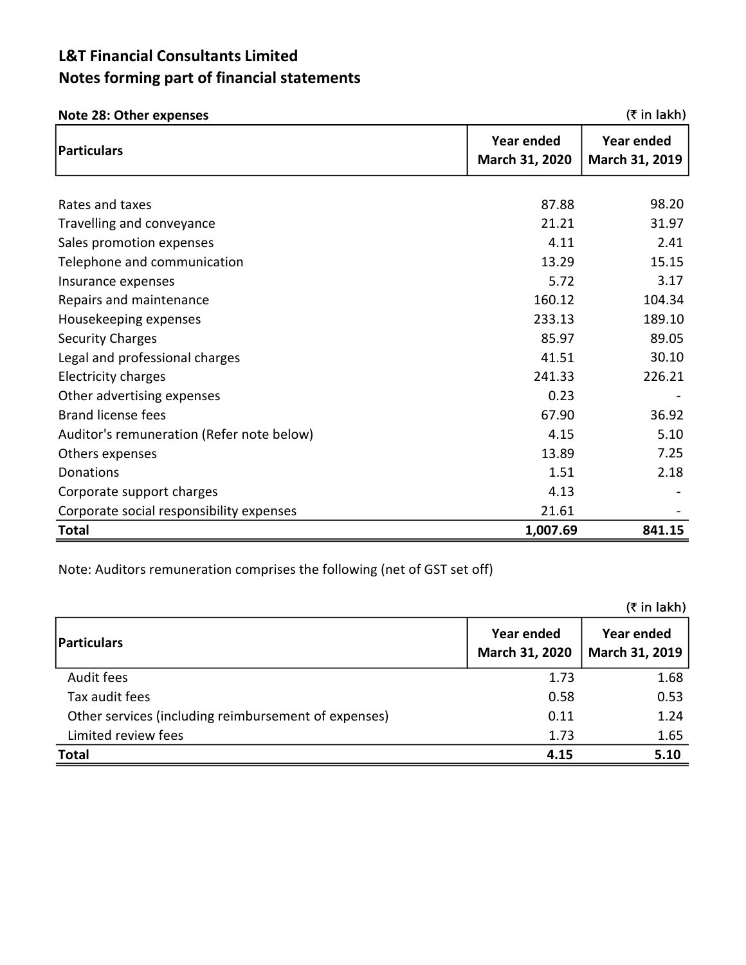| Note 28: Other expenses                   |                                     | $($ ₹ in lakh)                      |
|-------------------------------------------|-------------------------------------|-------------------------------------|
| <b>Particulars</b>                        | <b>Year ended</b><br>March 31, 2020 | <b>Year ended</b><br>March 31, 2019 |
| Rates and taxes                           | 87.88                               | 98.20                               |
|                                           | 21.21                               | 31.97                               |
| Travelling and conveyance                 |                                     |                                     |
| Sales promotion expenses                  | 4.11                                | 2.41                                |
| Telephone and communication               | 13.29                               | 15.15                               |
| Insurance expenses                        | 5.72                                | 3.17                                |
| Repairs and maintenance                   | 160.12                              | 104.34                              |
| Housekeeping expenses                     | 233.13                              | 189.10                              |
| <b>Security Charges</b>                   | 85.97                               | 89.05                               |
| Legal and professional charges            | 41.51                               | 30.10                               |
| Electricity charges                       | 241.33                              | 226.21                              |
| Other advertising expenses                | 0.23                                |                                     |
| <b>Brand license fees</b>                 | 67.90                               | 36.92                               |
| Auditor's remuneration (Refer note below) | 4.15                                | 5.10                                |
| Others expenses                           | 13.89                               | 7.25                                |
| Donations                                 | 1.51                                | 2.18                                |
| Corporate support charges                 | 4.13                                |                                     |
| Corporate social responsibility expenses  | 21.61                               |                                     |
| <b>Total</b>                              | 1,007.69                            | 841.15                              |

Note: Auditors remuneration comprises the following (net of GST set off)

|                                                      |                              | (₹ in lakh)                  |
|------------------------------------------------------|------------------------------|------------------------------|
| Particulars                                          | Year ended<br>March 31, 2020 | Year ended<br>March 31, 2019 |
| Audit fees                                           | 1.73                         | 1.68                         |
| Tax audit fees                                       | 0.58                         | 0.53                         |
| Other services (including reimbursement of expenses) | 0.11                         | 1.24                         |
| Limited review fees                                  | 1.73                         | 1.65                         |
| <b>Total</b>                                         | 4.15                         | 5.10                         |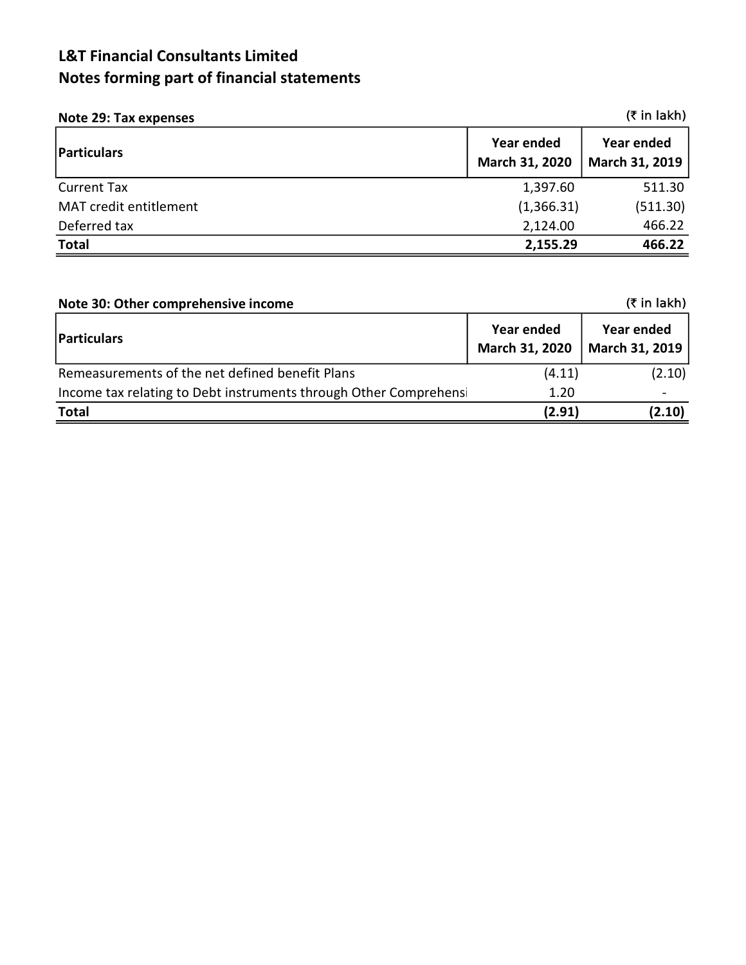| Note 29: Tax expenses  |                              | $(5 \in \mathsf{In} \, \mathsf{l}_\mathsf{R}$ |
|------------------------|------------------------------|-----------------------------------------------|
| <b>Particulars</b>     | Year ended<br>March 31, 2020 | Year ended<br>March 31, 2019                  |
| <b>Current Tax</b>     | 1,397.60                     | 511.30                                        |
| MAT credit entitlement | (1,366.31)                   | (511.30)                                      |
| Deferred tax           | 2,124.00                     | 466.22                                        |
| <b>Total</b>           | 2,155.29                     | 466.22                                        |

| Note 30: Other comprehensive income                               |                              | $($ ₹ in lakh)               |
|-------------------------------------------------------------------|------------------------------|------------------------------|
| <b>Particulars</b>                                                | Year ended<br>March 31, 2020 | Year ended<br>March 31, 2019 |
| Remeasurements of the net defined benefit Plans                   | (4.11)                       | (2.10)                       |
| Income tax relating to Debt instruments through Other Comprehensi | 1.20                         |                              |
| <b>Total</b>                                                      | (2.91)                       | (2.10)                       |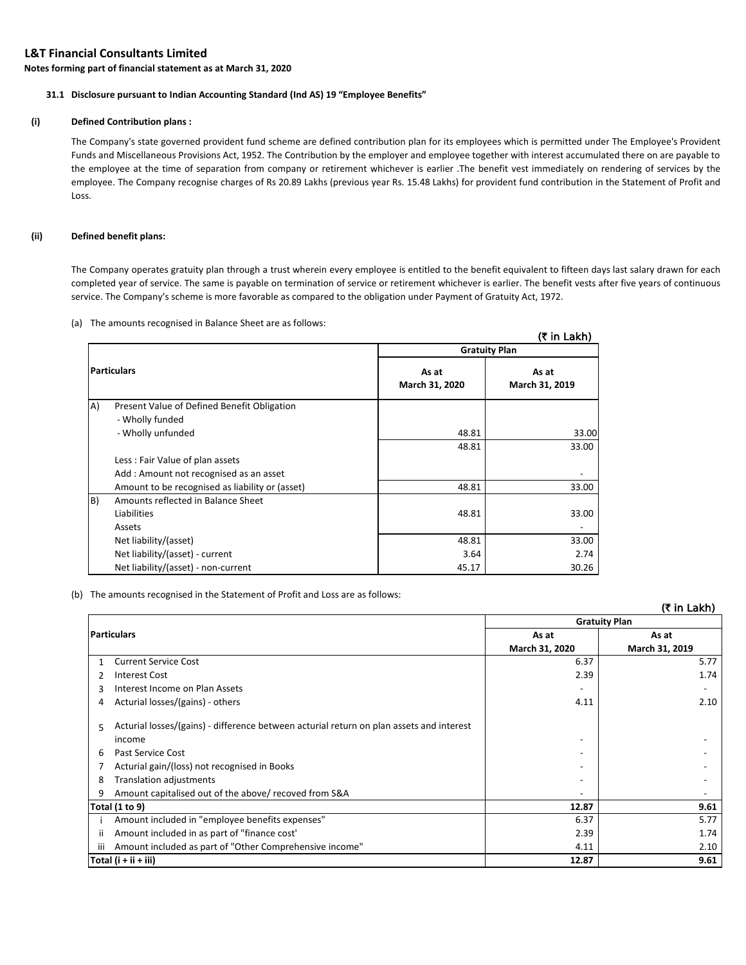#### **Notes forming part of financial statement as at March 31, 2020**

#### **31.1 Disclosure pursuant to Indian Accounting Standard (Ind AS) 19 "Employee Benefits"**

#### **(i) Defined Contribution plans :**

The Company's state governed provident fund scheme are defined contribution plan for its employees which is permitted under The Employee's Provident Funds and Miscellaneous Provisions Act, 1952. The Contribution by the employer and employee together with interest accumulated there on are payable to the employee at the time of separation from company or retirement whichever is earlier .The benefit vest immediately on rendering of services by the employee. The Company recognise charges of Rs 20.89 Lakhs (previous year Rs. 15.48 Lakhs) for provident fund contribution in the Statement of Profit and Loss.

#### **(ii) Defined benefit plans:**

The Company operates gratuity plan through a trust wherein every employee is entitled to the benefit equivalent to fifteen days last salary drawn for each completed year of service. The same is payable on termination of service or retirement whichever is earlier. The benefit vests after five years of continuous service. The Company's scheme is more favorable as compared to the obligation under Payment of Gratuity Act, 1972.

#### (a) The amounts recognised in Balance Sheet are as follows:

| The announced cooking cannot and concern and as removes. |                         | (₹ in Lakh)             |
|----------------------------------------------------------|-------------------------|-------------------------|
|                                                          | <b>Gratuity Plan</b>    |                         |
| Particulars                                              | As at<br>March 31, 2020 | As at<br>March 31, 2019 |
| A)<br>Present Value of Defined Benefit Obligation        |                         |                         |
| - Wholly funded                                          |                         |                         |
| - Wholly unfunded                                        | 48.81                   | 33.00                   |
|                                                          | 48.81                   | 33.00                   |
| Less: Fair Value of plan assets                          |                         |                         |
| Add: Amount not recognised as an asset                   |                         |                         |
| Amount to be recognised as liability or (asset)          | 48.81                   | 33.00                   |
| B)<br>Amounts reflected in Balance Sheet                 |                         |                         |
| Liabilities                                              | 48.81                   | 33.00                   |
| Assets                                                   |                         |                         |
| Net liability/(asset)                                    | 48.81                   | 33.00                   |
| Net liability/(asset) - current                          | 3.64                    | 2.74                    |
| Net liability/(asset) - non-current                      | 45.17                   | 30.26                   |

(b) The amounts recognised in the Statement of Profit and Loss are as follows:

|      |                                                                                          |                          | (₹ in Lakh)    |  |
|------|------------------------------------------------------------------------------------------|--------------------------|----------------|--|
|      |                                                                                          | <b>Gratuity Plan</b>     |                |  |
|      | <b>Particulars</b>                                                                       | As at                    | As at          |  |
|      |                                                                                          | March 31, 2020           | March 31, 2019 |  |
| 1    | <b>Current Service Cost</b>                                                              | 6.37                     | 5.77           |  |
| 2    | <b>Interest Cost</b>                                                                     | 2.39                     | 1.74           |  |
| 3    | Interest Income on Plan Assets                                                           |                          |                |  |
| 4    | Acturial losses/(gains) - others                                                         | 4.11                     | 2.10           |  |
| 5    | Acturial losses/(gains) - difference between acturial return on plan assets and interest |                          |                |  |
|      | income                                                                                   | $\overline{\phantom{a}}$ |                |  |
| 6    | Past Service Cost                                                                        | $\overline{\phantom{a}}$ |                |  |
|      | Acturial gain/(loss) not recognised in Books                                             |                          |                |  |
| 8    | Translation adjustments                                                                  | $\overline{\phantom{a}}$ |                |  |
| 9    | Amount capitalised out of the above/ recoved from S&A                                    | $\overline{\phantom{a}}$ |                |  |
|      | Total (1 to 9)                                                                           | 12.87                    | 9.61           |  |
|      | Amount included in "employee benefits expenses"                                          | 6.37                     | 5.77           |  |
| ÎΪ.  | Amount included in as part of "finance cost"                                             | 2.39                     | 1.74           |  |
| iii. | Amount included as part of "Other Comprehensive income"                                  | 4.11                     | 2.10           |  |
|      | Total $(i + ii + iii)$                                                                   | 12.87                    | 9.61           |  |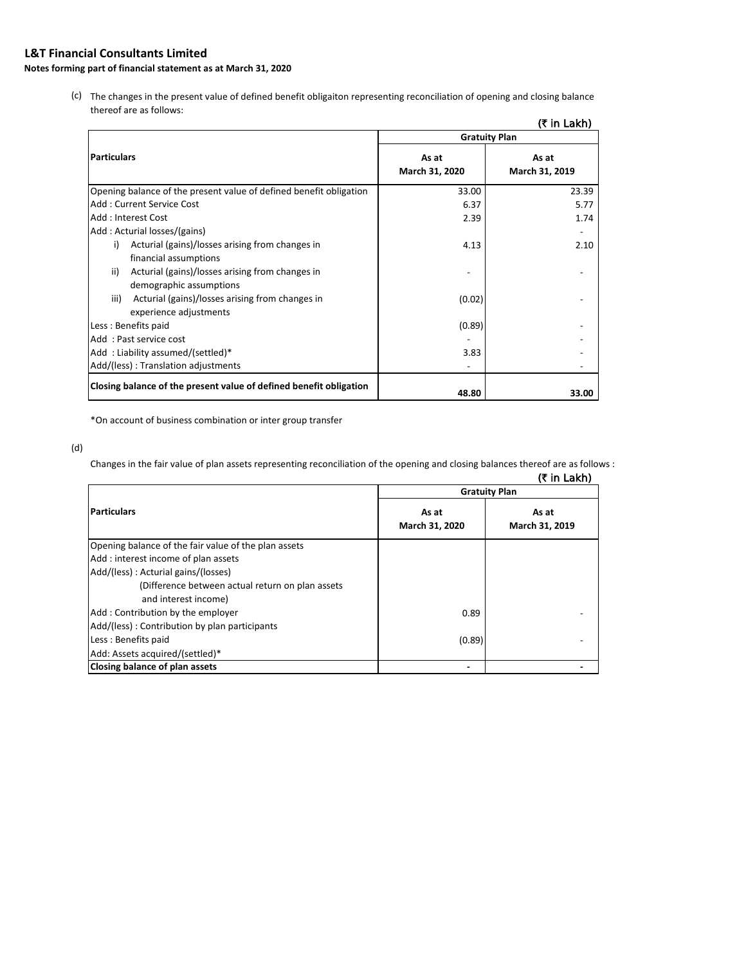**Notes forming part of financial statement as at March 31, 2020**

(c) The changes in the present value of defined benefit obligaiton representing reconciliation of opening and closing balance  $(F \in \mathbb{R}^n)$ thereof are as follows:

|                                                                    |                                                    | (र in Lakh) |  |
|--------------------------------------------------------------------|----------------------------------------------------|-------------|--|
|                                                                    | <b>Gratuity Plan</b>                               |             |  |
| <b>Particulars</b>                                                 | As at<br>As at<br>March 31, 2019<br>March 31, 2020 |             |  |
| Opening balance of the present value of defined benefit obligation | 33.00                                              | 23.39       |  |
| Add : Current Service Cost                                         | 6.37                                               | 5.77        |  |
| Add : Interest Cost                                                | 2.39                                               | 1.74        |  |
| Add: Acturial losses/(gains)                                       |                                                    |             |  |
| Acturial (gains)/losses arising from changes in<br>i)              | 4.13                                               | 2.10        |  |
| financial assumptions                                              |                                                    |             |  |
| Acturial (gains)/losses arising from changes in<br>ii)             |                                                    |             |  |
| demographic assumptions                                            |                                                    |             |  |
| Acturial (gains)/losses arising from changes in<br>iii)            | (0.02)                                             |             |  |
| experience adjustments                                             |                                                    |             |  |
| Less : Benefits paid                                               | (0.89)                                             |             |  |
| Add: Past service cost                                             |                                                    |             |  |
| Add: Liability assumed/(settled)*                                  | 3.83                                               |             |  |
| Add/(less): Translation adjustments                                |                                                    |             |  |
| Closing balance of the present value of defined benefit obligation | 48.80                                              | 33.00       |  |

\*On account of business combination or inter group transfer

#### (d)

(` in Lakh) Changes in the fair value of plan assets representing reconciliation of the opening and closing balances thereof are as follows :

|                                                      |                         | (₹ in Lakh)             |  |  |
|------------------------------------------------------|-------------------------|-------------------------|--|--|
|                                                      |                         | <b>Gratuity Plan</b>    |  |  |
| <b>Particulars</b>                                   | As at<br>March 31, 2020 | As at<br>March 31, 2019 |  |  |
| Opening balance of the fair value of the plan assets |                         |                         |  |  |
| Add: interest income of plan assets                  |                         |                         |  |  |
| Add/(less): Acturial gains/(losses)                  |                         |                         |  |  |
| (Difference between actual return on plan assets)    |                         |                         |  |  |
| and interest income)                                 |                         |                         |  |  |
| Add: Contribution by the employer                    | 0.89                    |                         |  |  |
| Add/(less): Contribution by plan participants        |                         |                         |  |  |
| Less: Benefits paid                                  | (0.89)                  |                         |  |  |
| Add: Assets acquired/(settled)*                      |                         |                         |  |  |
| Closing balance of plan assets                       |                         |                         |  |  |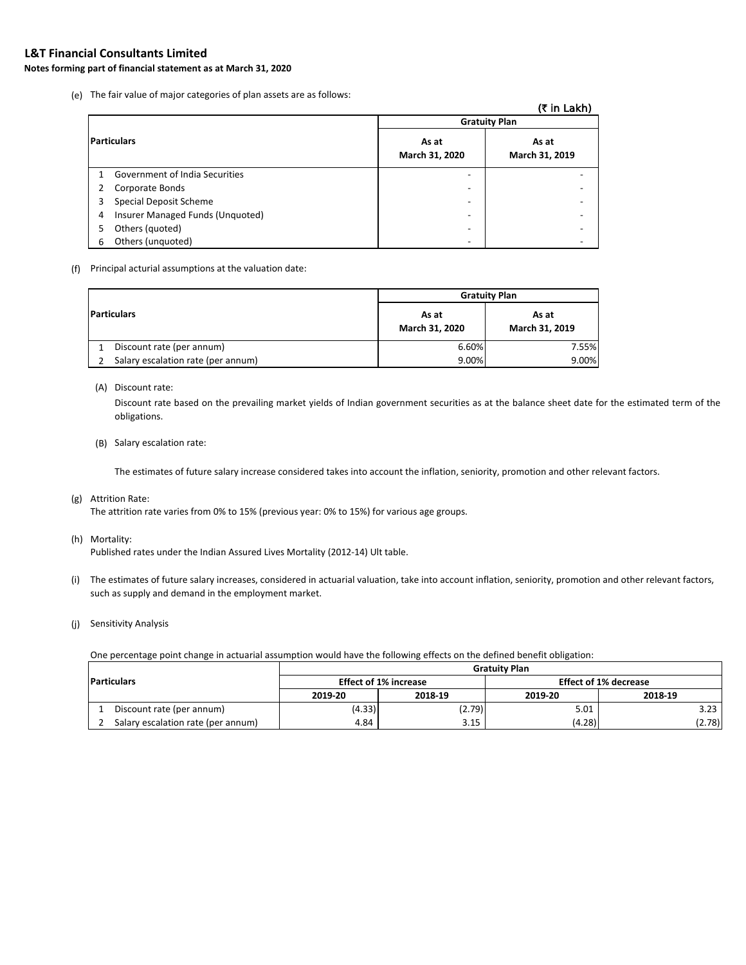#### **Notes forming part of financial statement as at March 31, 2020**

(e) The fair value of major categories of plan assets are as follows:

#### (` in Lakh) **As at March 31, 2020 As at March 31, 2019**  1 Government of India Securities **According to the Contract of India Securities** According to the Contract of India Securities and According to the Contract of India Securities and According to the Contract of India Securi 2 - - Corporate Bonds 3 - - Special Deposit Scheme 4 - - Insurer Managed Funds (Unquoted) 5 Others (quoted) 6 - - Others (unquoted) **Particulars Gratuity Plan**

(f) Principal acturial assumptions at the valuation date:

|  |                                    | <b>Gratuity Plan</b>    |                         |  |
|--|------------------------------------|-------------------------|-------------------------|--|
|  | <b>Particulars</b>                 | As at<br>March 31, 2020 | As at<br>March 31, 2019 |  |
|  | Discount rate (per annum)          | 6.60%                   | 7.55%I                  |  |
|  | Salary escalation rate (per annum) | 9.00%                   | 9.00%                   |  |

(A) Discount rate:

Discount rate based on the prevailing market yields of Indian government securities as at the balance sheet date for the estimated term of the obligations.

(B) Salary escalation rate:

The estimates of future salary increase considered takes into account the inflation, seniority, promotion and other relevant factors.

(g) Attrition Rate:

The attrition rate varies from 0% to 15% (previous year: 0% to 15%) for various age groups.

(h) Mortality:

Published rates under the Indian Assured Lives Mortality (2012-14) Ult table.

- (i) The estimates of future salary increases, considered in actuarial valuation, take into account inflation, seniority, promotion and other relevant factors, such as supply and demand in the employment market.
- (j) Sensitivity Analysis

One percentage point change in actuarial assumption would have the following effects on the defined benefit obligation:

| <b>Particulars</b> |                                    | <b>Gratuity Plan</b>         |         |                              |         |
|--------------------|------------------------------------|------------------------------|---------|------------------------------|---------|
|                    |                                    | <b>Effect of 1% increase</b> |         | <b>Effect of 1% decrease</b> |         |
|                    |                                    | 2019-20                      | 2018-19 | 2019-20                      | 2018-19 |
|                    | Discount rate (per annum)          | (4.33)                       | (2.79)  | 5.01                         | 3.23    |
|                    | Salary escalation rate (per annum) | 4.84                         | 3.15    | (4.28)                       | (2.78)  |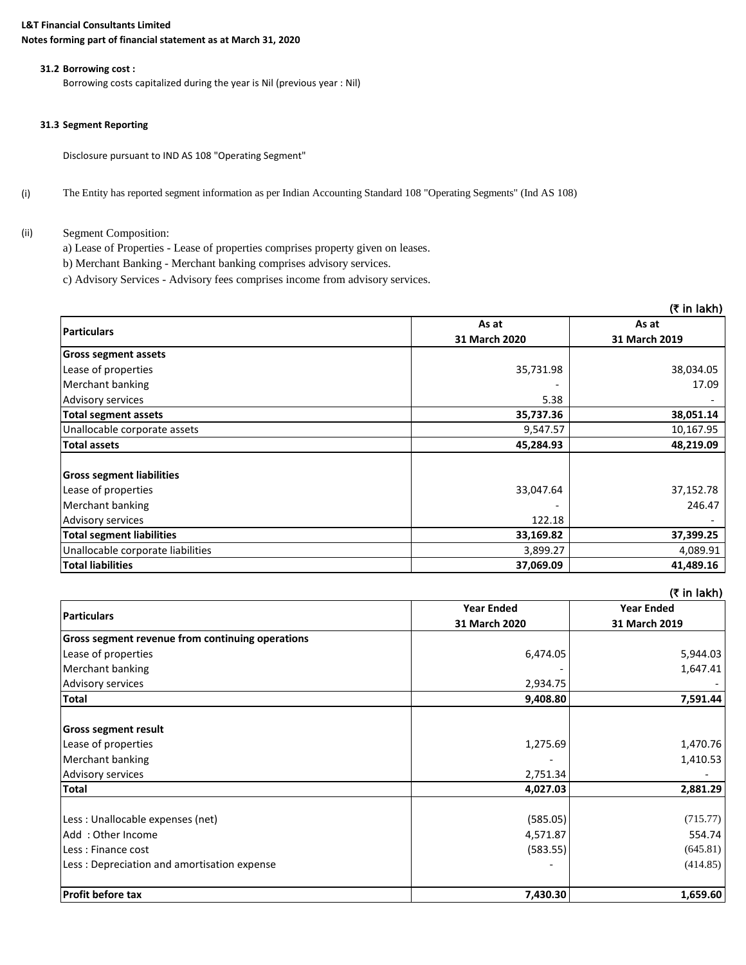#### **Notes forming part of financial statement as at March 31, 2020**

#### **31.2 Borrowing cost :**

Borrowing costs capitalized during the year is Nil (previous year : Nil)

#### **31.3 Segment Reporting**

Disclosure pursuant to IND AS 108 "Operating Segment"

(i) The Entity has reported segment information as per Indian Accounting Standard 108 "Operating Segments" (Ind AS 108)

#### (ii) Segment Composition:

a) Lease of Properties - Lease of properties comprises property given on leases.

b) Merchant Banking - Merchant banking comprises advisory services.

c) Advisory Services - Advisory fees comprises income from advisory services.

|                                   |               | (₹ in lakh)   |  |
|-----------------------------------|---------------|---------------|--|
|                                   | As at         | As at         |  |
| <b>Particulars</b>                | 31 March 2020 | 31 March 2019 |  |
| <b>Gross segment assets</b>       |               |               |  |
| Lease of properties               | 35,731.98     | 38,034.05     |  |
| Merchant banking                  |               | 17.09         |  |
| Advisory services                 | 5.38          |               |  |
| <b>Total segment assets</b>       | 35,737.36     | 38,051.14     |  |
| Unallocable corporate assets      | 9,547.57      | 10,167.95     |  |
| <b>Total assets</b>               | 45,284.93     | 48,219.09     |  |
| <b>Gross segment liabilities</b>  |               |               |  |
| Lease of properties               | 33,047.64     | 37,152.78     |  |
| Merchant banking                  |               | 246.47        |  |
| Advisory services                 | 122.18        |               |  |
| <b>Total segment liabilities</b>  | 33,169.82     | 37,399.25     |  |
| Unallocable corporate liabilities | 3,899.27      | 4,089.91      |  |
| <b>Total liabilities</b>          | 37,069.09     | 41,489.16     |  |

|                                                  |                   | (₹ in lakh)       |
|--------------------------------------------------|-------------------|-------------------|
|                                                  | <b>Year Ended</b> | <b>Year Ended</b> |
| <b>Particulars</b>                               | 31 March 2020     | 31 March 2019     |
| Gross segment revenue from continuing operations |                   |                   |
| Lease of properties                              | 6,474.05          | 5,944.03          |
| Merchant banking                                 |                   | 1,647.41          |
| <b>Advisory services</b>                         | 2,934.75          |                   |
| <b>Total</b>                                     | 9,408.80          | 7,591.44          |
| <b>Gross segment result</b>                      |                   |                   |
| Lease of properties                              | 1,275.69          | 1,470.76          |
| Merchant banking                                 |                   | 1,410.53          |
| <b>Advisory services</b>                         | 2,751.34          |                   |
| <b>Total</b>                                     | 4,027.03          | 2,881.29          |
| Less : Unallocable expenses (net)                | (585.05)          | (715.77)          |
| Add: Other Income                                | 4,571.87          | 554.74            |
| Less: Finance cost                               | (583.55)          | (645.81)          |
| Less: Depreciation and amortisation expense      |                   | (414.85)          |
| <b>Profit before tax</b>                         | 7,430.30          | 1,659.60          |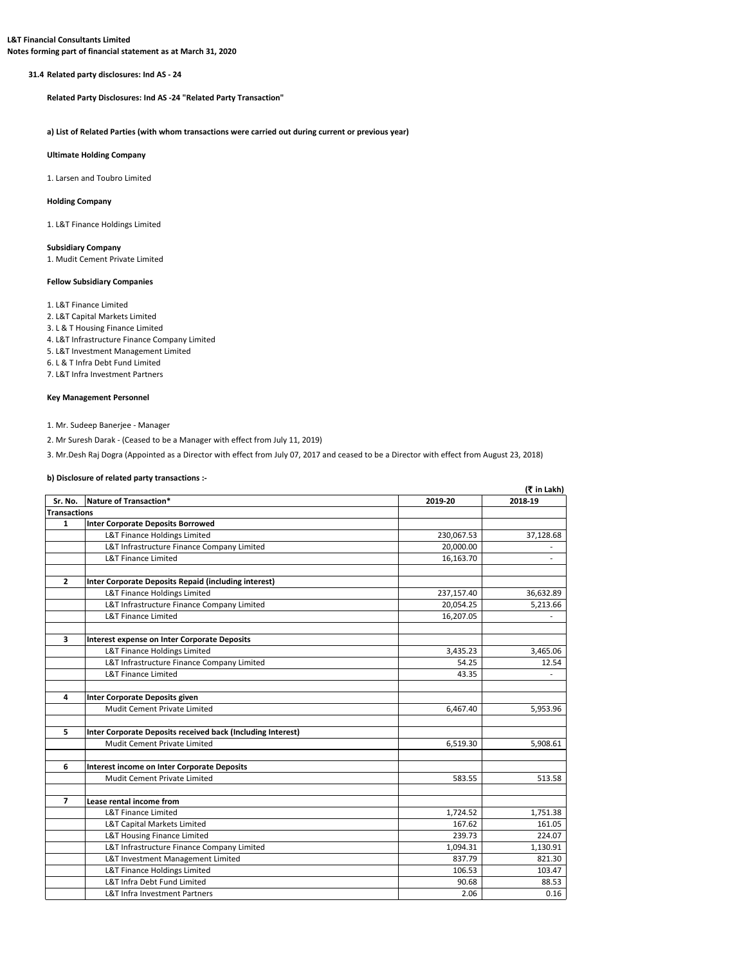**31.4 Related party disclosures: Ind AS - 24**

**Related Party Disclosures: Ind AS -24 "Related Party Transaction"**

**a) List of Related Parties (with whom transactions were carried out during current or previous year)**

**Ultimate Holding Company**

1. Larsen and Toubro Limited

**Holding Company**

1. L&T Finance Holdings Limited

**Subsidiary Company** 1. Mudit Cement Private Limited

#### **Fellow Subsidiary Companies**

1. L&T Finance Limited

2. L&T Capital Markets Limited

3. L & T Housing Finance Limited

4. L&T Infrastructure Finance Company Limited

5. L&T Investment Management Limited

6. L & T Infra Debt Fund Limited

7. L&T Infra Investment Partners

#### **Key Management Personnel**

1. Mr. Sudeep Banerjee - Manager

2. Mr Suresh Darak - (Ceased to be a Manager with effect from July 11, 2019)

3. Mr.Desh Raj Dogra (Appointed as a Director with effect from July 07, 2017 and ceased to be a Director with effect from August 23, 2018)

#### **b) Disclosure of related party transactions :-**

|                     |                                                             |            | (₹ in Lakh)              |
|---------------------|-------------------------------------------------------------|------------|--------------------------|
| Sr. No.             | Nature of Transaction*                                      | 2019-20    | 2018-19                  |
| <b>Transactions</b> |                                                             |            |                          |
| $\mathbf{1}$        | <b>Inter Corporate Deposits Borrowed</b>                    |            |                          |
|                     | L&T Finance Holdings Limited                                | 230,067.53 | 37,128.68                |
|                     | L&T Infrastructure Finance Company Limited                  | 20,000.00  |                          |
|                     | <b>L&amp;T Finance Limited</b>                              | 16,163.70  | $\overline{\phantom{a}}$ |
| $\overline{2}$      | Inter Corporate Deposits Repaid (including interest)        |            |                          |
|                     | L&T Finance Holdings Limited                                | 237,157.40 | 36,632.89                |
|                     | L&T Infrastructure Finance Company Limited                  | 20,054.25  | 5,213.66                 |
|                     | <b>L&amp;T Finance Limited</b>                              | 16,207.05  |                          |
| 3                   | Interest expense on Inter Corporate Deposits                |            |                          |
|                     | L&T Finance Holdings Limited                                | 3,435.23   | 3,465.06                 |
|                     | L&T Infrastructure Finance Company Limited                  | 54.25      | 12.54                    |
|                     | <b>L&amp;T Finance Limited</b>                              | 43.35      |                          |
| 4                   | Inter Corporate Deposits given                              |            |                          |
|                     | <b>Mudit Cement Private Limited</b>                         | 6,467.40   | 5,953.96                 |
| 5                   | Inter Corporate Deposits received back (Including Interest) |            |                          |
|                     | Mudit Cement Private Limited                                | 6,519.30   | 5,908.61                 |
| 6                   | Interest income on Inter Corporate Deposits                 |            |                          |
|                     | Mudit Cement Private Limited                                | 583.55     | 513.58                   |
| 7                   | Lease rental income from                                    |            |                          |
|                     | <b>L&amp;T Finance Limited</b>                              | 1,724.52   | 1,751.38                 |
|                     | L&T Capital Markets Limited                                 | 167.62     | 161.05                   |
|                     | L&T Housing Finance Limited                                 | 239.73     | 224.07                   |
|                     | L&T Infrastructure Finance Company Limited                  | 1,094.31   | 1,130.91                 |
|                     | L&T Investment Management Limited                           | 837.79     | 821.30                   |
|                     | L&T Finance Holdings Limited                                | 106.53     | 103.47                   |
|                     | L&T Infra Debt Fund Limited                                 | 90.68      | 88.53                    |
|                     | L&T Infra Investment Partners                               | 2.06       | 0.16                     |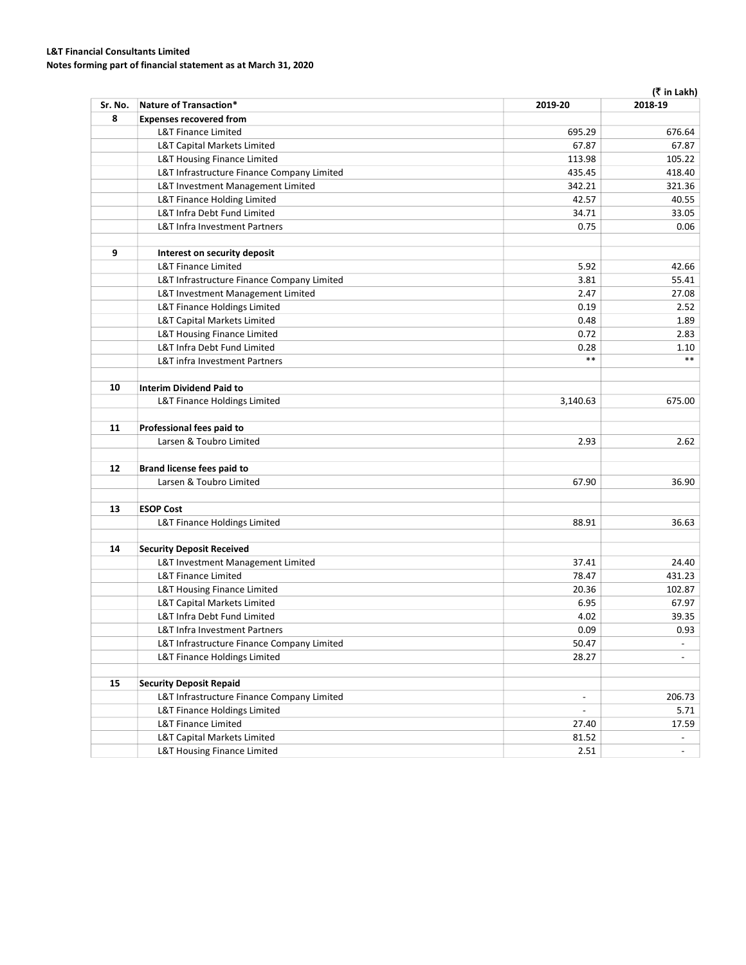|         |                                                                              | (₹ in Lakh)              |                          |  |  |  |  |
|---------|------------------------------------------------------------------------------|--------------------------|--------------------------|--|--|--|--|
| Sr. No. | Nature of Transaction*                                                       | 2019-20                  | 2018-19                  |  |  |  |  |
| 8       | <b>Expenses recovered from</b>                                               |                          |                          |  |  |  |  |
|         | <b>L&amp;T Finance Limited</b>                                               | 695.29                   | 676.64                   |  |  |  |  |
|         | L&T Capital Markets Limited                                                  | 67.87                    | 67.87                    |  |  |  |  |
|         | L&T Housing Finance Limited                                                  | 113.98                   | 105.22                   |  |  |  |  |
|         | L&T Infrastructure Finance Company Limited                                   | 435.45                   | 418.40                   |  |  |  |  |
|         | L&T Investment Management Limited                                            | 342.21                   | 321.36                   |  |  |  |  |
|         | L&T Finance Holding Limited                                                  | 42.57                    | 40.55                    |  |  |  |  |
|         | L&T Infra Debt Fund Limited                                                  | 34.71                    | 33.05                    |  |  |  |  |
|         | L&T Infra Investment Partners                                                | 0.75                     | 0.06                     |  |  |  |  |
| 9       | Interest on security deposit                                                 |                          |                          |  |  |  |  |
|         | <b>L&amp;T Finance Limited</b>                                               | 5.92                     | 42.66                    |  |  |  |  |
|         | L&T Infrastructure Finance Company Limited                                   | 3.81                     | 55.41                    |  |  |  |  |
|         | L&T Investment Management Limited                                            | 2.47                     | 27.08                    |  |  |  |  |
|         | L&T Finance Holdings Limited                                                 | 0.19                     | 2.52                     |  |  |  |  |
|         | L&T Capital Markets Limited                                                  | 0.48                     | 1.89                     |  |  |  |  |
|         | L&T Housing Finance Limited                                                  | 0.72                     | 2.83                     |  |  |  |  |
|         | L&T Infra Debt Fund Limited                                                  | 0.28                     | 1.10                     |  |  |  |  |
|         | L&T infra Investment Partners                                                | $***$                    | $***$                    |  |  |  |  |
|         |                                                                              |                          |                          |  |  |  |  |
| 10      | <b>Interim Dividend Paid to</b>                                              |                          |                          |  |  |  |  |
|         | L&T Finance Holdings Limited                                                 | 3,140.63                 | 675.00                   |  |  |  |  |
| 11      | Professional fees paid to                                                    |                          |                          |  |  |  |  |
|         | Larsen & Toubro Limited                                                      | 2.93                     | 2.62                     |  |  |  |  |
| 12      | <b>Brand license fees paid to</b>                                            |                          |                          |  |  |  |  |
|         | Larsen & Toubro Limited                                                      | 67.90                    | 36.90                    |  |  |  |  |
|         |                                                                              |                          |                          |  |  |  |  |
| 13      | <b>ESOP Cost</b>                                                             |                          |                          |  |  |  |  |
|         | L&T Finance Holdings Limited                                                 | 88.91                    | 36.63                    |  |  |  |  |
| 14      | <b>Security Deposit Received</b>                                             |                          |                          |  |  |  |  |
|         | L&T Investment Management Limited                                            | 37.41                    | 24.40                    |  |  |  |  |
|         | L&T Finance Limited                                                          | 78.47                    | 431.23                   |  |  |  |  |
|         | L&T Housing Finance Limited                                                  | 20.36                    | 102.87                   |  |  |  |  |
|         | L&T Capital Markets Limited                                                  | 6.95                     | 67.97                    |  |  |  |  |
|         | L&T Infra Debt Fund Limited                                                  | 4.02                     | 39.35                    |  |  |  |  |
|         | L&T Infra Investment Partners                                                | 0.09                     | 0.93                     |  |  |  |  |
|         | L&T Infrastructure Finance Company Limited                                   | 50.47                    | $\overline{\phantom{a}}$ |  |  |  |  |
|         | L&T Finance Holdings Limited                                                 | 28.27                    | $\overline{\phantom{a}}$ |  |  |  |  |
|         |                                                                              |                          |                          |  |  |  |  |
| 15      | <b>Security Deposit Repaid</b><br>L&T Infrastructure Finance Company Limited | $\overline{\phantom{a}}$ | 206.73                   |  |  |  |  |
|         | L&T Finance Holdings Limited                                                 | $\overline{\phantom{a}}$ | 5.71                     |  |  |  |  |
|         | <b>L&amp;T Finance Limited</b>                                               | 27.40                    |                          |  |  |  |  |
|         |                                                                              | 81.52                    | 17.59                    |  |  |  |  |
|         | L&T Capital Markets Limited                                                  |                          | $\overline{\phantom{a}}$ |  |  |  |  |
|         | L&T Housing Finance Limited                                                  | 2.51                     |                          |  |  |  |  |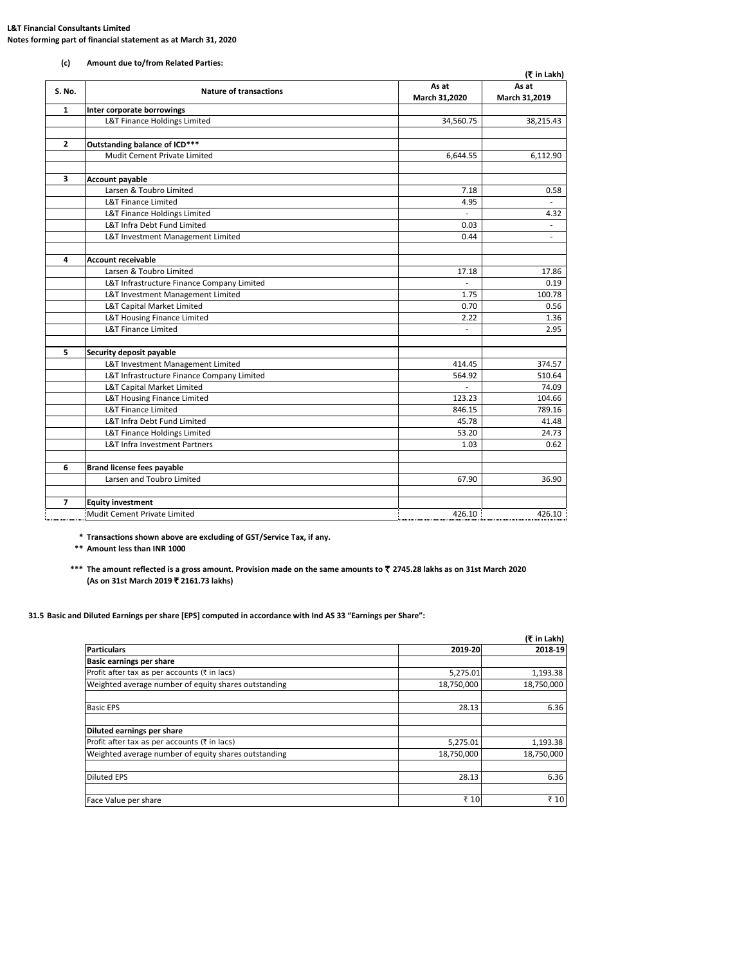**(c) Amount due to/from Related Parties:**

|                | (₹ in Lakh)                                |               |                          |  |  |  |  |
|----------------|--------------------------------------------|---------------|--------------------------|--|--|--|--|
| S. No.         | <b>Nature of transactions</b>              | As at         | As at                    |  |  |  |  |
|                |                                            | March 31,2020 | March 31,2019            |  |  |  |  |
| 1              | Inter corporate borrowings                 |               |                          |  |  |  |  |
|                | L&T Finance Holdings Limited               | 34,560.75     | 38,215.43                |  |  |  |  |
|                |                                            |               |                          |  |  |  |  |
| $\overline{2}$ | Outstanding balance of ICD***              |               |                          |  |  |  |  |
|                | Mudit Cement Private Limited               | 6,644.55      | 6,112.90                 |  |  |  |  |
|                |                                            |               |                          |  |  |  |  |
| 3              | <b>Account payable</b>                     |               |                          |  |  |  |  |
|                | Larsen & Toubro Limited                    | 7.18          | 0.58                     |  |  |  |  |
|                | <b>L&amp;T Finance Limited</b>             | 4.95          | $\sim$                   |  |  |  |  |
|                | L&T Finance Holdings Limited               | ÷.            | 4.32                     |  |  |  |  |
|                | L&T Infra Debt Fund Limited                | 0.03          | $\sim$                   |  |  |  |  |
|                | L&T Investment Management Limited          | 0.44          | $\overline{\phantom{a}}$ |  |  |  |  |
|                |                                            |               |                          |  |  |  |  |
| 4              | <b>Account receivable</b>                  |               |                          |  |  |  |  |
|                | Larsen & Toubro Limited                    | 17.18         | 17.86                    |  |  |  |  |
|                | L&T Infrastructure Finance Company Limited | ÷             | 0.19                     |  |  |  |  |
|                | L&T Investment Management Limited          | 1.75          | 100.78                   |  |  |  |  |
|                | L&T Capital Market Limited                 | 0.70          | 0.56                     |  |  |  |  |
|                | <b>L&amp;T Housing Finance Limited</b>     | 2.22          | 1.36                     |  |  |  |  |
|                | <b>L&amp;T Finance Limited</b>             |               | 2.95                     |  |  |  |  |
|                |                                            |               |                          |  |  |  |  |
| 5.             | Security deposit payable                   |               |                          |  |  |  |  |
|                | L&T Investment Management Limited          | 414.45        | 374.57                   |  |  |  |  |
|                | L&T Infrastructure Finance Company Limited | 564.92        | 510.64                   |  |  |  |  |
|                | L&T Capital Market Limited                 |               | 74.09                    |  |  |  |  |
|                | L&T Housing Finance Limited                | 123.23        | 104.66                   |  |  |  |  |
|                | <b>L&amp;T Finance Limited</b>             | 846.15        | 789.16                   |  |  |  |  |
|                | L&T Infra Debt Fund Limited                | 45.78         | 41.48                    |  |  |  |  |
|                | L&T Finance Holdings Limited               | 53.20         | 24.73                    |  |  |  |  |
|                | <b>L&amp;T Infra Investment Partners</b>   | 1.03          | 0.62                     |  |  |  |  |
|                |                                            |               |                          |  |  |  |  |
| 6              | <b>Brand license fees payable</b>          |               |                          |  |  |  |  |
|                | Larsen and Toubro Limited                  | 67.90         | 36.90                    |  |  |  |  |
|                |                                            |               |                          |  |  |  |  |
| $\overline{ }$ | <b>Equity investment</b>                   |               |                          |  |  |  |  |
|                | Mudit Cement Private Limited               | 426.10        | 426.10                   |  |  |  |  |

**\* Transactions shown above are excluding of GST/Service Tax, if any.**

**\*\* Amount less than INR 1000**

**\*\*\* The amount reflected is a gross amount. Provision made on the same amounts to** ` **2745.28 lakhs as on 31st March 2020 (As on 31st March 2019** ` **2161.73 lakhs)**

**31.5 Basic and Diluted Earnings per share [EPS] computed in accordance with Ind AS 33 "Earnings per Share":**

|                                                      |            | (₹ in Lakh) |
|------------------------------------------------------|------------|-------------|
| <b>Particulars</b>                                   | 2019-20    | 2018-19     |
| <b>Basic earnings per share</b>                      |            |             |
| Profit after tax as per accounts (₹ in lacs)         | 5,275.01   | 1,193.38    |
| Weighted average number of equity shares outstanding | 18,750,000 | 18,750,000  |
| <b>Basic EPS</b>                                     | 28.13      | 6.36        |
| Diluted earnings per share                           |            |             |
| Profit after tax as per accounts (₹ in lacs)         | 5,275.01   | 1,193.38    |
| Weighted average number of equity shares outstanding | 18,750,000 | 18,750,000  |
| <b>Diluted EPS</b>                                   | 28.13      | 6.36        |
| Face Value per share                                 | ₹ 10       | ₹10         |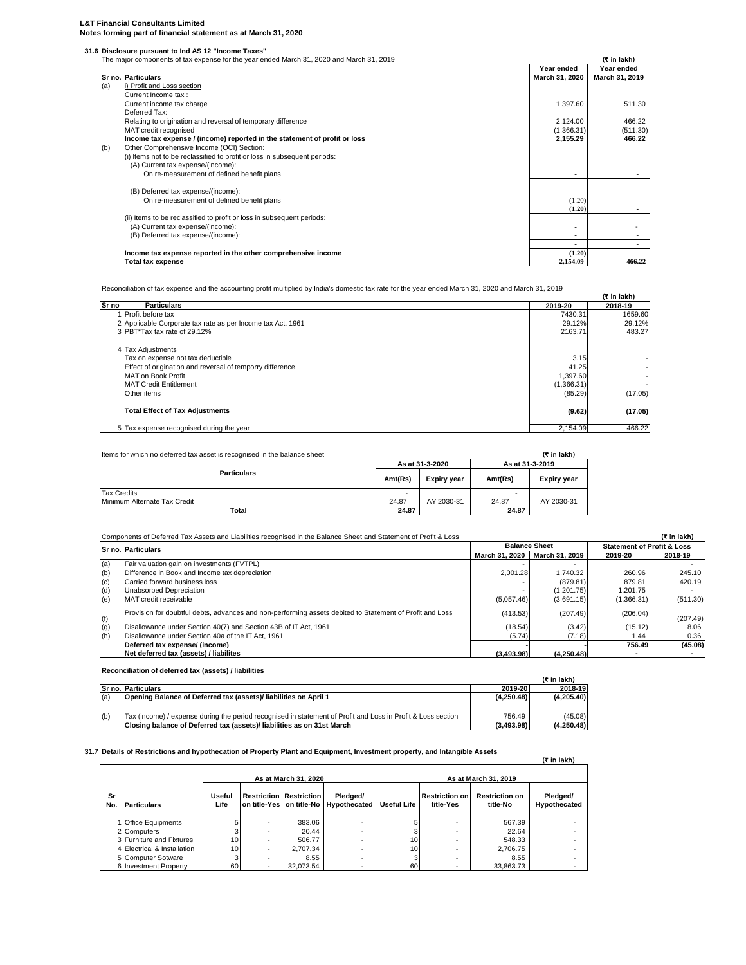#### **31.6 Disclosure pursuant to Ind AS 12 "Income Taxes"**

| The major components of tax expense for the year ended March 31, 2020 and March 31, 2019 |                                                                           | (₹ in lakh)    |                |
|------------------------------------------------------------------------------------------|---------------------------------------------------------------------------|----------------|----------------|
|                                                                                          |                                                                           | Year ended     | Year ended     |
|                                                                                          | <b>Sr no. Particulars</b>                                                 | March 31, 2020 | March 31, 2019 |
| (a)                                                                                      | i) Profit and Loss section                                                |                |                |
|                                                                                          | Current Income tax:                                                       |                |                |
|                                                                                          | Current income tax charge                                                 | 1,397.60       | 511.30         |
|                                                                                          | Deferred Tax:                                                             |                |                |
|                                                                                          | Relating to origination and reversal of temporary difference              | 2,124.00       | 466.22         |
|                                                                                          | MAT credit recognised                                                     | (1,366.31)     | (511.30)       |
|                                                                                          | Income tax expense / (income) reported in the statement of profit or loss | 2,155.29       | 466.22         |
| (b)                                                                                      | Other Comprehensive Income (OCI) Section:                                 |                |                |
|                                                                                          | (i) Items not to be reclassified to profit or loss in subsequent periods: |                |                |
|                                                                                          | (A) Current tax expense/(income):                                         |                |                |
|                                                                                          | On re-measurement of defined benefit plans                                |                |                |
|                                                                                          |                                                                           |                |                |
|                                                                                          | (B) Deferred tax expense/(income):                                        |                |                |
|                                                                                          | On re-measurement of defined benefit plans                                | (1.20)         |                |
|                                                                                          |                                                                           | (1.20)         |                |
|                                                                                          | (ii) Items to be reclassified to profit or loss in subsequent periods:    |                |                |
|                                                                                          | (A) Current tax expense/(income):                                         |                |                |
|                                                                                          | (B) Deferred tax expense/(income):                                        |                |                |
|                                                                                          |                                                                           |                |                |
|                                                                                          | Income tax expense reported in the other comprehensive income             | (1.20)         |                |
|                                                                                          | <b>Total tax expense</b>                                                  | 2,154.09       | 466.22         |

Reconciliation of tax expense and the accounting profit multiplied by India's domestic tax rate for the year ended March 31, 2020 and March 31, 2019

|       | Reconciliation of tax expense and the accounting profit multiplied by India's domestic tax rate for the year ended March 31, 2020 and March 31, 2019 |            |             |
|-------|------------------------------------------------------------------------------------------------------------------------------------------------------|------------|-------------|
|       |                                                                                                                                                      |            | (₹ in lakh) |
| Sr no | <b>Particulars</b>                                                                                                                                   | 2019-20    | 2018-19     |
|       | 1 Profit before tax                                                                                                                                  | 7430.31    | 1659.60     |
|       | 2 Applicable Corporate tax rate as per Income tax Act, 1961                                                                                          | 29.12%     | 29.12%      |
|       | 3 PBT*Tax tax rate of 29.12%                                                                                                                         | 2163.71    | 483.27      |
|       | <b>Tax Adiustments</b>                                                                                                                               |            |             |
|       | Tax on expense not tax deductible                                                                                                                    | 3.15       |             |
|       | Effect of origination and reversal of temporry difference                                                                                            | 41.25      |             |
|       | MAT on Book Profit                                                                                                                                   | 1.397.60   |             |
|       | <b>MAT Credit Entitlement</b>                                                                                                                        | (1,366.31) |             |
|       | Other items                                                                                                                                          | (85.29)    | (17.05)     |
|       | <b>Total Effect of Tax Adjustments</b>                                                                                                               | (9.62)     | (17.05)     |
|       | 5 Tax expense recognised during the year                                                                                                             | 2.154.09   | 466.22      |

| Items for which no deferred tax asset is recognised in the balance sheet |       |                 |                 | (₹ in lakh) |  |
|--------------------------------------------------------------------------|-------|-----------------|-----------------|-------------|--|
|                                                                          |       | As at 31-3-2020 | As at 31-3-2019 |             |  |
| <b>Particulars</b>                                                       |       | Expiry year     | Amt(Rs)         | Expiry year |  |
| <b>Tax Credits</b>                                                       |       |                 | . .             |             |  |
| Minimum Alternate Tax Credit                                             | 24.87 | AY 2030-31      | 24.87           | AY 2030-31  |  |
| Total                                                                    | 24.87 |                 | 24.87           |             |  |

|     | Components of Deferred Tax Assets and Liabilities recognised in the Balance Sheet and Statement of Profit & Loss |                |                      |            | (₹ in lakh)                           |  |
|-----|------------------------------------------------------------------------------------------------------------------|----------------|----------------------|------------|---------------------------------------|--|
|     | <b>Sr no. Particulars</b>                                                                                        |                | <b>Balance Sheet</b> |            | <b>Statement of Profit &amp; Loss</b> |  |
|     |                                                                                                                  | March 31, 2020 | March 31, 2019       | 2019-20    | 2018-19                               |  |
| (a) | Fair valuation gain on investments (FVTPL)                                                                       |                |                      |            |                                       |  |
| (b) | Difference in Book and Income tax depreciation                                                                   | 2.001.28       | 1.740.32             | 260.96     | 245.10                                |  |
| (c) | Carried forward business loss                                                                                    |                | (879.81)             | 879.81     | 420.19                                |  |
| (d) | <b>Unabsorbed Depreciation</b>                                                                                   |                | (1.201.75)           | 1.201.75   |                                       |  |
| (e) | MAT credit receivable                                                                                            | (5.057.46)     | (3.691.15)           | (1,366.31) | (511.30)                              |  |
| (f) | Provision for doubtful debts, advances and non-performing assets debited to Statement of Profit and Loss         | (413.53)       | (207.49)             | (206.04)   | (207.49)                              |  |
| (g) | Disallowance under Section 40(7) and Section 43B of IT Act, 1961                                                 | (18.54)        | (3.42)               | (15.12)    | 8.06                                  |  |
| (h) | Disallowance under Section 40a of the IT Act, 1961                                                               | (5.74)         | (7.18)               | 1.44       | 0.36                                  |  |
|     | Deferred tax expense/ (income)                                                                                   |                |                      | 756.49     | (45.08)                               |  |
|     | Net deferred tax (assets) / liabilites                                                                           | (3,493.98)     | (4,250.48)           |            |                                       |  |

#### **Reconciliation of deferred tax (assets) / liabilities**

|     |                                                                                                              |            | (₹ in lakh) |
|-----|--------------------------------------------------------------------------------------------------------------|------------|-------------|
|     | <b>Sr no. Particulars</b>                                                                                    | 2019-20    | 2018-19     |
| (a) | Opening Balance of Deferred tax (assets)/ liabilities on April 1                                             | (4.250.48) | (4.205.40)  |
|     |                                                                                                              |            |             |
| (b) | Tax (income) / expense during the period recognised in statement of Profit and Loss in Profit & Loss section | 756.49     | (45.08)     |
|     | Closing balance of Deferred tax (assets)/ liabilities as on 31st March                                       | (3,493.98) | (4,250.48)  |

#### **31.7 Details of Restrictions and hypothecation of Property Plant and Equipment, Investment property, and Intangible Assets**

|           |                             |                                              |                                                            |           |                          |                    |                                    |                                   | (र in lakh)              |
|-----------|-----------------------------|----------------------------------------------|------------------------------------------------------------|-----------|--------------------------|--------------------|------------------------------------|-----------------------------------|--------------------------|
|           |                             | As at March 31, 2020<br>As at March 31, 2019 |                                                            |           |                          |                    |                                    |                                   |                          |
| Sr<br>No. | <b>Particulars</b>          | <b>Useful</b><br>Life                        | <b>Restriction Restriction</b><br>on title-Yes on title-No |           | Pledged/<br>Hypothecated | <b>Useful Life</b> | <b>Restriction on</b><br>title-Yes | <b>Restriction on</b><br>title-No | Pledged/<br>Hypothecated |
|           |                             |                                              |                                                            |           |                          |                    |                                    |                                   |                          |
|           | 1 Office Equipments         |                                              |                                                            | 383.06    |                          |                    |                                    | 567.39                            |                          |
|           | 2 Computers                 |                                              |                                                            | 20.44     |                          |                    |                                    | 22.64                             |                          |
|           | 3 Furniture and Fixtures    | 10 <sub>1</sub>                              | -                                                          | 506.77    |                          | 10                 |                                    | 548.33                            |                          |
|           | 4 Electrical & Installation | 10 <sub>1</sub>                              |                                                            | 2.707.34  |                          | 10                 |                                    | 2.706.75                          |                          |
|           | 5 Computer Sotware          |                                              |                                                            | 8.55      |                          | 3                  |                                    | 8.55                              |                          |
|           | 6 Investment Property       | 60                                           |                                                            | 32.073.54 | $\overline{\phantom{a}}$ | 60                 |                                    | 33.863.73                         |                          |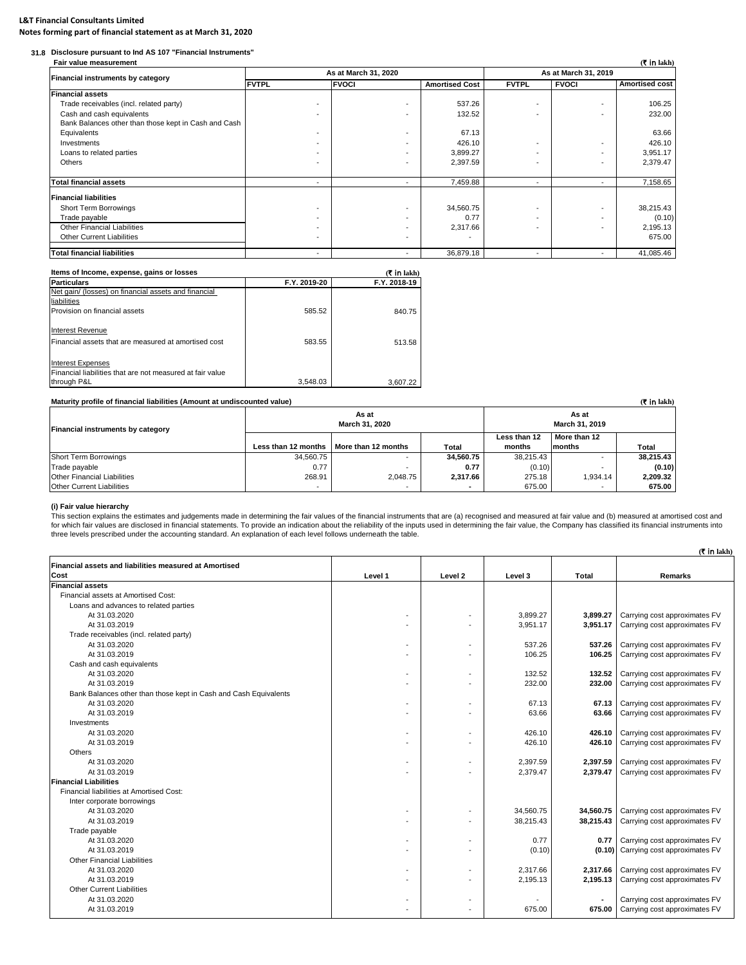#### **31.8 Disclosure pursuant to Ind AS 107 "Financial Instruments"**

| Fair value measurement                               |                          |                          |                       |                          |                          | $($ ₹ in lakh)        |  |
|------------------------------------------------------|--------------------------|--------------------------|-----------------------|--------------------------|--------------------------|-----------------------|--|
| Financial instruments by category                    |                          | As at March 31, 2020     |                       |                          | As at March 31, 2019     |                       |  |
|                                                      | <b>FVTPL</b>             | <b>FVOCI</b>             | <b>Amortised Cost</b> | <b>FVTPL</b>             | <b>FVOCI</b>             | <b>Amortised cost</b> |  |
| <b>Financial assets</b>                              |                          |                          |                       |                          |                          |                       |  |
| Trade receivables (incl. related party)              | $\overline{\phantom{a}}$ |                          | 537.26                |                          |                          | 106.25                |  |
| Cash and cash equivalents                            | $\overline{\phantom{a}}$ |                          | 132.52                | ٠                        | ۰                        | 232.00                |  |
| Bank Balances other than those kept in Cash and Cash |                          |                          |                       |                          |                          |                       |  |
| Equivalents                                          | ٠                        |                          | 67.13                 |                          |                          | 63.66                 |  |
| Investments                                          | ٠                        |                          | 426.10                | $\overline{\phantom{a}}$ | -                        | 426.10                |  |
| Loans to related parties                             | $\overline{\phantom{a}}$ |                          | 3,899.27              | -                        | -                        | 3,951.17              |  |
| Others                                               | $\overline{\phantom{a}}$ |                          | 2,397.59              |                          | ٠                        | 2,379.47              |  |
| <b>Total financial assets</b>                        | $\overline{\phantom{a}}$ | $\overline{\phantom{a}}$ | 7,459.88              | $\overline{\phantom{a}}$ | $\overline{\phantom{a}}$ | 7,158.65              |  |
| <b>Financial liabilities</b>                         |                          |                          |                       |                          |                          |                       |  |
| <b>Short Term Borrowings</b>                         | $\overline{\phantom{a}}$ |                          | 34,560.75             | $\overline{\phantom{a}}$ | ۰                        | 38,215.43             |  |
| Trade payable                                        | $\overline{\phantom{a}}$ |                          | 0.77                  | $\overline{\phantom{a}}$ | -                        | (0.10)                |  |
| <b>Other Financial Liabilities</b>                   | $\overline{\phantom{0}}$ |                          | 2,317.66              | $\overline{\phantom{a}}$ | -                        | 2,195.13              |  |
| <b>Other Current Liabilities</b>                     | $\overline{\phantom{a}}$ |                          |                       |                          |                          | 675.00                |  |
| <b>Total financial liabilities</b>                   | $\overline{\phantom{a}}$ | $\overline{\phantom{a}}$ | 36,879.18             | ٠                        | ۰                        | 41,085.46             |  |

| Items of Income, expense, gains or losses                                                            |              | $($ ₹ in lakh) |
|------------------------------------------------------------------------------------------------------|--------------|----------------|
| <b>Particulars</b>                                                                                   | F.Y. 2019-20 | F.Y. 2018-19   |
| Net gain/ (losses) on financial assets and financial<br>liabilities                                  |              |                |
| Provision on financial assets                                                                        | 585.52       | 840.75         |
| <b>Interest Revenue</b><br>Financial assets that are measured at amortised cost                      | 583.55       | 513.58         |
| <b>Interest Expenses</b><br>Financial liabilities that are not measured at fair value<br>through P&L | 3.548.03     | 3.607.22       |

#### **Maturity profile of financial liabilities (Amount at undiscounted value) (**` in **lakh)**

| <b>Maturity profile of imancial nabilities (Alliount at unuiscounted value)</b><br>ту ні вікп |                          |                                           |                         |              |              |           |  |  |
|-----------------------------------------------------------------------------------------------|--------------------------|-------------------------------------------|-------------------------|--------------|--------------|-----------|--|--|
| Financial instruments by category                                                             |                          | As at<br>March 31, 2020                   | As at<br>March 31, 2019 |              |              |           |  |  |
|                                                                                               |                          |                                           |                         | Less than 12 | More than 12 |           |  |  |
|                                                                                               |                          | Less than 12 months   More than 12 months | Total                   | months       | months       | Total     |  |  |
| <b>Short Term Borrowings</b>                                                                  | 34.560.75                |                                           | 34.560.75               | 38.215.43    |              | 38.215.43 |  |  |
| Trade payable                                                                                 | 0.77                     |                                           | 0.77                    | (0.10)       |              | (0.10)    |  |  |
| <b>Other Financial Liabilities</b>                                                            | 268.91                   | 2.048.75                                  | 2.317.66                | 275.18       | 1.934.14     | 2,209.32  |  |  |
| <b>Other Current Liabilities</b>                                                              | $\overline{\phantom{0}}$ |                                           |                         | 675.00       |              | 675.00    |  |  |

**(i) Fair value hierarchy**<br>This section explains the estimates and judgements made in determining the fair values of the financial instruments that are (a) recognised and measured at fair value and (b) measured at amortise three levels prescribed under the accounting standard. An explanation of each level follows underneath the table.

|                                                                  |         |         |           |                | $($ T in lakh $)$             |
|------------------------------------------------------------------|---------|---------|-----------|----------------|-------------------------------|
| <b>Financial assets and liabilities measured at Amortised</b>    |         |         |           |                |                               |
| Cost                                                             | Level 1 | Level 2 | Level 3   | Total          | <b>Remarks</b>                |
| <b>Financial assets</b>                                          |         |         |           |                |                               |
| Financial assets at Amortised Cost:                              |         |         |           |                |                               |
| Loans and advances to related parties                            |         |         |           |                |                               |
| At 31.03.2020                                                    |         | ٠       | 3,899.27  | 3,899.27       | Carrying cost approximates FV |
| At 31.03.2019                                                    |         |         | 3.951.17  | 3.951.17       | Carrying cost approximates FV |
| Trade receivables (incl. related party)                          |         |         |           |                |                               |
| At 31.03.2020                                                    |         | ٠       | 537.26    | 537.26         | Carrying cost approximates FV |
| At 31.03.2019                                                    |         |         | 106.25    | 106.25         | Carrying cost approximates FV |
| Cash and cash equivalents                                        |         |         |           |                |                               |
| At 31.03.2020                                                    |         | ٠       | 132.52    | 132.52         | Carrying cost approximates FV |
| At 31.03.2019                                                    |         |         | 232.00    | 232.00         | Carrying cost approximates FV |
| Bank Balances other than those kept in Cash and Cash Equivalents |         |         |           |                |                               |
| At 31.03.2020                                                    |         | ٠       | 67.13     | 67.13          | Carrying cost approximates FV |
| At 31.03.2019                                                    |         |         | 63.66     | 63.66          | Carrying cost approximates FV |
| Investments                                                      |         |         |           |                |                               |
| At 31.03.2020                                                    |         | ٠       | 426.10    | 426.10         | Carrying cost approximates FV |
| At 31.03.2019                                                    |         |         | 426.10    | 426.10         | Carrying cost approximates FV |
| Others                                                           |         |         |           |                |                               |
| At 31.03.2020                                                    |         |         | 2,397.59  | 2.397.59       | Carrying cost approximates FV |
| At 31.03.2019                                                    |         |         | 2,379.47  | 2.379.47       | Carrying cost approximates FV |
| <b>Financial Liabilities</b>                                     |         |         |           |                |                               |
| Financial liabilities at Amortised Cost:                         |         |         |           |                |                               |
| Inter corporate borrowings                                       |         |         |           |                |                               |
| At 31.03.2020                                                    |         |         | 34.560.75 | 34.560.75      | Carrying cost approximates FV |
| At 31.03.2019                                                    |         |         | 38,215.43 | 38,215.43      | Carrying cost approximates FV |
| Trade payable                                                    |         |         |           |                |                               |
| At 31.03.2020                                                    |         | ٠       | 0.77      | 0.77           | Carrying cost approximates FV |
| At 31.03.2019                                                    |         |         | (0.10)    | (0.10)         | Carrying cost approximates FV |
| <b>Other Financial Liabilities</b>                               |         |         |           |                |                               |
| At 31.03.2020                                                    |         |         | 2.317.66  | 2.317.66       | Carrying cost approximates FV |
| At 31.03.2019                                                    |         | ٠       | 2,195.13  | 2,195.13       | Carrying cost approximates FV |
| <b>Other Current Liabilities</b>                                 |         |         |           |                |                               |
| At 31.03.2020                                                    |         |         |           | $\blacksquare$ | Carrying cost approximates FV |
| At 31.03.2019                                                    |         |         | 675.00    | 675.00         | Carrying cost approximates FV |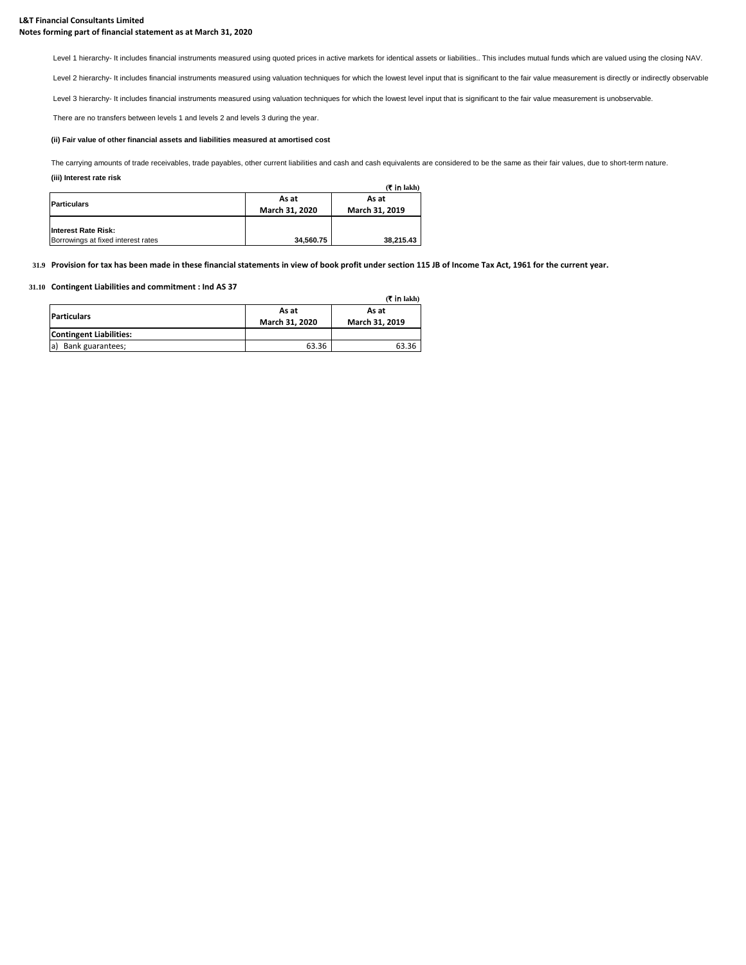**Notes forming part of financial statement as at March 31, 2020**

Level 1 hierarchy- It includes financial instruments measured using quoted prices in active markets for identical assets or liabilities.. This includes mutual funds which are valued using the closing NAV.

Level 2 hierarchy- It includes financial instruments measured using valuation techniques for which the lowest level input that is significant to the fair value measurement is directly or indirectly observable

Level 3 hierarchy- It includes financial instruments measured using valuation techniques for which the lowest level input that is significant to the fair value measurement is unobservable.

There are no transfers between levels 1 and levels 2 and levels 3 during the year.

#### **(ii) Fair value of other financial assets and liabilities measured at amortised cost**

**(iii) Interest rate risk** The carrying amounts of trade receivables, trade payables, other current liabilities and cash and cash equivalents are considered to be the same as their fair values, due to short-term nature.

|                                    |                | $($ ₹ in lakh $)$ |
|------------------------------------|----------------|-------------------|
| <b>Particulars</b>                 | As at          | As at             |
|                                    | March 31, 2020 | March 31, 2019    |
|                                    |                |                   |
| Interest Rate Risk:                |                |                   |
| Borrowings at fixed interest rates | 34,560.75      | 38.215.43         |

 **31.9 Provision for tax has been made in these financial statements in view of book profit under section 115 JB of Income Tax Act, 1961 for the current year.**

#### **31.10 Contingent Liabilities and commitment : Ind AS 37**

|                                |                         | $($ ₹ in lakh $)$       |
|--------------------------------|-------------------------|-------------------------|
| <b>Particulars</b>             | As at<br>March 31, 2020 | As at<br>March 31, 2019 |
| <b>Contingent Liabilities:</b> |                         |                         |
| Bank guarantees;<br>a)         | 63.36                   | 63.36                   |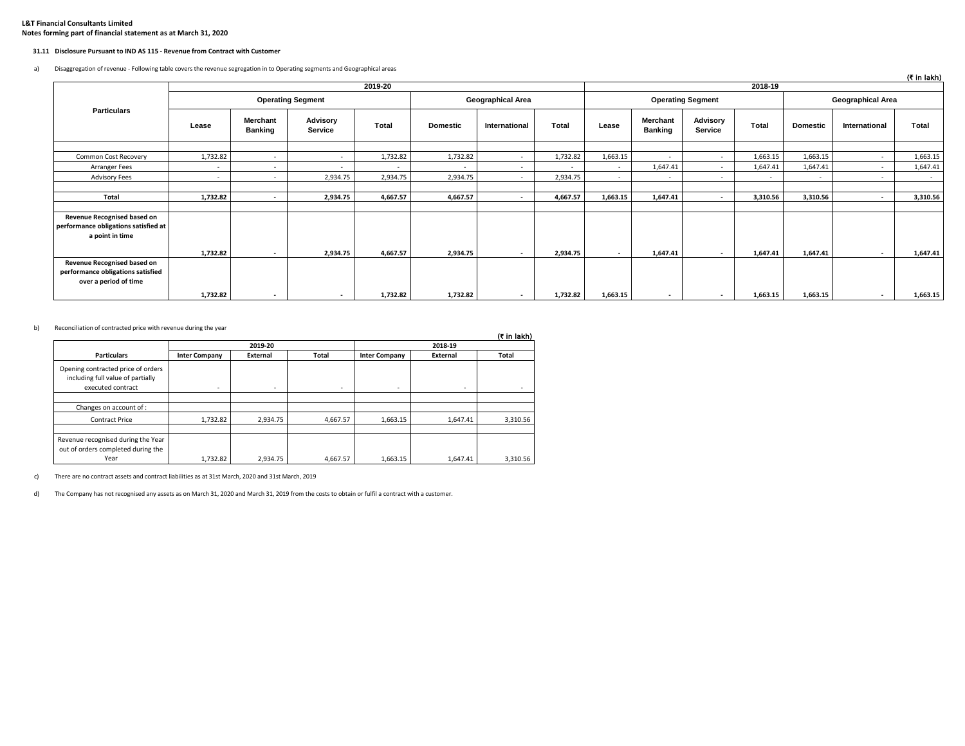#### **31.11 Disclosure Pursuant to IND AS 115 - Revenue from Contract with Customer**

a) Disaggregation of revenue - Following table covers the revenue segregation in to Operating segments and Geographical areas

| ິບບົ່                                                                                     |          | ∘ טי                              |                          |              |                          |                          |          |                          |                            |                          |                          |                          |               | (₹ in lakh) |
|-------------------------------------------------------------------------------------------|----------|-----------------------------------|--------------------------|--------------|--------------------------|--------------------------|----------|--------------------------|----------------------------|--------------------------|--------------------------|--------------------------|---------------|-------------|
|                                                                                           |          |                                   |                          | 2019-20      |                          |                          |          |                          |                            |                          | 2018-19                  |                          |               |             |
|                                                                                           |          |                                   | <b>Operating Segment</b> |              | <b>Geographical Area</b> |                          |          | <b>Operating Segment</b> |                            |                          |                          | Geographical Area        |               |             |
| <b>Particulars</b>                                                                        | Lease    | <b>Merchant</b><br><b>Banking</b> | Advisory<br>Service      | <b>Total</b> | <b>Domestic</b>          | International            | Total    | Lease                    | Merchant<br><b>Banking</b> | Advisory<br>Service      | Total                    | Domestic                 | International | Total       |
|                                                                                           |          |                                   |                          |              |                          |                          |          |                          |                            |                          |                          |                          |               |             |
| Common Cost Recovery                                                                      | 1,732.82 | $\sim$                            | $\sim$                   | 1,732.82     | 1,732.82                 |                          | 1,732.82 | 1,663.15                 |                            | $\sim$                   | 1,663.15                 | 1,663.15                 | $\sim$        | 1,663.15    |
| Arranger Fees                                                                             | $\sim$   | $\sim$                            | $\sim$                   | $\sim$       | $\sim$                   | $\overline{\phantom{a}}$ | $\sim$   | $\sim$                   | 1,647.41                   | $\sim$                   | 1,647.41                 | 1,647.41                 | $\sim$        | 1,647.41    |
| <b>Advisory Fees</b>                                                                      |          |                                   | 2,934.75                 | 2,934.75     | 2,934.75                 |                          | 2,934.75 | $\sim$                   | $\sim$                     | $\sim$                   | $\overline{\phantom{a}}$ | $\overline{\phantom{a}}$ | $\sim$        | $\sim$      |
|                                                                                           |          |                                   |                          |              |                          |                          |          |                          |                            |                          |                          |                          |               |             |
| Total                                                                                     | 1,732.82 | $\sim$                            | 2,934.75                 | 4,667.57     | 4,667.57                 | ۰.                       | 4,667.57 | 1,663.15                 | 1,647.41                   | $\sim$                   | 3,310.56                 | 3,310.56                 | $\sim$        | 3,310.56    |
|                                                                                           |          |                                   |                          |              |                          |                          |          |                          |                            |                          |                          |                          |               |             |
| Revenue Recognised based on<br>performance obligations satisfied at<br>a point in time    |          |                                   |                          |              |                          |                          |          |                          |                            |                          |                          |                          |               |             |
|                                                                                           | 1,732.82 | $\sim$                            | 2,934.75                 | 4,667.57     | 2,934.75                 | $\mathbf{r}$             | 2,934.75 | $\sim$                   | 1,647.41                   | $\sim$                   | 1,647.41                 | 1,647.41                 | $\sim$        | 1,647.41    |
| Revenue Recognised based on<br>performance obligations satisfied<br>over a period of time |          |                                   |                          |              |                          |                          |          |                          |                            |                          |                          |                          |               |             |
|                                                                                           | 1,732.82 |                                   | $\sim$                   | 1,732.82     | 1,732.82                 | $\overline{\phantom{a}}$ | 1,732.82 | 1,663.15                 | $\sim$                     | $\overline{\phantom{a}}$ | 1,663.15                 | 1,663.15                 | $\sim$        | 1,663.15    |

#### b) Reconciliation of contracted price with revenue during the year

| Reconciliation of contracted price with revenue during the year                              |                      |          |                          |                      |          |             |  |
|----------------------------------------------------------------------------------------------|----------------------|----------|--------------------------|----------------------|----------|-------------|--|
|                                                                                              |                      |          |                          |                      |          | (₹ in lakh) |  |
|                                                                                              |                      | 2019-20  |                          |                      |          |             |  |
| <b>Particulars</b>                                                                           | <b>Inter Company</b> | External | Total                    | <b>Inter Company</b> | External | Total       |  |
| Opening contracted price of orders<br>including full value of partially<br>executed contract | ۰                    | ٠        | $\overline{\phantom{a}}$ | ٠                    | ۰        |             |  |
|                                                                                              |                      |          |                          |                      |          |             |  |
| Changes on account of :                                                                      |                      |          |                          |                      |          |             |  |
| <b>Contract Price</b>                                                                        | 1,732.82             | 2.934.75 | 4.667.57                 | 1.663.15             | 1,647.41 | 3,310.56    |  |
|                                                                                              |                      |          |                          |                      |          |             |  |
| Revenue recognised during the Year<br>out of orders completed during the<br>Year             | 1,732.82             | 2,934.75 | 4.667.57                 | 1,663.15             | 1.647.41 | 3.310.56    |  |

c) There are no contract assets and contract liabilities as at 31st March, 2020 and 31st March, 2019

d) The Company has not recognised any assets as on March 31, 2020 and March 31, 2019 from the costs to obtain or fulfil a contract with a customer.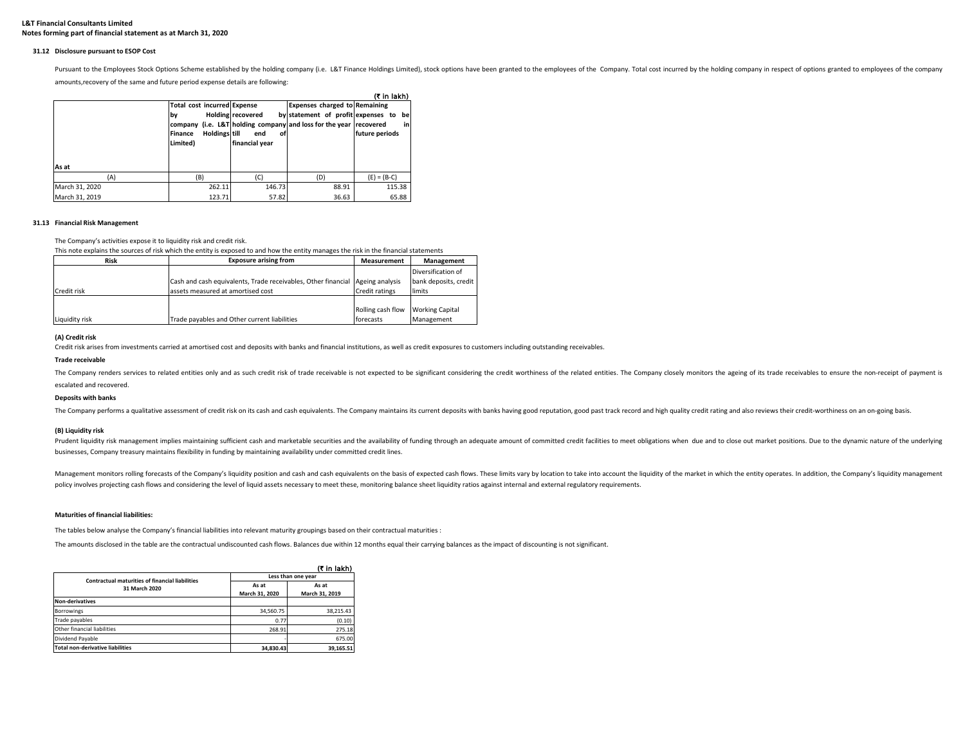#### **31.12 Disclosure pursuant to ESOP Cost**

Pursuant to the Employees Stock Options Scheme established by the holding company (i.e. L&T Finance Holdings Limited), stock options have been granted to the employees of the Company. Total cost incurred by the holding com

amounts,recovery of the same and future period expense details are following:

|                |                                                                                         |                                                         |                                                                                                                                                 | (र in lakh)                |
|----------------|-----------------------------------------------------------------------------------------|---------------------------------------------------------|-------------------------------------------------------------------------------------------------------------------------------------------------|----------------------------|
|                | <b>Total cost incurred Expense</b><br>by<br><b>Holdings till</b><br>Finance<br>Limited) | <b>Holding</b> recovered<br>οf<br>end<br>financial year | <b>Expenses charged to Remaining</b><br>by statement of profit expenses to<br>company (i.e. L&T holding company and loss for the year recovered | be<br>in<br>future periods |
| As at          |                                                                                         |                                                         |                                                                                                                                                 |                            |
| A)             | (B)                                                                                     |                                                         | (D)                                                                                                                                             | $(E) = (B-C)$              |
| March 31, 2020 | 262.11                                                                                  | 146.73                                                  | 88.91                                                                                                                                           | 115.38                     |
| March 31, 2019 | 123.71                                                                                  | 57.82                                                   | 36.63                                                                                                                                           | 65.88                      |

#### **31.13 Financial Risk Management**

The Company's activities expose it to liquidity risk and credit risk.

This note explains the sources of risk which the entity is exposed to and how the entity manages the risk in the financial statements

| <b>Risk</b>    | <b>Exposure arising from</b>                                                  | <b>Measurement</b>    | <b>Management</b>      |
|----------------|-------------------------------------------------------------------------------|-----------------------|------------------------|
|                |                                                                               |                       | Diversification of     |
|                | Cash and cash equivalents, Trade receivables, Other financial Ageing analysis |                       | bank deposits, credit  |
| Credit risk    | assets measured at amortised cost                                             | <b>Credit ratings</b> | limits                 |
|                |                                                                               |                       |                        |
|                |                                                                               | Rolling cash flow     | <b>Working Capital</b> |
| Liquidity risk | Trade payables and Other current liabilities                                  | forecasts             | Management             |

#### **(A) Credit risk**

Credit risk arises from investments carried at amortised cost and deposits with banks and financial institutions, as well as credit exposures to customers including outstanding receivables.

#### **Trade receivable**

The Company renders services to related entities only and as such credit risk of trade receivable is not expected to be significant considering the credit worthiness of the related entities. The Company closely monitors th

#### escalated and recovered.

#### **Deposits with banks**

The Company performs a qualitative assessment of credit risk on its cash and cash equivalents. The Company maintains its current deposits with banks having good reputation, good past track record and high quality credit ra

#### **(B) Liquidity risk**

Prudent liquidity risk management implies maintaining sufficient cash and marketable securities and the availability of funding through an adequate amount of committed credit facilities to meet obligations when due and to businesses, Company treasury maintains flexibility in funding by maintaining availability under committed credit lines.

Management monitors rolling forecasts of the Company's liquidity position and cash and cash and cash equivalents on the basis of expected cash flows. These limits vary by location to take into account the liquidity of the policy involves projecting cash flows and considering the level of liquid assets necessary to meet these, monitoring balance sheet liquidity ratios against internal and external regulatory requirements.

#### **Maturities of financial liabilities:**

The tables below analyse the Company's financial liabilities into relevant maturity groupings based on their contractual maturities :

The amounts disclosed in the table are the contractual undiscounted cash flows. Balances due within 12 months equal their carrying balances as the impact of discounting is not significant.

|                                                        |                | (₹ in lakh)        |
|--------------------------------------------------------|----------------|--------------------|
| <b>Contractual maturities of financial liabilities</b> |                | Less than one year |
| 31 March 2020                                          | As at          | As at              |
|                                                        | March 31, 2020 | March 31, 2019     |
| <b>Non-derivatives</b>                                 |                |                    |
| <b>Borrowings</b>                                      | 34,560.75      | 38,215.43          |
| Trade payables                                         | 0.77           | (0.10)             |
| Other financial liabilities                            | 268.91         | 275.18             |
| Dividend Payable                                       |                | 675.00             |
| <b>Total non-derivative liabilities</b>                | 34.830.43      | 39.165.51          |